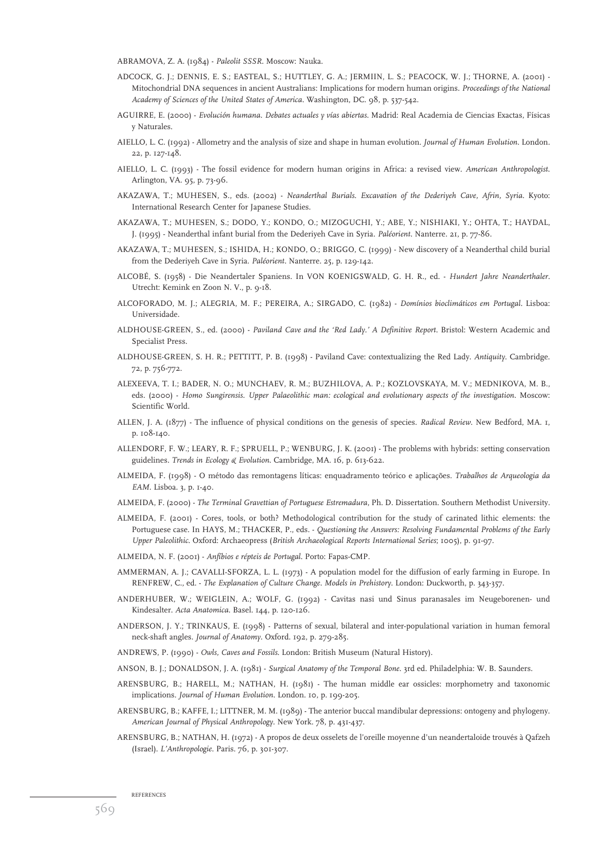- ABRAMOVA, Z. A. (1984) *Paleolit SSSR*. Moscow: Nauka.
- ADCOCK, G. J.; DENNIS, E. S.; EASTEAL, S.; HUTTLEY, G. A.; JERMIIN, L. S.; PEACOCK, W. J.; THORNE, A. (2001) Mitochondrial DNA sequences in ancient Australians: Implications for modern human origins. *Proceedings of the National Academy of Sciences of the United States of America*. Washington, DC. 98, p. 537-542.
- AGUIRRE, E. (2000) *Evolución humana. Debates actuales y vías abiertas*. Madrid: Real Academia de Ciencias Exactas, Físicas y Naturales.
- AIELLO, L. C. (1992) Allometry and the analysis of size and shape in human evolution. *Journal of Human Evolution*. London. 22, p. 127-148.
- AIELLO, L. C. (1993) The fossil evidence for modern human origins in Africa: a revised view. *American Anthropologist*. Arlington, VA. 95, p. 73-96.
- AKAZAWA, T.; MUHESEN, S., eds. (2002) *Neanderthal Burials. Excavation of the Dederiyeh Cave, Afrin, Syria*. Kyoto: International Research Center for Japanese Studies.
- AKAZAWA, T.; MUHESEN, S.; DODO, Y.; KONDO, O.; MIZOGUCHI, Y.; ABE, Y.; NISHIAKI, Y.; OHTA, T.; HAYDAL, J. (1995) - Neanderthal infant burial from the Dederiyeh Cave in Syria. *Paléorient*. Nanterre. 21, p. 77-86.
- AKAZAWA, T.; MUHESEN, S.; ISHIDA, H.; KONDO, O.; BRIGGO, C. (1999) New discovery of a Neanderthal child burial from the Dederiyeh Cave in Syria. *Paléorient.* Nanterre*.* 25, p. 129-142.
- ALCOBÉ, S. (1958) Die Neandertaler Spaniens. In VON KOENIGSWALD, G. H. R., ed. *Hundert Jahre Neanderthaler*. Utrecht: Kemink en Zoon N. V., p. 9-18.
- ALCOFORADO, M. J.; ALEGRIA, M. F.; PEREIRA, A.; SIRGADO, C. (1982) *Domínios bioclimáticos em Portugal.* Lisboa: Universidade.
- ALDHOUSE-GREEN, S., ed. (2000) *Paviland Cave and the 'Red Lady.' A Definitive Report*. Bristol: Western Academic and Specialist Press.
- ALDHOUSE-GREEN, S. H. R.; PETTITT, P. B. (1998) Paviland Cave: contextualizing the Red Lady. *Antiquity*. Cambridge. 72, p. 756-772.
- ALEXEEVA, T. I.; BADER, N. O.; MUNCHAEV, R. M.; BUZHILOVA, A. P.; KOZLOVSKAYA, M. V.; MEDNIKOVA, M. B., eds. (2000) - *Homo Sungirensis. Upper Palaeolithic man: ecological and evolutionary aspects of the investigation*. Moscow: Scientific World.
- ALLEN, J. A. (1877) The influence of physical conditions on the genesis of species. *Radical Review*. New Bedford, MA. 1, p. 108-140.
- ALLENDORF, F. W.; LEARY, R. F.; SPRUELL, P.; WENBURG, J. K. (2001) The problems with hybrids: setting conservation guidelines. *Trends in Ecology & Evolution*. Cambridge, MA. 16, p. 613-622.
- ALMEIDA, F. (1998) O método das remontagens líticas: enquadramento teórico e aplicações. *Trabalhos de Arqueologia da EAM*. Lisboa. 3, p. 1-40.
- ALMEIDA, F. (2000) *The Terminal Gravettian of Portuguese Estremadura*, Ph. D. Dissertation. Southern Methodist University.
- ALMEIDA, F. (2001) Cores, tools, or both? Methodological contribution for the study of carinated lithic elements: the Portuguese case. In HAYS, M.; THACKER, P., eds. - *Questioning the Answers: Resolving Fundamental Problems of the Early Upper Paleolithic*. Oxford: Archaeopress (*British Archaeological Reports International Series*; 1005), p. 91-97.
- ALMEIDA, N. F. (2001) *Anfíbios e répteis de Portugal*. Porto: Fapas-CMP.
- AMMERMAN, A. J.; CAVALLI-SFORZA, L. L. (1973) A population model for the diffusion of early farming in Europe. In RENFREW, C., ed. - *The Explanation of Culture Change. Models in Prehistory*. London: Duckworth, p. 343-357.
- ANDERHUBER, W.; WEIGLEIN, A.; WOLF, G. (1992) Cavitas nasi und Sinus paranasales im Neugeborenen- und Kindesalter. *Acta Anatomica*. Basel. 144, p. 120-126.
- ANDERSON, J. Y.; TRINKAUS, E. (1998) Patterns of sexual, bilateral and inter-populational variation in human femoral neck-shaft angles. *Journal of Anatomy*. Oxford. 192, p. 279-285.
- ANDREWS, P. (1990) *Owls, Caves and Fossils*. London: British Museum (Natural History).
- ANSON, B. J.; DONALDSON, J. A. (1981) *Surgical Anatomy of the Temporal Bone*. 3rd ed. Philadelphia: W. B. Saunders.
- ARENSBURG, B.; HARELL, M.; NATHAN, H. (1981) The human middle ear ossicles: morphometry and taxonomic implications. *Journal of Human Evolution*. London. 10, p. 199-205.
- ARENSBURG, B.; KAFFE, I.; LITTNER, M. M. (1989) The anterior buccal mandibular depressions: ontogeny and phylogeny. *American Journal of Physical Anthropology*. New York. 78, p. 431-437.
- ARENSBURG, B.; NATHAN, H. (1972) A propos de deux osselets de l'oreille moyenne d'un neandertaloide trouvés à Qafzeh (Israel). *L'Anthropologie*. Paris. 76, p. 301-307.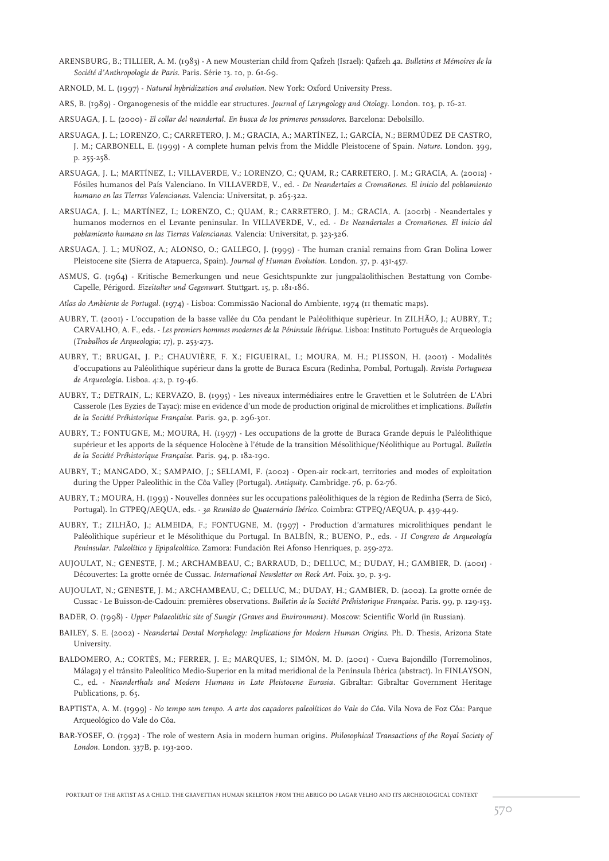- ARENSBURG, B.; TILLIER, A. M. (1983) A new Mousterian child from Qafzeh (Israel): Qafzeh 4a. *Bulletins et Mémoires de la Société d'Anthropologie de Paris*. Paris. Série 13. 10, p. 61-69.
- ARNOLD, M. L. (1997) *Natural hybridization and evolution*. New York: Oxford University Press.
- ARS, B. (1989) Organogenesis of the middle ear structures. *Journal of Laryngology and Otology*. London. 103, p. 16-21.
- ARSUAGA, J. L. (2000) *El collar del neandertal. En busca de los primeros pensadores*. Barcelona: Debolsillo.
- ARSUAGA, J. L.; LORENZO, C.; CARRETERO, J. M.; GRACIA, A.; MARTÍNEZ, I.; GARCÍA, N.; BERMÚDEZ DE CASTRO, J. M.; CARBONELL, E. (1999) - A complete human pelvis from the Middle Pleistocene of Spain. *Nature*. London. 399, p. 255-258.
- ARSUAGA, J. L.; MARTÍNEZ, I.; VILLAVERDE, V.; LORENZO, C.; QUAM, R.; CARRETERO, J. M.; GRACIA, A. (2001a) Fósiles humanos del País Valenciano. In VILLAVERDE, V., ed. - *De Neandertales a Cromañones. El inicio del poblamiento humano en las Tierras Valencianas*. Valencia: Universitat, p. 265-322.
- ARSUAGA, J. L.; MARTÍNEZ, I.; LORENZO, C.; QUAM, R.; CARRETERO, J. M.; GRACIA, A. (2001b) Neandertales y humanos modernos en el Levante peninsular. In VILLAVERDE, V., ed. - *De Neandertales a Cromañones. El inicio del poblamiento humano en las Tierras Valencianas*. Valencia: Universitat, p. 323-326.
- ARSUAGA, J. L.; MUÑOZ, A.; ALONSO, O.; GALLEGO, J. (1999) The human cranial remains from Gran Dolina Lower Pleistocene site (Sierra de Atapuerca, Spain). *Journal of Human Evolution*. London. 37, p. 431-457.
- ASMUS, G. (1964) Kritische Bemerkungen und neue Gesichtspunkte zur jungpaläolithischen Bestattung von Combe-Capelle, Périgord. *Eizeitalter und Gegenwart*. Stuttgart. 15, p. 181-186.
- *Atlas do Ambiente de Portugal*. (1974) Lisboa: Commissão Nacional do Ambiente, 1974 (11 thematic maps).
- AUBRY, T. (2001) L'occupation de la basse vallée du Côa pendant le Paléolithique supèrieur. In ZILHÃO, J.; AUBRY, T.; CARVALHO, A. F., eds. - *Les premiers hommes modernes de la Péninsule Ibérique*. Lisboa: Instituto Português de Arqueologia (*Trabalhos de Arqueologia*; 17), p. 253-273.
- AUBRY, T.; BRUGAL, J. P.; CHAUVIÈRE, F. X.; FIGUEIRAL, I.; MOURA, M. H.; PLISSON, H. (2001) Modalités d'occupations au Paléolithique supérieur dans la grotte de Buraca Escura (Redinha, Pombal, Portugal). *Revista Portuguesa de Arqueologia*. Lisboa. 4:2, p. 19-46.
- AUBRY, T.; DETRAIN, L.; KERVAZO, B. (1995) Les niveaux intermédiaires entre le Gravettien et le Solutréen de L'Abri Casserole (Les Eyzies de Tayac): mise en evidence d'un mode de production original de microlithes et implications. *Bulletin de la Société Préhistorique Française*. Paris. 92, p. 296-301.
- AUBRY, T.; FONTUGNE, M.; MOURA, H. (1997) Les occupations de la grotte de Buraca Grande depuis le Paléolithique supérieur et les apports de la séquence Holocène à l'étude de la transition Mésolithique/Néolithique au Portugal. *Bulletin de la Société Préhistorique Française*. Paris. 94, p. 182-190.
- AUBRY, T.; MANGADO, X.; SAMPAIO, J.; SELLAMI, F. (2002) Open-air rock-art, territories and modes of exploitation during the Upper Paleolithic in the Côa Valley (Portugal). *Antiquity*. Cambridge. 76, p. 62-76.
- AUBRY, T.; MOURA, H. (1993) Nouvelles données sur les occupations paléolithiques de la région de Redinha (Serra de Sicó, Portugal). In GTPEQ/AEQUA, eds. - *3a Reunião do Quaternário Ibérico*. Coimbra: GTPEQ/AEQUA, p. 439-449.
- AUBRY, T.; ZILHÃO, J.; ALMEIDA, F.; FONTUGNE, M. (1997) Production d'armatures microlithiques pendant le Paléolithique supérieur et le Mésolithique du Portugal. In BALBÍN, R.; BUENO, P., eds. - *II Congreso de Arqueología Peninsular. Paleolítico y Epipaleolítico*. Zamora: Fundación Rei Afonso Henriques, p. 259-272.
- AUJOULAT, N.; GENESTE, J. M.; ARCHAMBEAU, C.; BARRAUD, D.; DELLUC, M.; DUDAY, H.; GAMBIER, D. (2001) Découvertes: La grotte ornée de Cussac. *International Newsletter on Rock Art*. Foix. 30, p. 3-9.
- AUJOULAT, N.; GENESTE, J. M.; ARCHAMBEAU, C.; DELLUC, M.; DUDAY, H.; GAMBIER, D. (2002). La grotte ornée de Cussac - Le Buisson-de-Cadouin: premières observations. *Bulletin de la Société Préhistorique Française*. Paris. 99, p. 129-153.
- BADER, O. (1998) *Upper Palaeolithic site of Sungir (Graves and Environment)*. Moscow: Scientific World (in Russian).
- BAILEY, S. E. (2002) *Neandertal Dental Morphology: Implications for Modern Human Origins*. Ph. D. Thesis, Arizona State University.
- BALDOMERO, A.; CORTÉS, M.; FERRER, J. E.; MARQUES, I.; SIMÓN, M. D. (2001) Cueva Bajondillo (Torremolinos, Málaga) y el tránsito Paleolítico Medio-Superior en la mitad meridional de la Península Ibérica (abstract). In FINLAYSON, C., ed. - *Neanderthals and Modern Humans in Late Pleistocene Eurasia*. Gibraltar: Gibraltar Government Heritage Publications, p. 65.
- BAPTISTA, A. M. (1999) *No tempo sem tempo. A arte dos caçadores paleolíticos do Vale do Côa*. Vila Nova de Foz Côa: Parque Arqueológico do Vale do Côa.
- BAR-YOSEF, O. (1992) The role of western Asia in modern human origins*. Philosophical Transactions of the Royal Society of London*. London. 337B, p. 193-200.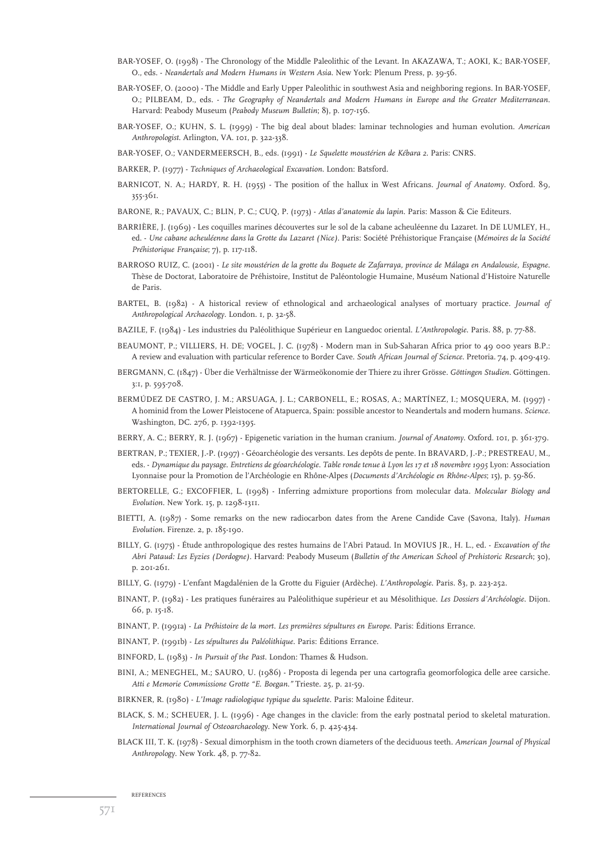- BAR-YOSEF, O. (1998) The Chronology of the Middle Paleolithic of the Levant. In AKAZAWA, T.; AOKI, K.; BAR-YOSEF, O., eds. - *Neandertals and Modern Humans in Western Asia*. New York: Plenum Press, p. 39-56.
- BAR-YOSEF, O. (2000) The Middle and Early Upper Paleolithic in southwest Asia and neighboring regions. In BAR-YOSEF, O.; PILBEAM, D., eds. - *The Geography of Neandertals and Modern Humans in Europe and the Greater Mediterranean*. Harvard: Peabody Museum (*Peabody Museum Bulletin*; 8), p. 107-156.
- BAR-YOSEF, O.; KUHN, S. L. (1999) The big deal about blades: laminar technologies and human evolution. *American Anthropologist*. Arlington, VA. 101, p. 322-338.
- BAR-YOSEF, O.; VANDERMEERSCH, B., eds. (1991) *Le Squelette moustérien de Kébara 2*. Paris: CNRS.
- BARKER, P. (1977) *Techniques of Archaeological Excavation.* London: Batsford.
- BARNICOT, N. A.; HARDY, R. H. (1955) The position of the hallux in West Africans. *Journal of Anatomy*. Oxford. 89, 355-361.
- BARONE, R.; PAVAUX, C.; BLIN, P. C.; CUQ, P. (1973) *Atlas d'anatomie du lapin*. Paris: Masson & Cie Editeurs.
- BARRIÈRE, J. (1969) Les coquilles marines découvertes sur le sol de la cabane acheuléenne du Lazaret. In DE LUMLEY, H., ed. - *Une cabane acheuléenne dans la Grotte du Lazaret (Nice).* Paris: Société Préhistorique Française (*Mémoires de la Société Préhistorique Française*; 7), p. 117-118.
- BARROSO RUIZ, C. (2001) *Le site moustérien de la grotte du Boquete de Zafarraya, province de Málaga en Andalousie, Espagne*. Thèse de Doctorat, Laboratoire de Préhistoire, Institut de Paléontologie Humaine, Muséum National d'Histoire Naturelle de Paris.
- BARTEL, B. (1982) A historical review of ethnological and archaeological analyses of mortuary practice. *Journal of Anthropological Archaeology*. London. 1, p. 32-58.
- BAZILE, F. (1984) Les industries du Paléolithique Supérieur en Languedoc oriental. *L'Anthropologie*. Paris. 88, p. 77-88.
- BEAUMONT, P.; VILLIERS, H. DE; VOGEL, J. C. (1978) Modern man in Sub-Saharan Africa prior to 49 000 years B.P.: A review and evaluation with particular reference to Border Cave. *South African Journal of Science*. Pretoria. 74, p. 409-419.
- BERGMANN, C. (1847) Über die Verhältnisse der Wärmeökonomie der Thiere zu ihrer Grösse. *Göttingen Studien*. Göttingen. 3:1, p. 595-708.
- BERMÚDEZ DE CASTRO, J. M.; ARSUAGA, J. L.; CARBONELL, E.; ROSAS, A.; MARTÍNEZ, I.; MOSQUERA, M. (1997) A hominid from the Lower Pleistocene of Atapuerca, Spain: possible ancestor to Neandertals and modern humans. *Science*. Washington, DC. 276, p. 1392-1395.
- BERRY, A. C.; BERRY, R. J. (1967) Epigenetic variation in the human cranium. *Journal of Anatomy*. Oxford. 101, p. 361-379.
- BERTRAN, P.; TEXIER, J.-P. (1997) Géoarchéologie des versants. Les depôts de pente. In BRAVARD, J.-P.; PRESTREAU, M., eds. - *Dynamique du paysage. Entretiens de géoarchéologie*. *Table ronde tenue à Lyon les 17 et 18 novembre 1995* Lyon: Association Lyonnaise pour la Promotion de l'Archéologie en Rhône-Alpes (*Documents d'Archéologie en Rhône-Alpes*; 15), p. 59-86.
- BERTORELLE, G.; EXCOFFIER, L. (1998) Inferring admixture proportions from molecular data. *Molecular Biology and Evolution*. New York. 15, p. 1298-1311.
- BIETTI, A. (1987) Some remarks on the new radiocarbon dates from the Arene Candide Cave (Savona, Italy). *Human Evolution*. Firenze. 2, p. 185-190.
- BILLY, G. (1975) Étude anthropologique des restes humains de l'Abri Pataud. In MOVIUS JR., H. L., ed. *Excavation of the Abri Pataud: Les Eyzies (Dordogne)*. Harvard: Peabody Museum (*Bulletin of the American School of Prehistoric Research*; 30), p. 201-261.
- BILLY, G. (1979) L'enfant Magdalénien de la Grotte du Figuier (Ardèche). *L'Anthropologie*. Paris. 83, p. 223-252.
- BINANT, P. (1982) Les pratiques funéraires au Paléolithique supérieur et au Mésolithique. *Les Dossiers d'Archéologie*. Dijon. 66, p. 15-18.
- BINANT, P. (1991a) *La Préhistoire de la mort. Les premières sépultures en Europe*. Paris: Éditions Errance.
- BINANT, P. (1991b) *Les sépultures du Paléolithique*. Paris: Éditions Errance.
- BINFORD, L. (1983) *In Pursuit of the Past*. London: Thames & Hudson.
- BINI, A.; MENEGHEL, M.; SAURO, U. (1986) Proposta di legenda per una cartografia geomorfologica delle aree carsiche. *Atti e Memorie Commissione Grotte "E. Boegan."* Trieste. 25, p. 21-59.
- BIRKNER, R. (1980) *L'Image radiologique typique du squelette*. Paris: Maloine Éditeur.
- BLACK, S. M.; SCHEUER, J. L. (1996) Age changes in the clavicle: from the early postnatal period to skeletal maturation. *International Journal of Osteoarchaeology*. New York. 6, p. 425-434.
- BLACK III, T. K. (1978) Sexual dimorphism in the tooth crown diameters of the deciduous teeth. *American Journal of Physical Anthropology*. New York. 48, p. 77-82.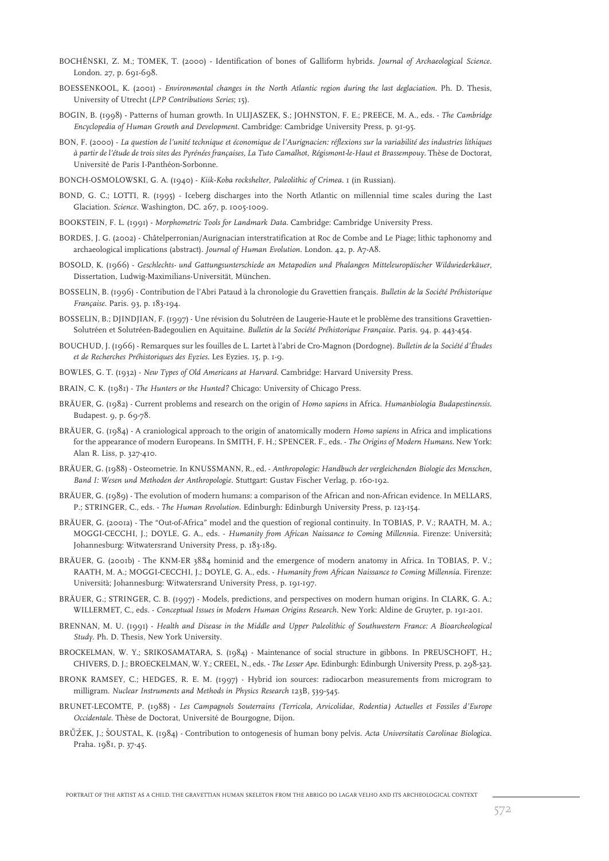- BOCHÉNSKI, Z. M.; TOMEK, T. (2000) Identification of bones of Galliform hybrids. *Journal of Archaeological Science*. London. 27, p. 691-698.
- BOESSENKOOL, K. (2001) *Environmental changes in the North Atlantic region during the last deglaciation.* Ph. D. Thesis, University of Utrecht (*LPP Contributions Series*; 15).
- BOGIN, B. (1998) Patterns of human growth. In ULIJASZEK, S.; JOHNSTON, F. E.; PREECE, M. A., eds. *The Cambridge Encyclopedia of Human Growth and Development*. Cambridge: Cambridge University Press, p. 91-95.
- BON, F. (2000) *La question de l'unité technique et économique de l'Aurignacien: réflexions sur la variabilité des industries lithiques à partir de l'étude de trois sites des Pyrénées françaises, La Tuto Camalhot, Régismont-le-Haut et Brassempouy*. Thèse de Doctorat, Université de Paris I-Panthéon-Sorbonne.
- BONCH-OSMOLOWSKI, G. A. (1940) *Kiik-Koba rockshelter, Paleolithic of Crimea*. 1 (in Russian).
- BOND, G. C.; LOTTI, R. (1995) Iceberg discharges into the North Atlantic on millennial time scales during the Last Glaciation. *Science*. Washington, DC. 267, p. 1005-1009.
- BOOKSTEIN, F. L. (1991) *Morphometric Tools for Landmark Data*. Cambridge: Cambridge University Press.
- BORDES, J. G. (2002) Châtelperronian/Aurignacian interstratification at Roc de Combe and Le Piage; lithic taphonomy and archaeological implications (abstract). *Journal of Human Evolution*. London. 42, p. A7-A8.
- BOSOLD, K. (1966) *Geschlechts- und Gattungsunterschiede an Metapodien und Phalangen Mitteleuropäischer Wildwiederkäuer*, Dissertation, Ludwig-Maximilians-Universität, München.
- BOSSELIN, B. (1996) Contribution de l'Abri Pataud à la chronologie du Gravettien français. *Bulletin de la Société Préhistorique Française*. Paris. 93, p. 183-194.
- BOSSELIN, B.; DJINDJIAN, F. (1997) Une révision du Solutréen de Laugerie-Haute et le problème des transitions Gravettien-Solutréen et Solutréen-Badegoulien en Aquitaine. *Bulletin de la Société Préhistorique Française*. Paris. 94, p. 443-454.
- BOUCHUD, J. (1966) Remarques sur les fouilles de L. Lartet à l'abri de Cro-Magnon (Dordogne). *Bulletin de la Société d'Études et de Recherches Préhistoriques des Eyzies*. Les Eyzies. 15, p. 1-9.
- BOWLES, G. T. (1932) *New Types of Old Americans at Harvard*. Cambridge: Harvard University Press.
- BRAIN, C. K. (1981) *The Hunters or the Hunted?* Chicago: University of Chicago Press.
- BRÄUER, G. (1982) Current problems and research on the origin of *Homo sapiens* in Africa. *Humanbiologia Budapestinensis*. Budapest. 9, p. 69-78.
- BRÄUER, G. (1984) A craniological approach to the origin of anatomically modern *Homo sapiens* in Africa and implications for the appearance of modern Europeans. In SMITH, F. H.; SPENCER. F., eds. - *The Origins of Modern Humans*. New York: Alan R. Liss, p. 327-410.
- BRÄUER, G. (1988) Osteometrie. In KNUSSMANN, R., ed. *Anthropologie: Handbuch der vergleichenden Biologie des Menschen, Band I: Wesen und Methoden der Anthropologie.* Stuttgart: Gustav Fischer Verlag, p. 160-192.
- BRÄUER, G. (1989) The evolution of modern humans: a comparison of the African and non-African evidence. In MELLARS, P.; STRINGER, C., eds. - *The Human Revolution*. Edinburgh: Edinburgh University Press, p. 123-154.
- BRÄUER, G. (2001a) The "Out-of-Africa" model and the question of regional continuity. In TOBIAS, P. V.; RAATH, M. A.; MOGGI-CECCHI, J.; DOYLE, G. A., eds. - *Humanity from African Naissance to Coming Millennia*. Firenze: Università; Johannesburg: Witwatersrand University Press, p. 183-189.
- BRÄUER, G. (2001b) The KNM-ER 3884 hominid and the emergence of modern anatomy in Africa. In TOBIAS, P. V.; RAATH, M. A.; MOGGI-CECCHI, J.; DOYLE, G. A., eds. - *Humanity from African Naissance to Coming Millennia*. Firenze: Università; Johannesburg: Witwatersrand University Press, p. 191-197.
- BRÄUER, G.; STRINGER, C. B. (1997) Models, predictions, and perspectives on modern human origins. In CLARK, G. A.; WILLERMET, C., eds. - *Conceptual Issues in Modern Human Origins Research*. New York: Aldine de Gruyter, p. 191-201.
- BRENNAN, M. U. (1991) *Health and Disease in the Middle and Upper Paleolithic of Southwestern France: A Bioarcheological Study*. Ph. D. Thesis, New York University.
- BROCKELMAN, W. Y.; SRIKOSAMATARA, S. (1984) Maintenance of social structure in gibbons. In PREUSCHOFT, H.; CHIVERS, D. J.; BROECKELMAN, W. Y.; CREEL, N., eds. - *The Lesser Ape*. Edinburgh: Edinburgh University Press, p. 298-323.
- BRONK RAMSEY, C.; HEDGES, R. E. M. (1997) Hybrid ion sources: radiocarbon measurements from microgram to milligram. *Nuclear Instruments and Methods in Physics Research* 123B, 539-545.
- BRUNET-LECOMTE, P. (1988) *Les Campagnols Souterrains (Terricola, Arvicolidae, Rodentia) Actuelles et Fossiles d'Europe Occidentale*. Thèse de Doctorat, Université de Bourgogne, Dijon.
- BRŮŽEK, J.; ŠOUSTAL, K. (1984) Contribution to ontogenesis of human bony pelvis. *Acta Universitatis Carolinae Biologica*. Praha. 1981, p. 37-45.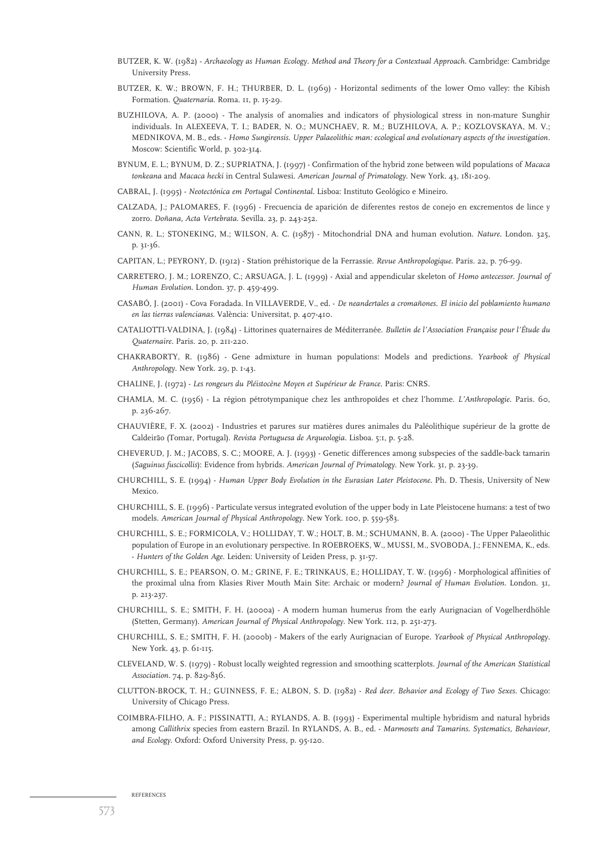- BUTZER, K. W. (1982) *Archaeology as Human Ecology*. *Method and Theory for a Contextual Approach.* Cambridge: Cambridge University Press.
- BUTZER, K. W.; BROWN, F. H.; THURBER, D. L. (1969) Horizontal sediments of the lower Omo valley: the Kibish Formation. *Quaternaria*. Roma. 11, p. 15-29.
- BUZHILOVA, A. P. (2000) The analysis of anomalies and indicators of physiological stress in non-mature Sunghir individuals. In ALEXEEVA, T. I.; BADER, N. O.; MUNCHAEV, R. M.; BUZHILOVA, A. P.; KOZLOVSKAYA, M. V.; MEDNIKOVA, M. B., eds. - *Homo Sungirensis. Upper Palaeolithic man: ecological and evolutionary aspects of the investigation*. Moscow: Scientific World, p. 302-314.
- BYNUM, E. L.; BYNUM, D. Z.; SUPRIATNA, J. (1997) Confirmation of the hybrid zone between wild populations of *Macaca tonkeana* and *Macaca hecki* in Central Sulawesi. *American Journal of Primatology*. New York. 43, 181-209.
- CABRAL, J. (1995) *Neotectónica em Portugal Continental*. Lisboa: Instituto Geológico e Mineiro.
- CALZADA, J.; PALOMARES, F. (1996) Frecuencia de aparición de diferentes restos de conejo en excrementos de lince y zorro. *Doñana, Acta Vertebrata*. Sevilla. 23, p. 243-252.
- CANN, R. L.; STONEKING, M.; WILSON, A. C. (1987) Mitochondrial DNA and human evolution. *Nature*. London. 325, p. 31-36.
- CAPITAN, L.; PEYRONY, D. (1912) Station préhistorique de la Ferrassie. *Revue Anthropologique*. Paris. 22, p. 76-99.
- CARRETERO, J. M.; LORENZO, C.; ARSUAGA, J. L. (1999) Axial and appendicular skeleton of *Homo antecessor*. *Journal of Human Evolution*. London. 37, p. 459-499.
- CASABÓ, J. (2001) Cova Foradada. In VILLAVERDE, V., ed. *De neandertales a cromañones. El inicio del poblamiento humano en las tierras valencianas*. València: Universitat, p. 407-410.
- CATALIOTTI-VALDINA, J. (1984) Littorines quaternaires de Méditerranée. *Bulletin de l'Association Française pour l'Étude du Quaternaire*. Paris. 20, p. 211-220.
- CHAKRABORTY, R. (1986) Gene admixture in human populations: Models and predictions. *Yearbook of Physical Anthropology*. New York. 29, p. 1-43.
- CHALINE, J. (1972) *Les rongeurs du Pléistocène Moyen et Supérieur de France*. Paris: CNRS.
- CHAMLA, M. C. (1956) La région pétrotympanique chez les anthropoïdes et chez l'homme. *L'Anthropologie*. Paris. 60, p. 236-267.
- CHAUVIÈRE, F. X. (2002) Industries et parures sur matières dures animales du Paléolithique supérieur de la grotte de Caldeirão (Tomar, Portugal). *Revista Portuguesa de Arqueologia*. Lisboa. 5:1, p. 5-28.
- CHEVERUD, J. M.; JACOBS, S. C.; MOORE, A. J. (1993) Genetic differences among subspecies of the saddle-back tamarin (*Saguinus fuscicollis*): Evidence from hybrids. *American Journal of Primatology*. New York. 31, p. 23-39.
- CHURCHILL, S. E. (1994) *Human Upper Body Evolution in the Eurasian Later Pleistocene*. Ph. D. Thesis, University of New Mexico.
- CHURCHILL, S. E. (1996) Particulate versus integrated evolution of the upper body in Late Pleistocene humans: a test of two models. *American Journal of Physical Anthropology*. New York. 100, p. 559-583.
- CHURCHILL, S. E.; FORMICOLA, V.; HOLLIDAY, T. W.; HOLT, B. M.; SCHUMANN, B. A. (2000) The Upper Palaeolithic population of Europe in an evolutionary perspective. In ROEBROEKS, W., MUSSI, M., SVOBODA, J.; FENNEMA, K., eds. - *Hunters of the Golden Age*. Leiden: University of Leiden Press, p. 31-57.
- CHURCHILL, S. E.; PEARSON, O. M.; GRINE, F. E.; TRINKAUS, E.; HOLLIDAY, T. W. (1996) Morphological affinities of the proximal ulna from Klasies River Mouth Main Site: Archaic or modern? *Journal of Human Evolution*. London. 31, p. 213-237.
- CHURCHILL, S. E.; SMITH, F. H. (2000a) A modern human humerus from the early Aurignacian of Vogelherdhöhle (Stetten, Germany). *American Journal of Physical Anthropology*. New York. 112, p. 251-273.
- CHURCHILL, S. E.; SMITH, F. H. (2000b) Makers of the early Aurignacian of Europe. *Yearbook of Physical Anthropology*. New York. 43, p. 61-115.
- CLEVELAND, W. S. (1979) Robust locally weighted regression and smoothing scatterplots. *Journal of the American Statistical Association*. 74, p. 829-836.
- CLUTTON-BROCK, T. H.; GUINNESS, F. E.; ALBON, S. D. (1982) *Red deer. Behavior and Ecology of Two Sexes*. Chicago: University of Chicago Press.
- COIMBRA-FILHO, A. F.; PISSINATTI, A.; RYLANDS, A. B. (1993) Experimental multiple hybridism and natural hybrids among *Callithrix* species from eastern Brazil. In RYLANDS, A. B., ed. - *Marmosets and Tamarins. Systematics, Behaviour, and Ecology*. Oxford: Oxford University Press, p. 95-120.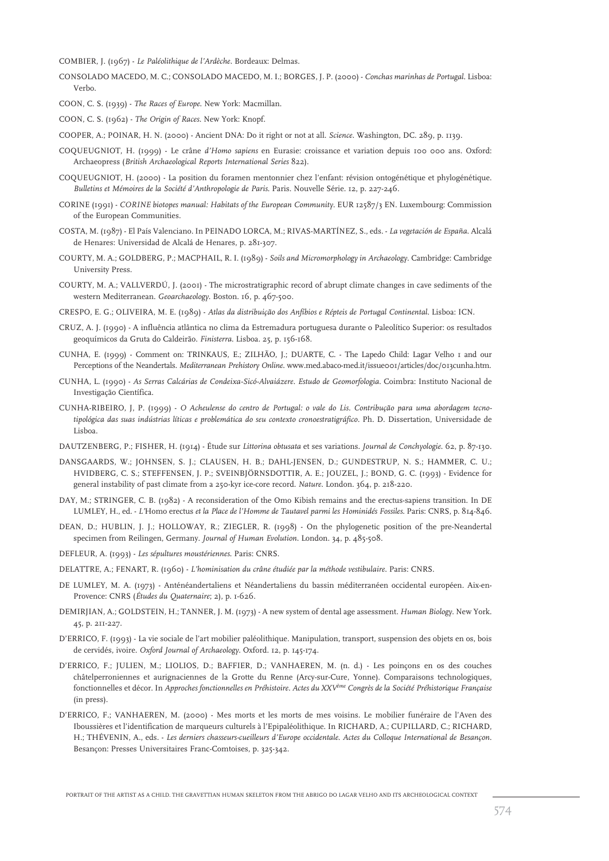COMBIER, J. (1967) - *Le Paléolithique de l'Ardèche.* Bordeaux: Delmas.

CONSOLADO MACEDO, M. C.; CONSOLADO MACEDO, M. I.; BORGES, J. P. (2000) - *Conchas marinhas de Portugal*. Lisboa: Verbo.

COON, C. S. (1939) - *The Races of Europe*. New York: Macmillan.

COON, C. S. (1962) - *The Origin of Races*. New York: Knopf.

COOPER, A.; POINAR, H. N. (2000) - Ancient DNA: Do it right or not at all. *Science*. Washington, DC. 289, p. 1139.

- COQUEUGNIOT, H. (1999) Le crâne *d'Homo sapiens* en Eurasie: croissance et variation depuis 100 000 ans. Oxford: Archaeopress (*British Archaeological Reports International Series* 822).
- COQUEUGNIOT, H. (2000) La position du foramen mentonnier chez l'enfant: révision ontogénétique et phylogénétique. *Bulletins et Mémoires de la Société d'Anthropologie de Paris*. Paris. Nouvelle Série. 12, p. 227-246.
- CORINE (1991) *CORINE biotopes manual: Habitats of the European Community.* EUR 12587/3 EN. Luxembourg: Commission of the European Communities.
- COSTA, M. (1987) El País Valenciano*.* In PEINADO LORCA, M.; RIVAS-MARTÍNEZ, S., eds. *La vegetación de España*. Alcalá de Henares: Universidad de Alcalá de Henares, p. 281-307.
- COURTY, M. A.; GOLDBERG, P.; MACPHAIL, R. I. (1989) *Soils and Micromorphology in Archaeology*. Cambridge: Cambridge University Press.
- COURTY, M. A.; VALLVERDÚ, J. (2001) The microstratigraphic record of abrupt climate changes in cave sediments of the western Mediterranean. *Geoarchaeology*. Boston. 16, p. 467-500.
- CRESPO, E. G.; OLIVEIRA, M. E. (1989) *Atlas da distribuição dos Anfíbios e Répteis de Portugal Continental*. Lisboa: ICN.
- CRUZ, A. J. (1990) A influência atlântica no clima da Estremadura portuguesa durante o Paleolítico Superior: os resultados geoquímicos da Gruta do Caldeirão. *Finisterra*. Lisboa. 25, p. 156-168.
- CUNHA, E. (1999) Comment on: TRINKAUS, E.; ZILHÃO, J.; DUARTE, C. The Lapedo Child: Lagar Velho 1 and our Perceptions of the Neandertals. *Mediterranean Prehistory Online*. www.med.abaco-med.it/issue001/articles/doc/013cunha.htm.
- CUNHA, L. (1990) *As Serras Calcárias de Condeixa-Sicó-Alvaiázere. Estudo de Geomorfologia.* Coimbra: Instituto Nacional de Investigação Científica.
- CUNHA-RIBEIRO, J, P. (1999) *O Acheulense do centro de Portugal: o vale do Lis. Contribução para uma abordagem tecnotipológica das suas indústrias líticas e problemática do seu contexto cronoestratigráfico.* Ph. D. Dissertation, Universidade de Lisboa.
- DAUTZENBERG, P.; FISHER, H. (1914) Étude sur *Littorina obtusata* et ses variations. *Journal de Conchyologie*. 62, p. 87-130.
- DANSGAARDS, W.; JOHNSEN, S. J.; CLAUSEN, H. B.; DAHL-JENSEN, D.; GUNDESTRUP, N. S.; HAMMER, C. U.; HVIDBERG, C. S.; STEFFENSEN, J. P.; SVEINBJÖRNSDOTTIR, A. E.; JOUZEL, J.; BOND, G. C. (1993) - Evidence for general instability of past climate from a 250-kyr ice-core record. *Nature*. London. 364, p. 218-220.
- DAY, M.; STRINGER, C. B. (1982) A reconsideration of the Omo Kibish remains and the erectus-sapiens transition. In DE LUMLEY, H., ed. - *L'*Homo erectus *et la Place de l'Homme de Tautavel parmi les Hominidés Fossiles*. Paris: CNRS, p. 814-846.
- DEAN, D.; HUBLIN, J. J.; HOLLOWAY, R.; ZIEGLER, R. (1998) On the phylogenetic position of the pre-Neandertal specimen from Reilingen, Germany. *Journal of Human Evolution*. London. 34, p. 485-508.
- DEFLEUR, A. (1993) *Les sépultures moustériennes*. Paris: CNRS.
- DELATTRE, A.; FENART, R. (1960) *L'hominisation du crâne étudiée par la méthode vestibulaire*. Paris: CNRS.
- DE LUMLEY, M. A. (1973) Anténéandertaliens et Néandertaliens du bassin méditerranéen occidental européen. Aix-en-Provence: CNRS (*Études du Quaternaire*; 2), p. 1-626.
- DEMIRJIAN, A.; GOLDSTEIN, H.; TANNER, J. M. (1973) A new system of dental age assessment. *Human Biology*. New York. 45, p. 211-227.
- D'ERRICO, F. (1993) La vie sociale de l'art mobilier paléolithique. Manipulation, transport, suspension des objets en os, bois de cervidés, ivoire. *Oxford Journal of Archaeology*. Oxford. 12, p. 145-174.
- D'ERRICO, F.; JULIEN, M.; LIOLIOS, D.; BAFFIER, D.; VANHAEREN, M. (n. d.) Les poinçons en os des couches châtelperroniennes et aurignaciennes de la Grotte du Renne (Arcy-sur-Cure, Yonne). Comparaisons technologiques, fonctionnelles et décor. In *Approches fonctionnelles en Préhistoire. Actes du XXVème Congrès de la Société Préhistorique Française* (in press).
- D'ERRICO, F.; VANHAEREN, M. (2000) Mes morts et les morts de mes voisins. Le mobilier funéraire de l'Aven des Iboussières et l'identification de marqueurs culturels à l'Epipaléolithique. In RICHARD, A.; CUPILLARD, C.; RICHARD, H.; THÉVENIN, A., eds. - *Les derniers chasseurs-cueilleurs d'Europe occidentale*. *Actes du Colloque International de Besançon*. Besançon: Presses Universitaires Franc-Comtoises, p. 325-342.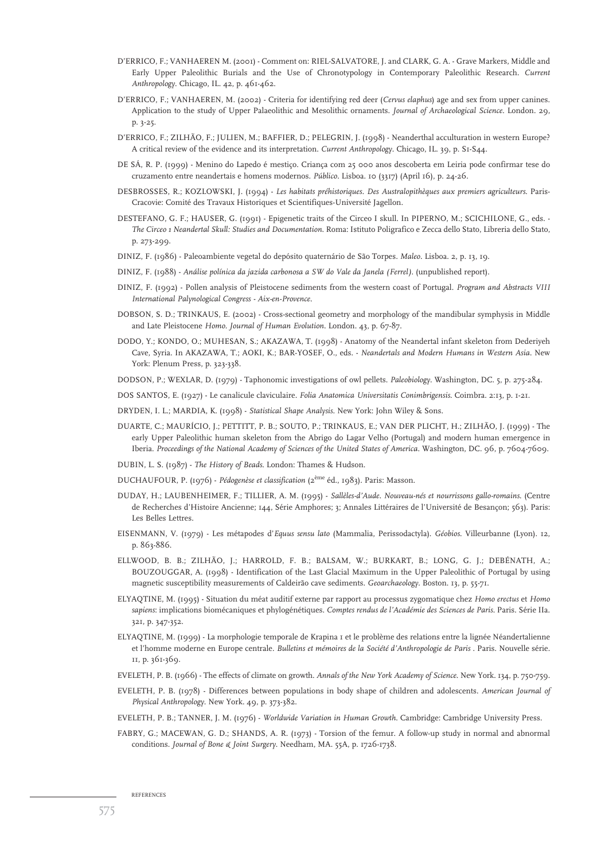- D'ERRICO, F.; VANHAEREN M. (2001) Comment on: RIEL-SALVATORE, J. and CLARK, G. A. Grave Markers, Middle and Early Upper Paleolithic Burials and the Use of Chronotypology in Contemporary Paleolithic Research. *Current Anthropology*. Chicago, IL. 42, p. 461-462.
- D'ERRICO, F.; VANHAEREN, M. (2002) Criteria for identifying red deer (*Cervus elaphus*) age and sex from upper canines. Application to the study of Upper Palaeolithic and Mesolithic ornaments. *Journal of Archaeological Science*. London. 29, p. 3-25.
- D'ERRICO, F.; ZILHÃO, F.; JULIEN, M.; BAFFIER, D.; PELEGRIN, J. (1998) Neanderthal acculturation in western Europe? A critical review of the evidence and its interpretation. *Current Anthropology*. Chicago, IL. 39, p. S1-S44.
- DE SÁ, R. P. (1999) Menino do Lapedo é mestiço. Criança com 25 000 anos descoberta em Leiria pode confirmar tese do cruzamento entre neandertais e homens modernos. *Público*. Lisboa. 10 (3317) (April 16), p. 24-26.
- DESBROSSES, R.; KOZLOWSKI, J. (1994) *Les habitats préhistoriques. Des Australopithèques aux premiers agriculteurs*. Paris-Cracovie: Comité des Travaux Historiques et Scientifiques-Université Jagellon.
- DESTEFANO, G. F.; HAUSER, G. (1991) Epigenetic traits of the Circeo I skull. In PIPERNO, M.; SCICHILONE, G., eds. *The Circeo 1 Neandertal Skull: Studies and Documentation*. Roma: Istituto Poligrafico e Zecca dello Stato, Libreria dello Stato, p. 273-299.
- DINIZ, F. (1986) Paleoambiente vegetal do depósito quaternário de São Torpes*. Maleo*. Lisboa. 2, p. 13, 19.
- DINIZ, F. (1988) *Análise polínica da jazida carbonosa a SW do Vale da Janela (Ferrel)*. (unpublished report).
- DINIZ, F. (1992) Pollen analysis of Pleistocene sediments from the western coast of Portugal. *Program and Abstracts VIII International Palynological Congress - Aix-en-Provence*.
- DOBSON, S. D.; TRINKAUS, E. (2002) Cross-sectional geometry and morphology of the mandibular symphysis in Middle and Late Pleistocene *Homo*. *Journal of Human Evolution*. London. 43, p. 67-87.
- DODO, Y.; KONDO, O.; MUHESAN, S.; AKAZAWA, T. (1998) Anatomy of the Neandertal infant skeleton from Dederiyeh Cave, Syria. In AKAZAWA, T.; AOKI, K.; BAR-YOSEF, O., eds. - *Neandertals and Modern Humans in Western Asia*. New York: Plenum Press, p. 323-338.
- DODSON, P.; WEXLAR, D. (1979) Taphonomic investigations of owl pellets. *Paleobiology*. Washington, DC. 5, p. 275-284.
- DOS SANTOS, E. (1927) Le canalicule claviculaire. *Folia Anatomica Universitatis Conimbrigensis*. Coimbra. 2:13, p. 1-21.
- DRYDEN, I. L.; MARDIA, K. (1998) *Statistical Shape Analysis*. New York: John Wiley & Sons.
- DUARTE, C.; MAURÍCIO, J.; PETTITT, P. B.; SOUTO, P.; TRINKAUS, E.; VAN DER PLICHT, H.; ZILHÃO, J. (1999) The early Upper Paleolithic human skeleton from the Abrigo do Lagar Velho (Portugal) and modern human emergence in Iberia. *Proceedings of the National Academy of Sciences of the United States of America*. Washington, DC. 96, p. 7604-7609.
- DUBIN, L. S. (1987) *The History of Beads*. London: Thames & Hudson.
- DUCHAUFOUR, P. (1976) *Pédogenèse et classification* (2ème éd., 1983). Paris: Masson.
- DUDAY, H.; LAUBENHEIMER, F.; TILLIER, A. M. (1995) *Sallèles-d'Aude. Nouveau-nés et nourrissons gallo-romains*. (Centre de Recherches d'Histoire Ancienne; 144, Série Amphores; 3; Annales Littéraires de l'Université de Besançon; 563). Paris: Les Belles Lettres.
- EISENMANN, V. (1979) Les métapodes d'*Equus sensu lato* (Mammalia, Perissodactyla). *Géobios*. Villeurbanne (Lyon). 12, p. 863-886.
- ELLWOOD, B. B.; ZILHÃO, J.; HARROLD, F. B.; BALSAM, W.; BURKART, B.; LONG, G. J.; DEBÉNATH, A.; BOUZOUGGAR, A. (1998) - Identification of the Last Glacial Maximum in the Upper Paleolithic of Portugal by using magnetic susceptibility measurements of Caldeirão cave sediments. *Geoarchaeology*. Boston. 13, p. 55-71.
- ELYAQTINE, M. (1995) Situation du méat auditif externe par rapport au processus zygomatique chez *Homo erectus* et *Homo sapiens*: implications biomécaniques et phylogénétiques. *Comptes rendus de l'Académie des Sciences de Paris*. Paris. Série IIa. 321, p. 347-352.
- ELYAQTINE, M. (1999) La morphologie temporale de Krapina 1 et le problème des relations entre la lignée Néandertalienne et l'homme moderne en Europe centrale. *Bulletins et mémoires de la Société d'Anthropologie de Paris* . Paris. Nouvelle série. 11, p. 361-369.
- EVELETH, P. B. (1966) The effects of climate on growth. *Annals of the New York Academy of Science*. New York. 134, p. 750-759.
- EVELETH, P. B. (1978) Differences between populations in body shape of children and adolescents. *American Journal of Physical Anthropology*. New York. 49, p. 373-382.
- EVELETH, P. B.; TANNER, J. M. (1976) *Worldwide Variation in Human Growth*. Cambridge: Cambridge University Press.
- FABRY, G.; MACEWAN, G. D.; SHANDS, A. R. (1973) Torsion of the femur. A follow-up study in normal and abnormal conditions. *Journal of Bone & Joint Surgery*. Needham, MA. 55A, p. 1726-1738.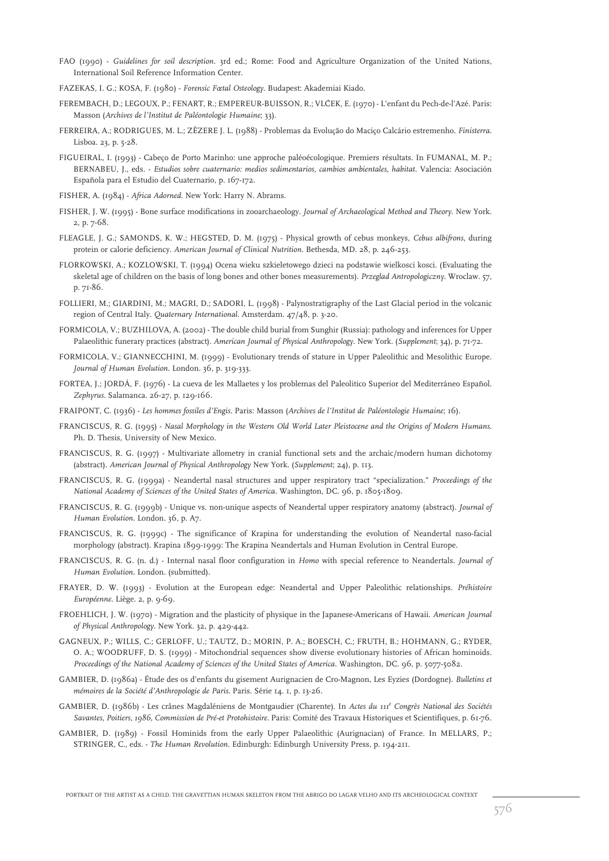- FAO (1990) *Guidelines for soil description.* 3rd ed.; Rome: Food and Agriculture Organization of the United Nations, International Soil Reference Information Center.
- FAZEKAS, I. G.; KOSA, F. (1980) *Forensic Fœtal Osteology*. Budapest: Akademiai Kiado.
- FEREMBACH, D.; LEGOUX, P.; FENART, R.; EMPEREUR-BUISSON, R.; VLČEK, E. (1970) L'enfant du Pech-de-l'Azé. Paris: Masson (*Archives de l'Institut de Paléontologie Humaine*; 33).
- FERREIRA, A.; RODRIGUES, M. L.; ZÊZERE J. L. (1988) Problemas da Evolução do Maciço Calcário estremenho. *Finisterra*. Lisboa. 23, p. 5-28.
- FIGUEIRAL, I. (1993) Cabeço de Porto Marinho: une approche paléoécologique. Premiers résultats. In FUMANAL, M. P.; BERNABEU, J., eds. - *Estudios sobre cuaternario: medios sedimentarios, cambios ambientales, habitat*. Valencia: Asociación Española para el Estudio del Cuaternario, p. 167-172.
- FISHER, A. (1984) *Africa Adorned*. New York: Harry N. Abrams.
- FISHER, J. W. (1995) Bone surface modifications in zooarchaeology. *Journal of Archaeological Method and Theory*. New York. 2, p. 7-68.
- FLEAGLE, J. G.; SAMONDS, K. W.; HEGSTED, D. M. (1975) Physical growth of cebus monkeys, *Cebus albifrons*, during protein or calorie deficiency. *American Journal of Clinical Nutrition*. Bethesda, MD. 28, p. 246-253.
- FLORKOWSKI, A.; KOZLOWSKI, T. (1994) Ocena wieku szkieletowego dzieci na podstawie wielkosci kosci. (Evaluating the skeletal age of children on the basis of long bones and other bones measurements). *Przeglad Antropologiczny*. Wroclaw. 57, p. 71-86.
- FOLLIERI, M.; GIARDINI, M.; MAGRI, D.; SADORI, L. (1998) Palynostratigraphy of the Last Glacial period in the volcanic region of Central Italy. *Quaternary International*. Amsterdam. 47/48, p. 3-20.
- FORMICOLA, V.; BUZHILOVA, A. (2002) The double child burial from Sunghir (Russia): pathology and inferences for Upper Palaeolithic funerary practices (abstract). *American Journal of Physical Anthropology*. New York. (*Supplement*; 34), p. 71-72.
- FORMICOLA, V.; GIANNECCHINI, M. (1999) Evolutionary trends of stature in Upper Paleolithic and Mesolithic Europe. *Journal of Human Evolution*. London. 36, p. 319-333.
- FORTEA, J.; JORDÁ, F. (1976) La cueva de les Mallaetes y los problemas del Paleolitico Superior del Mediterráneo Español. *Zephyrus*. Salamanca. 26-27, p. 129-166.
- FRAIPONT, C. (1936) *Les hommes fossiles d'Engis*. Paris: Masson (*Archives de l'Institut de Paléontologie Humaine*; 16).
- FRANCISCUS, R. G. (1995) *Nasal Morphology in the Western Old World Later Pleistocene and the Origins of Modern Humans*. Ph. D. Thesis, University of New Mexico.
- FRANCISCUS, R. G. (1997) Multivariate allometry in cranial functional sets and the archaic/modern human dichotomy (abstract). *American Journal of Physical Anthropology* New York. (*Supplement*; 24), p. 113.
- FRANCISCUS, R. G. (1999a) Neandertal nasal structures and upper respiratory tract "specialization." *Proceedings of the National Academy of Sciences of the United States of America*. Washington, DC. 96, p. 1805-1809.
- FRANCISCUS, R. G. (1999b) Unique vs. non-unique aspects of Neandertal upper respiratory anatomy (abstract). *Journal of Human Evolution*. London. 36, p. A7.
- FRANCISCUS, R. G. (1999c) The significance of Krapina for understanding the evolution of Neandertal naso-facial morphology (abstract). Krapina 1899-1999: The Krapina Neandertals and Human Evolution in Central Europe.
- FRANCISCUS, R. G. (n. d.) Internal nasal floor configuration in *Homo* with special reference to Neandertals. *Journal of Human Evolution*. London. (submitted).
- FRAYER, D. W. (1993) Evolution at the European edge: Neandertal and Upper Paleolithic relationships. *Préhistoire Européenne*. Liège. 2, p. 9-69.
- FROEHLICH, J. W. (1970) Migration and the plasticity of physique in the Japanese-Americans of Hawaii. *American Journal of Physical Anthropology*. New York. 32, p. 429-442.
- GAGNEUX, P.; WILLS, C.; GERLOFF, U.; TAUTZ, D.; MORIN, P. A.; BOESCH, C.; FRUTH, B.; HOHMANN, G.; RYDER, O. A.; WOODRUFF, D. S. (1999) - Mitochondrial sequences show diverse evolutionary histories of African hominoids. *Proceedings of the National Academy of Sciences of the United States of America*. Washington, DC. 96, p. 5077-5082.
- GAMBIER, D. (1986a) Étude des os d'enfants du gisement Aurignacien de Cro-Magnon, Les Eyzies (Dordogne). *Bulletins et mémoires de la Société d'Anthropologie de Paris*. Paris. Série 14. 1, p. 13-26.
- GAMBIER, D. (1986b) Les crânes Magdaléniens de Montgaudier (Charente). In *Actes du 111e Congrès National des Sociétés Savantes, Poitiers, 1986, Commission de Pré-et Protohistoire*. Paris: Comité des Travaux Historiques et Scientifiques, p. 61-76.
- GAMBIER, D. (1989) Fossil Hominids from the early Upper Palaeolithic (Aurignacian) of France. In MELLARS, P.; STRINGER, C., eds. - *The Human Revolution*. Edinburgh: Edinburgh University Press, p. 194-211.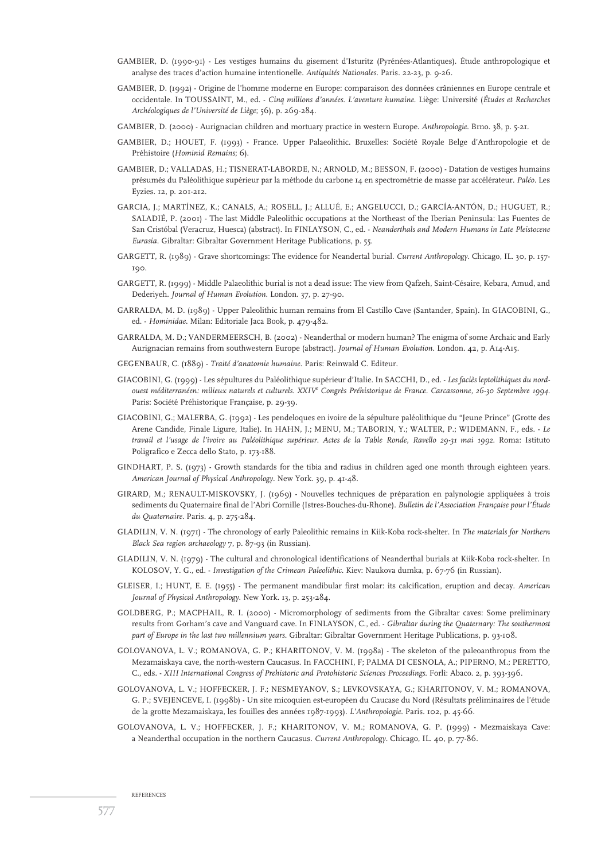- GAMBIER, D. (1990-91) Les vestiges humains du gisement d'Isturitz (Pyrénées-Atlantiques). Étude anthropologique et analyse des traces d'action humaine intentionelle. *Antiquités Nationales*. Paris. 22-23, p. 9-26.
- GAMBIER, D. (1992) Origine de l'homme moderne en Europe: comparaison des données crâniennes en Europe centrale et occidentale. In TOUSSAINT, M., ed. - *Cinq millions d'années. L'aventure humaine*. Liège: Université (*Études et Recherches Archéologiques de l'Université de Liège*; 56), p. 269-284.
- GAMBIER, D. (2000) Aurignacian children and mortuary practice in western Europe. *Anthropologie*. Brno. 38, p. 5-21.
- GAMBIER, D.; HOUET, F. (1993) France. Upper Palaeolithic. Bruxelles: Société Royale Belge d'Anthropologie et de Préhistoire (*Hominid Remains*; 6).
- GAMBIER, D.; VALLADAS, H.; TISNERAT-LABORDE, N.; ARNOLD, M.; BESSON, F. (2000) Datation de vestiges humains présumés du Paléolithique supérieur par la méthode du carbone 14 en spectrométrie de masse par accélérateur. *Paléo*. Les Eyzies. 12, p. 201-212.
- GARCIA, J.; MARTÍNEZ, K.; CANALS, A.; ROSELL, J.; ALLUÉ, E.; ANGELUCCI, D.; GARCÍA-ANTÓN, D.; HUGUET, R.; SALADIÉ, P. (2001) - The last Middle Paleolithic occupations at the Northeast of the Iberian Peninsula: Las Fuentes de San Cristóbal (Veracruz, Huesca) (abstract). In FINLAYSON, C., ed. - *Neanderthals and Modern Humans in Late Pleistocene Eurasia*. Gibraltar: Gibraltar Government Heritage Publications, p. 55.
- GARGETT, R. (1989) Grave shortcomings: The evidence for Neandertal burial. *Current Anthropology*. Chicago, IL. 30, p. 157- 190.
- GARGETT, R. (1999) Middle Palaeolithic burial is not a dead issue: The view from Qafzeh, Saint-Césaire, Kebara, Amud, and Dederiyeh. *Journal of Human Evolution*. London. 37, p. 27-90.
- GARRALDA, M. D. (1989) Upper Paleolithic human remains from El Castillo Cave (Santander, Spain). In GIACOBINI, G., ed. - *Hominidae*. Milan: Editoriale Jaca Book, p. 479-482.
- GARRALDA, M. D.; VANDERMEERSCH, B. (2002) Neanderthal or modern human? The enigma of some Archaic and Early Aurignacian remains from southwestern Europe (abstract). *Journal of Human Evolution*. London. 42, p. A14-A15.
- GEGENBAUR, C. (1889) *Traité d'anatomie humaine*. Paris: Reinwald C. Editeur.
- GIACOBINI, G. (1999) Les sépultures du Paléolithique supérieur d'Italie. In SACCHI, D., ed. *Les faciès leptolithiques du nordouest méditerranéen: milieux naturels et culturels. XXIVe Congrès Préhistorique de France. Carcassonne, 26-30 Septembre 1994*. Paris: Société Préhistorique Française, p. 29-39.
- GIACOBINI, G.; MALERBA, G. (1992) Les pendeloques en ivoire de la sépulture paléolithique du "Jeune Prince" (Grotte des Arene Candide, Finale Ligure, Italie). In HAHN, J.; MENU, M.; TABORIN, Y.; WALTER, P.; WIDEMANN, F., eds. - *Le travail et l'usage de l'ivoire au Paléolithique supérieur. Actes de la Table Ronde, Ravello 29-31 mai 1992*. Roma: Istituto Poligrafico e Zecca dello Stato, p. 173-188.
- GINDHART, P. S. (1973) Growth standards for the tibia and radius in children aged one month through eighteen years. *American Journal of Physical Anthropology*. New York. 39, p. 41-48.
- GIRARD, M.; RENAULT-MISKOVSKY, J. (1969) Nouvelles techniques de préparation en palynologie appliquées à trois sediments du Quaternaire final de l'Abri Cornille (Istres-Bouches-du-Rhone). *Bulletin de l'Association Française pour l'Étude du Quaternaire*. Paris. 4, p. 275-284.
- GLADILIN, V. N. (1971) The chronology of early Paleolithic remains in Kiik-Koba rock-shelter. In *The materials for Northern Black Sea region archaeology* 7, p. 87-93 (in Russian).
- GLADILIN, V. N. (1979) The cultural and chronological identifications of Neanderthal burials at Kiik-Koba rock-shelter. In KOLOSOV, Y. G., ed. - *Investigation of the Crimean Paleolithic*. Kiev: Naukova dumka, p. 67-76 (in Russian).
- GLEISER, I.; HUNT, E. E. (1955) The permanent mandibular first molar: its calcification, eruption and decay. *American Journal of Physical Anthropology*. New York. 13, p. 253-284.
- GOLDBERG, P.; MACPHAIL, R. I. (2000) Micromorphology of sediments from the Gibraltar caves: Some preliminary results from Gorham's cave and Vanguard cave. In FINLAYSON, C., ed. - *Gibraltar during the Quaternary: The southermost part of Europe in the last two millennium years*. Gibraltar: Gibraltar Government Heritage Publications, p. 93-108.
- GOLOVANOVA, L. V.; ROMANOVA, G. P.; KHARITONOV, V. M. (1998a) The skeleton of the paleoanthropus from the Mezamaiskaya cave, the north-western Caucasus. In FACCHINI, F; PALMA DI CESNOLA, A.; PIPERNO, M.; PERETTO, C., eds. - *XIII International Congress of Prehistoric and Protohistoric Sciences Proceedings*. Forlì: Abaco. 2, p. 393-396.
- GOLOVANOVA, L. V.; HOFFECKER, J. F.; NESMEYANOV, S.; LEVKOVSKAYA, G.; KHARITONOV, V. M.; ROMANOVA, G. P.; SVEJENCEVE, I. (1998b) - Un site micoquien est-européen du Caucase du Nord (Résultats préliminaires de l'étude de la grotte Mezamaiskaya, les fouilles des années 1987-1993). *L'Anthropologie*. Paris. 102, p. 45-66.
- GOLOVANOVA, L. V.; HOFFECKER, J. F.; KHARITONOV, V. M.; ROMANOVA, G. P. (1999) Mezmaiskaya Cave: a Neanderthal occupation in the northern Caucasus. *Current Anthropology*. Chicago, IL. 40, p. 77-86.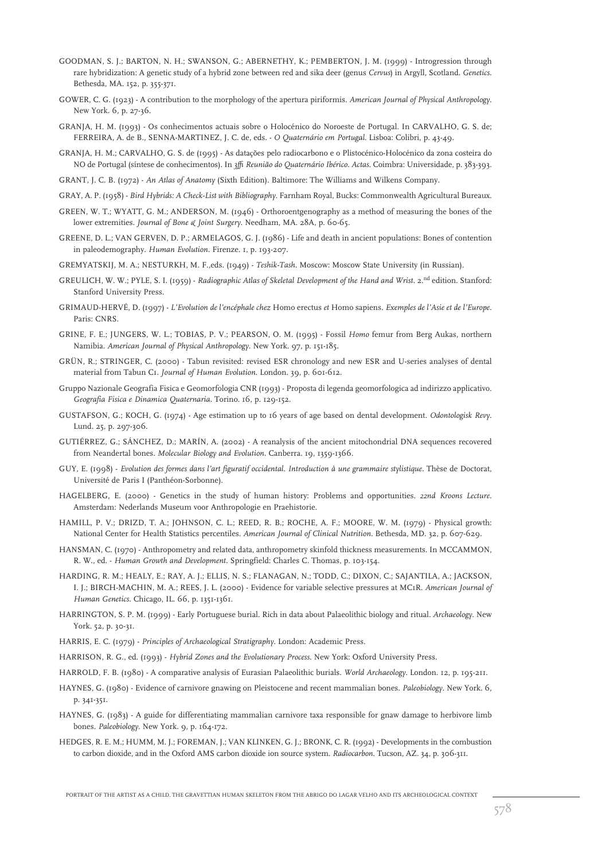- GOODMAN, S. J.; BARTON, N. H.; SWANSON, G.; ABERNETHY, K.; PEMBERTON, J. M. (1999) Introgression through rare hybridization: A genetic study of a hybrid zone between red and sika deer (genus *Cervus*) in Argyll, Scotland. *Genetics*. Bethesda, MA. 152, p. 355-371.
- GOWER, C. G. (1923) A contribution to the morphology of the apertura piriformis. *American Journal of Physical Anthropology*. New York. 6, p. 27-36.
- GRANJA, H. M. (1993) Os conhecimentos actuais sobre o Holocénico do Noroeste de Portugal*.* In CARVALHO, G. S. de; FERREIRA, A. de B., SENNA-MARTINEZ, J. C. de, eds. - *O Quaternário em Portugal*. Lisboa: Colibri, p. 43-49.
- GRANJA, H. M.; CARVALHO, G. S. de (1995) As datações pelo radiocarbono e o Plistocénico-Holocénico da zona costeira do NO de Portugal (síntese de conhecimentos). In *3ª Reunião do Quaternário Ibérico. Actas*. Coimbra: Universidade, p. 383-393.
- GRANT, J. C. B. (1972) *An Atlas of Anatomy* (Sixth Edition). Baltimore: The Williams and Wilkens Company.
- GRAY, A. P. (1958) *Bird Hybrids: A Check-List with Bibliography*. Farnham Royal, Bucks: Commonwealth Agricultural Bureaux.
- GREEN, W. T.; WYATT, G. M.; ANDERSON, M. (1946) Orthoroentgenography as a method of measuring the bones of the lower extremities. *Journal of Bone & Joint Surgery*. Needham, MA. 28A, p. 60-65.
- GREENE, D. L.; VAN GERVEN, D. P.; ARMELAGOS, G. J. (1986) Life and death in ancient populations: Bones of contention in paleodemography. *Human Evolution*. Firenze. 1, p. 193-207.
- GREMYATSKIJ, M. A.; NESTURKH, M. F.,eds. (1949) *Teshik-Tash*. Moscow: Moscow State University (in Russian).
- GREULICH, W. W.; PYLE, S. I. (1959) *Radiographic Atlas of Skeletal Development of the Hand and Wrist*. 2.<sup>nd</sup> edition. Stanford: Stanford University Press.
- GRIMAUD-HERVÉ, D. (1997) *L'Evolution de l'encéphale chez* Homo erectus *et* Homo sapiens. *Exemples de l'Asie et de l'Europe*. Paris: CNRS.
- GRINE, F. E.; JUNGERS, W. L.; TOBIAS, P. V.; PEARSON, O. M. (1995) Fossil *Homo* femur from Berg Aukas, northern Namibia. *American Journal of Physical Anthropology*. New York. 97, p. 151-185.
- GRÜN, R.; STRINGER, C. (2000) Tabun revisited: revised ESR chronology and new ESR and U-series analyses of dental material from Tabun C1. *Journal of Human Evolution*. London. 39, p. 601-612.
- Gruppo Nazionale Geografia Fisica e Geomorfologia CNR (1993) Proposta di legenda geomorfologica ad indirizzo applicativo. *Geografia Fisica e Dinamica Quaternaria*. Torino. 16, p. 129-152.
- GUSTAFSON, G.; KOCH, G. (1974) Age estimation up to 16 years of age based on dental development. *Odontologisk Revy*. Lund. 25, p. 297-306.
- GUTIÉRREZ, G.; SÁNCHEZ, D.; MARÍN, A. (2002) A reanalysis of the ancient mitochondrial DNA sequences recovered from Neandertal bones. *Molecular Biology and Evolution*. Canberra. 19, 1359-1366.
- GUY, E. (1998) *Evolution des formes dans l'art figuratif occidental. Introduction à une grammaire stylistique*. Thèse de Doctorat, Université de Paris I (Panthéon-Sorbonne).
- HAGELBERG, E. (2000) Genetics in the study of human history: Problems and opportunities. *22nd Kroons Lecture*. Amsterdam: Nederlands Museum voor Anthropologie en Praehistorie.
- HAMILL, P. V.; DRIZD, T. A.; JOHNSON, C. L.; REED, R. B.; ROCHE, A. F.; MOORE, W. M. (1979) Physical growth: National Center for Health Statistics percentiles. *American Journal of Clinical Nutrition*. Bethesda, MD. 32, p. 607-629.
- HANSMAN, C. (1970) Anthropometry and related data, anthropometry skinfold thickness measurements. In MCCAMMON, R. W., ed. - *Human Growth and Development*. Springfield: Charles C. Thomas, p. 103-154.
- HARDING, R. M.; HEALY, E.; RAY, A. J.; ELLIS, N. S.; FLANAGAN, N.; TODD, C.; DIXON, C.; SAJANTILA, A.; JACKSON, I. J.; BIRCH-MACHIN, M. A.; REES, J. L. (2000) - Evidence for variable selective pressures at MC1R. *American Journal of Human Genetics*. Chicago, IL. 66, p. 1351-1361.
- HARRINGTON, S. P. M. (1999) Early Portuguese burial. Rich in data about Palaeolithic biology and ritual. *Archaeology*. New York. 52, p. 30-31.
- HARRIS, E. C. (1979) *Principles of Archaeological Stratigraphy.* London: Academic Press.
- HARRISON, R. G., ed. (1993) *Hybrid Zones and the Evolutionary Process*. New York: Oxford University Press.
- HARROLD, F. B. (1980) A comparative analysis of Eurasian Palaeolithic burials. *World Archaeology*. London. 12, p. 195-211.
- HAYNES, G. (1980) Evidence of carnivore gnawing on Pleistocene and recent mammalian bones. *Paleobiology*. New York. 6, p. 341-351.
- HAYNES, G. (1983) A guide for differentiating mammalian carnivore taxa responsible for gnaw damage to herbivore limb bones. *Paleobiology*. New York. 9, p. 164-172.
- HEDGES, R. E. M.; HUMM, M. J.; FOREMAN, J.; VAN KLINKEN, G. J.; BRONK, C. R. (1992) Developments in the combustion to carbon dioxide, and in the Oxford AMS carbon dioxide ion source system. *Radiocarbon*. Tucson, AZ. 34, p. 306-311.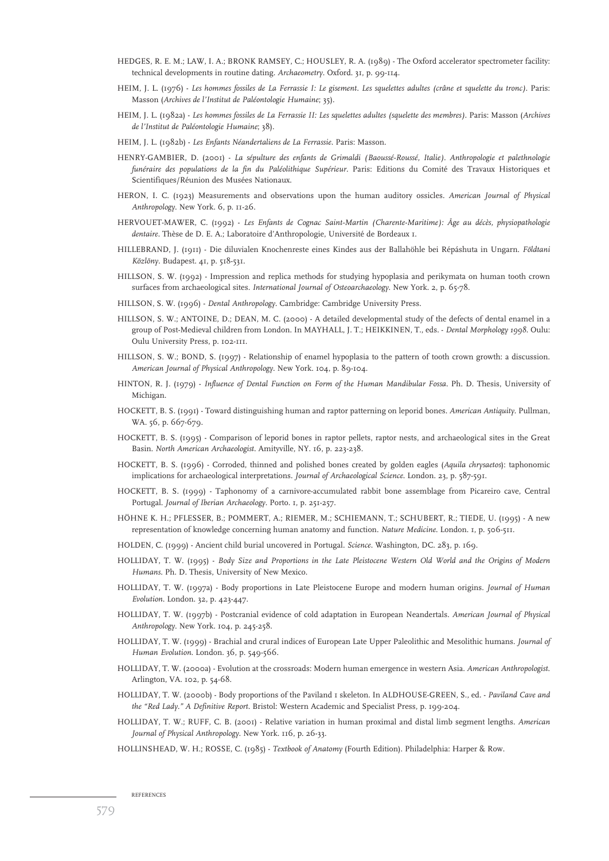- HEDGES, R. E. M.; LAW, I. A.; BRONK RAMSEY, C.; HOUSLEY, R. A. (1989) The Oxford accelerator spectrometer facility: technical developments in routine dating. *Archaeometry*. Oxford. 31, p. 99-114.
- HEIM, J. L. (1976) *Les hommes fossiles de La Ferrassie I: Le gisement. Les squelettes adultes (crâne et squelette du tronc).* Paris: Masson (*Archives de l'Institut de Paléontologie Humaine*; 35).
- HEIM, J. L. (1982a) *Les hommes fossiles de La Ferrassie II: Les squelettes adultes (squelette des membres).* Paris: Masson (*Archives de l'Institut de Paléontologie Humaine*; 38).
- HEIM, J. L. (1982b) *Les Enfants Néandertaliens de La Ferrassie*. Paris: Masson.
- HENRY-GAMBIER, D. (2001) *La sépulture des enfants de Grimaldi (Baoussé-Roussé, Italie). Anthropologie et palethnologie funéraire des populations de la fin du Paléolithique Supérieur*. Paris: Editions du Comité des Travaux Historiques et Scientifiques/Réunion des Musées Nationaux.
- HERON, I. C. (1923) Measurements and observations upon the human auditory ossicles. *American Journal of Physical Anthropology*. New York. 6, p. 11-26.
- HERVOUET-MAWER, C. (1992) *Les Enfants de Cognac Saint-Martin (Charente-Maritime): Âge au décès, physiopathologie dentaire.* Thèse de D. E. A.; Laboratoire d'Anthropologie, Université de Bordeaux 1.
- HILLEBRAND, J. (1911) Die diluvialen Knochenreste eines Kindes aus der Ballahöhle bei Répáshuta in Ungarn. *Földtani Közlöny*. Budapest. 41, p. 518-531.
- HILLSON, S. W. (1992) Impression and replica methods for studying hypoplasia and perikymata on human tooth crown surfaces from archaeological sites. *International Journal of Osteoarchaeology*. New York. 2, p. 65-78.
- HILLSON, S. W. (1996) *Dental Anthropology.* Cambridge: Cambridge University Press.
- HILLSON, S. W.; ANTOINE, D.; DEAN, M. C. (2000) A detailed developmental study of the defects of dental enamel in a group of Post-Medieval children from London. In MAYHALL, J. T.; HEIKKINEN, T., eds. - *Dental Morphology 1998*. Oulu: Oulu University Press, p. 102-111.
- HILLSON, S. W.; BOND, S. (1997) Relationship of enamel hypoplasia to the pattern of tooth crown growth: a discussion. *American Journal of Physical Anthropology*. New York. 104, p. 89-104.
- HINTON, R. J. (1979) *Influence of Dental Function on Form of the Human Mandibular Fossa*. Ph. D. Thesis, University of Michigan.
- HOCKETT, B. S. (1991) Toward distinguishing human and raptor patterning on leporid bones. *American Antiquity*. Pullman, WA. 56, p. 667-679.
- HOCKETT, B. S. (1995) Comparison of leporid bones in raptor pellets, raptor nests, and archaeological sites in the Great Basin. *North American Archaeologist*. Amityville, NY. 16, p. 223-238.
- HOCKETT, B. S. (1996) Corroded, thinned and polished bones created by golden eagles (*Aquila chrysaetos*): taphonomic implications for archaeological interpretations. *Journal of Archaeological Science*. London. 23, p. 587-591.
- HOCKETT, B. S. (1999) Taphonomy of a carnivore-accumulated rabbit bone assemblage from Picareiro cave, Central Portugal. *Journal of Iberian Archaeology*. Porto. 1, p. 251-257.
- HÖHNE K. H.; PFLESSER, B.; POMMERT, A.; RIEMER, M.; SCHIEMANN, T.; SCHUBERT, R.; TIEDE, U. (1995) A new representation of knowledge concerning human anatomy and function. *Nature Medicine*. London. 1, p. 506-511.
- HOLDEN, C. (1999) Ancient child burial uncovered in Portugal. *Science*. Washington, DC. 283, p. 169.
- HOLLIDAY, T. W. (1995) *Body Size and Proportions in the Late Pleistocene Western Old World and the Origins of Modern Humans*. Ph. D. Thesis, University of New Mexico.
- HOLLIDAY, T. W. (1997a) Body proportions in Late Pleistocene Europe and modern human origins. *Journal of Human Evolution*. London. 32, p. 423-447.
- HOLLIDAY, T. W. (1997b) Postcranial evidence of cold adaptation in European Neandertals. *American Journal of Physical Anthropology*. New York. 104, p. 245-258.
- HOLLIDAY, T. W. (1999) Brachial and crural indices of European Late Upper Paleolithic and Mesolithic humans. *Journal of Human Evolution*. London. 36, p. 549-566.
- HOLLIDAY, T. W. (2000a) Evolution at the crossroads: Modern human emergence in western Asia. *American Anthropologist*. Arlington, VA. 102, p. 54-68.
- HOLLIDAY, T. W. (2000b) Body proportions of the Paviland 1 skeleton. In ALDHOUSE-GREEN, S., ed. *Paviland Cave and the "Red Lady." A Definitive Report*. Bristol: Western Academic and Specialist Press, p. 199-204.
- HOLLIDAY, T. W.; RUFF, C. B. (2001) Relative variation in human proximal and distal limb segment lengths. *American Journal of Physical Anthropology*. New York. 116, p. 26-33.
- HOLLINSHEAD, W. H.; ROSSE, C. (1985) *Textbook of Anatomy* (Fourth Edition). Philadelphia: Harper & Row.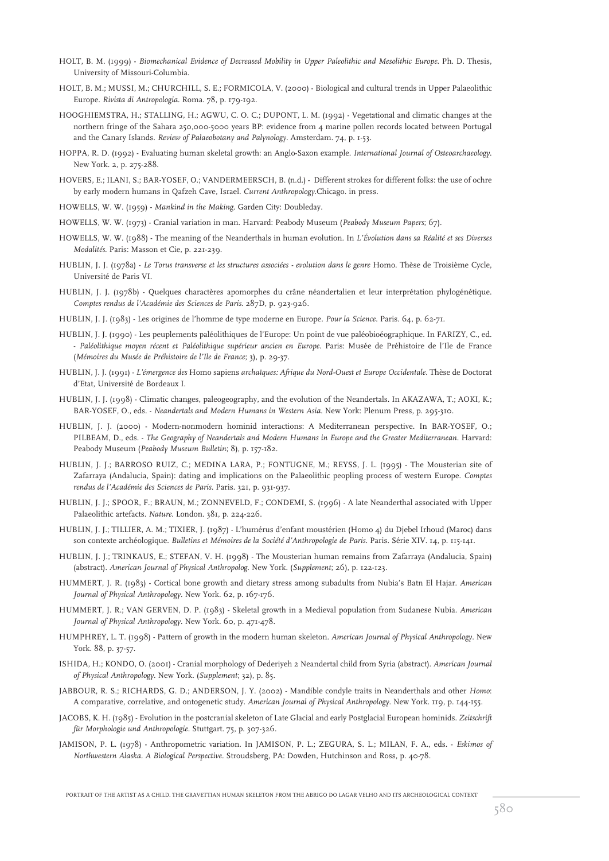- HOLT, B. M. (1999) *Biomechanical Evidence of Decreased Mobility in Upper Paleolithic and Mesolithic Europe*. Ph. D. Thesis, University of Missouri-Columbia.
- HOLT, B. M.; MUSSI, M.; CHURCHILL, S. E.; FORMICOLA, V. (2000) Biological and cultural trends in Upper Palaeolithic Europe. *Rivista di Antropologia*. Roma. 78, p. 179-192.
- HOOGHIEMSTRA, H.; STALLING, H.; AGWU, C. O. C.; DUPONT, L. M. (1992) Vegetational and climatic changes at the northern fringe of the Sahara 250,000-5000 years BP: evidence from 4 marine pollen records located between Portugal and the Canary Islands. *Review of Palaeobotany and Palynology*. Amsterdam. 74, p. 1-53.
- HOPPA, R. D. (1992) Evaluating human skeletal growth: an Anglo-Saxon example. *International Journal of Osteoarchaeology*. New York. 2, p. 275-288.
- HOVERS, E.; ILANI, S.; BAR-YOSEF, O.; VANDERMEERSCH, B. (n.d.) Different strokes for different folks: the use of ochre by early modern humans in Qafzeh Cave, Israel. *Current Anthropology*.Chicago. in press.
- HOWELLS, W. W. (1959) *Mankind in the Making*. Garden City: Doubleday.
- HOWELLS, W. W. (1973) Cranial variation in man. Harvard: Peabody Museum (*Peabody Museum Papers*; 67).
- HOWELLS, W. W. (1988) The meaning of the Neanderthals in human evolution. In *L'Évolution dans sa Réalité et ses Diverses Modalités*. Paris: Masson et Cie, p. 221-239.
- HUBLIN, J. J. (1978a) *Le Torus transverse et les structures associées evolution dans le genre* Homo. Thèse de Troisième Cycle, Université de Paris VI.
- HUBLIN, J. J. (1978b) Quelques charactères apomorphes du crâne néandertalien et leur interprétation phylogénétique. *Comptes rendus de l'Académie des Sciences de Paris*. 287D, p. 923-926.
- HUBLIN, J. J. (1983) Les origines de l'homme de type moderne en Europe. *Pour la Science*. Paris. 64, p. 62-71.
- HUBLIN, J. J. (1990) Les peuplements paléolithiques de l'Europe: Un point de vue paléobioéographique. In FARIZY, C., ed. - *Paléolithique moyen récent et Paléolithique supérieur ancien en Europe.* Paris: Musée de Préhistoire de l'Ile de France (*Mémoires du Musée de Préhistoire de l'Ile de France*; 3), p. 29-37.
- HUBLIN, J. J. (1991) *L'émergence des* Homo sapiens *archaïques: Afrique du Nord-Ouest et Europe Occidentale*. Thèse de Doctorat d'Etat, Université de Bordeaux I.
- HUBLIN, J. J. (1998) Climatic changes, paleogeography, and the evolution of the Neandertals. In AKAZAWA, T.; AOKI, K.; BAR-YOSEF, O., eds. - *Neandertals and Modern Humans in Western Asia*. New York: Plenum Press, p. 295-310.
- HUBLIN, J. J. (2000) Modern-nonmodern hominid interactions: A Mediterranean perspective. In BAR-YOSEF, O.; PILBEAM, D., eds. - *The Geography of Neandertals and Modern Humans in Europe and the Greater Mediterranean*. Harvard: Peabody Museum (*Peabody Museum Bulletin*; 8), p. 157-182.
- HUBLIN, J. J.; BARROSO RUIZ, C.; MEDINA LARA, P.; FONTUGNE, M.; REYSS, J. L. (1995) The Mousterian site of Zafarraya (Andalucia, Spain): dating and implications on the Palaeolithic peopling process of western Europe. *Comptes rendus de l'Académie des Sciences de Paris*. Paris. 321, p. 931-937.
- HUBLIN, J. J.; SPOOR, F.; BRAUN, M.; ZONNEVELD, F.; CONDEMI, S. (1996) A late Neanderthal associated with Upper Palaeolithic artefacts. *Nature*. London. 381, p. 224-226.
- HUBLIN, J. J.; TILLIER, A. M.; TIXIER, J. (1987) L'humérus d'enfant moustérien (Homo 4) du Djebel Irhoud (Maroc) dans son contexte archéologique. *Bulletins et Mémoires de la Société d'Anthropologie de Paris*. Paris. Série XIV. 14, p. 115-141.
- HUBLIN, J. J.; TRINKAUS, E.; STEFAN, V. H. (1998) The Mousterian human remains from Zafarraya (Andalucia, Spain) (abstract). *American Journal of Physical Anthropolog.* New York. (*Supplement*; 26), p. 122-123.
- HUMMERT, J. R. (1983) Cortical bone growth and dietary stress among subadults from Nubia's Batn El Hajar. *American Journal of Physical Anthropology*. New York. 62, p. 167-176.
- HUMMERT, J. R.; VAN GERVEN, D. P. (1983) Skeletal growth in a Medieval population from Sudanese Nubia. *American Journal of Physical Anthropology*. New York. 60, p. 471-478.
- HUMPHREY, L. T. (1998) Pattern of growth in the modern human skeleton. *American Journal of Physical Anthropology*. New York. 88, p. 37-57.
- ISHIDA, H.; KONDO, O. (2001) Cranial morphology of Dederiyeh 2 Neandertal child from Syria (abstract). *American Journal of Physical Anthropology*. New York. (*Supplement*; 32), p. 85.
- JABBOUR, R. S.; RICHARDS, G. D.; ANDERSON, J. Y. (2002) Mandible condyle traits in Neanderthals and other *Homo*: A comparative, correlative, and ontogenetic study. *American Journal of Physical Anthropology*. New York. 119, p. 144-155.
- JACOBS, K. H. (1985) Evolution in the postcranial skeleton of Late Glacial and early Postglacial European hominids. *Zeitschrift für Morphologie und Anthropologie*. Stuttgart. 75, p. 307-326.
- JAMISON, P. L. (1978) Anthropometric variation. In JAMISON, P. L.; ZEGURA, S. L.; MILAN, F. A., eds. *Eskimos of Northwestern Alaska. A Biological Perspective*. Stroudsberg, PA: Dowden, Hutchinson and Ross, p. 40-78.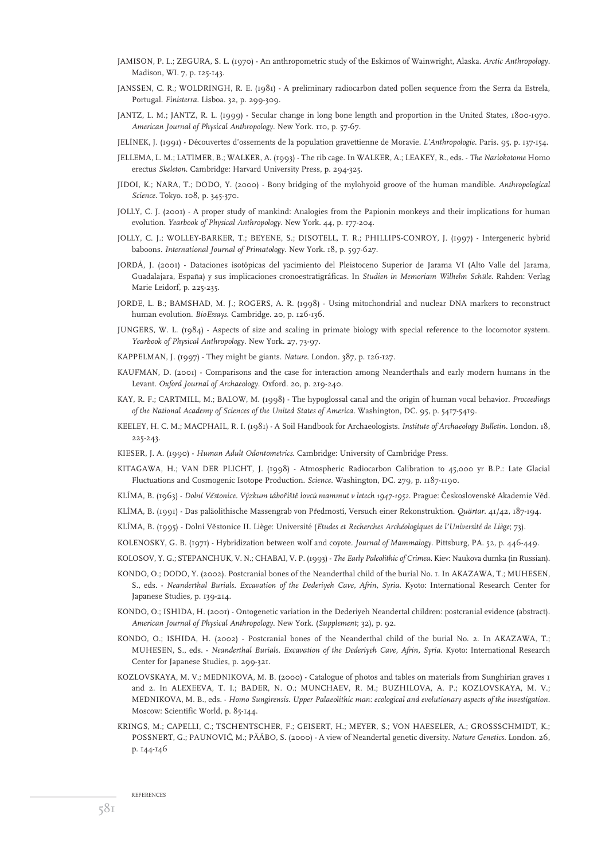- JAMISON, P. L.; ZEGURA, S. L. (1970) An anthropometric study of the Eskimos of Wainwright, Alaska. *Arctic Anthropology*. Madison, WI. 7, p. 125-143.
- JANSSEN, C. R.; WOLDRINGH, R. E. (1981) A preliminary radiocarbon dated pollen sequence from the Serra da Estrela, Portugal. *Finisterra*. Lisboa. 32, p. 299-309.
- JANTZ, L. M.; JANTZ, R. L. (1999) Secular change in long bone length and proportion in the United States, 1800-1970. *American Journal of Physical Anthropology*. New York. 110, p. 57-67.
- JELÍNEK, J. (1991) Découvertes d'ossements de la population gravettienne de Moravie. *L'Anthropologie*. Paris. 95, p. 137-154.
- JELLEMA, L. M.; LATIMER, B.; WALKER, A. (1993) The rib cage. In WALKER, A.; LEAKEY, R., eds. *The Nariokotome* Homo erectus *Skeleton*. Cambridge: Harvard University Press, p. 294-325.
- JIDOI, K.; NARA, T.; DODO, Y. (2000) Bony bridging of the mylohyoid groove of the human mandible. *Anthropological Science*. Tokyo. 108, p. 345-370.
- JOLLY, C. J. (2001) A proper study of mankind: Analogies from the Papionin monkeys and their implications for human evolution. *Yearbook of Physical Anthropology*. New York. 44, p. 177-204.
- JOLLY, C. J.; WOLLEY-BARKER, T.; BEYENE, S.; DISOTELL, T. R.; PHILLIPS-CONROY, J. (1997) Intergeneric hybrid baboons. *International Journal of Primatology*. New York. 18, p. 597-627.
- JORDÁ, J. (2001) Dataciones isotópicas del yacimiento del Pleistoceno Superior de Jarama VI (Alto Valle del Jarama, Guadalajara, España) y sus implicaciones cronoestratigráficas. In *Studien in Memoriam Wilhelm Schüle*. Rahden: Verlag Marie Leidorf, p. 225-235.
- JORDE, L. B.; BAMSHAD, M. J.; ROGERS, A. R. (1998) Using mitochondrial and nuclear DNA markers to reconstruct human evolution. *BioEssays*. Cambridge. 20, p. 126-136.
- JUNGERS, W. L. (1984) Aspects of size and scaling in primate biology with special reference to the locomotor system. *Yearbook of Physical Anthropology*. New York. 27, 73-97.
- KAPPELMAN, J. (1997) They might be giants. *Nature*. London. 387, p. 126-127.
- KAUFMAN, D. (2001) Comparisons and the case for interaction among Neanderthals and early modern humans in the Levant. *Oxford Journal of Archaeology*. Oxford. 20, p. 219-240.
- KAY, R. F.; CARTMILL, M.; BALOW, M. (1998) The hypoglossal canal and the origin of human vocal behavior. *Proceedings of the National Academy of Sciences of the United States of America*. Washington, DC. 95, p. 5417-5419.
- KEELEY, H. C. M.; MACPHAIL, R. I. (1981) A Soil Handbook for Archaeologists. *Institute of Archaeology Bulletin*. London. 18, 225-243.
- KIESER, J. A. (1990) *Human Adult Odontometrics*. Cambridge: University of Cambridge Press.
- KITAGAWA, H.; VAN DER PLICHT, J. (1998) Atmospheric Radiocarbon Calibration to 45,000 yr B.P.: Late Glacial Fluctuations and Cosmogenic Isotope Production. *Science*. Washington, DC. 279, p. 1187-1190.
- KLÍMA, B. (1963) *Dolní Věstonice. Výzkum tábořiště lovců mammut v letech 1947-1952. Prague: Československé Akademie Věd.*
- KLÍMA, B. (1991) Das paläolithische Massengrab von Předmostí, Versuch einer Rekonstruktion. *Quärtar. 41/42*, 187-194.
- KLÍMA, B. (1995) Dolní Věstonice II. Liège: Université (*Etudes et Recherches Archéologiques de l'Université de Liège*; 73).
- KOLENOSKY, G. B. (1971) Hybridization between wolf and coyote. *Journal of Mammalogy*. Pittsburg, PA. 52, p. 446-449.

KOLOSOV, Y. G.; STEPANCHUK, V. N.; CHABAI, V. P. (1993) - *The Early Paleolithic of Crimea*. Kiev: Naukova dumka (in Russian).

- KONDO, O.; DODO, Y. (2002). Postcranial bones of the Neanderthal child of the burial No. 1. In AKAZAWA, T.; MUHESEN, S., eds. - *Neanderthal Burials. Excavation of the Dederiyeh Cave, Afrin, Syria*. Kyoto: International Research Center for Japanese Studies, p. 139-214.
- KONDO, O.; ISHIDA, H. (2001) Ontogenetic variation in the Dederiyeh Neandertal children: postcranial evidence (abstract). *American Journal of Physical Anthropology*. New York. (*Supplement*; 32), p. 92.
- KONDO, O.; ISHIDA, H. (2002) Postcranial bones of the Neanderthal child of the burial No. 2. In AKAZAWA, T.; MUHESEN, S., eds. - *Neanderthal Burials. Excavation of the Dederiyeh Cave, Afrin, Syria*. Kyoto: International Research Center for Japanese Studies, p. 299-321.
- KOZLOVSKAYA, M. V.; MEDNIKOVA, M. B. (2000) Catalogue of photos and tables on materials from Sunghirian graves 1 and 2. In ALEXEEVA, T. I.; BADER, N. O.; MUNCHAEV, R. M.; BUZHILOVA, A. P.; KOZLOVSKAYA, M. V.; MEDNIKOVA, M. B., eds. - *Homo Sungirensis. Upper Palaeolithic man: ecological and evolutionary aspects of the investigation*. Moscow: Scientific World, p. 85-144.
- KRINGS, M.; CAPELLI, C.; TSCHENTSCHER, F.; GEISERT, H.; MEYER, S.; VON HAESELER, A.; GROSSSCHMIDT, K.; POSSNERT, G.; PAUNOVIC´, M.; PÄÄBO, S. (2000) - A view of Neandertal genetic diversity. *Nature Genetics*. London. 26, p. 144-146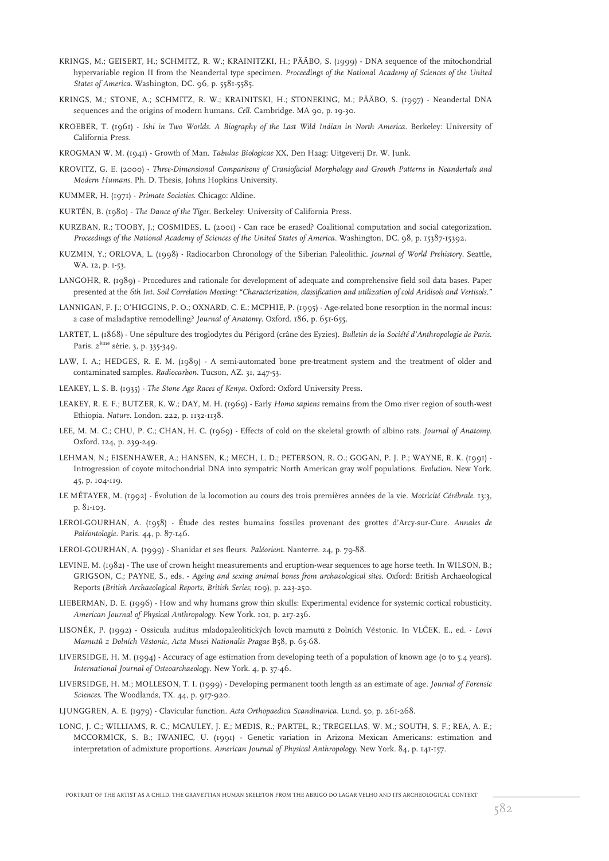- KRINGS, M.; GEISERT, H.; SCHMITZ, R. W.; KRAINITZKI, H.; PÄÄBO, S. (1999) DNA sequence of the mitochondrial hypervariable region II from the Neandertal type specimen. *Proceedings of the National Academy of Sciences of the United States of America*. Washington, DC. 96, p. 5581-5585.
- KRINGS, M.; STONE, A.; SCHMITZ, R. W.; KRAINITSKI, H.; STONEKING, M.; PÄÄBO, S. (1997) Neandertal DNA sequences and the origins of modern humans. *Cell*. Cambridge. MA 90, p. 19-30.
- KROEBER, T. (1961) *Ishi in Two Worlds. A Biography of the Last Wild Indian in North America*. Berkeley: University of California Press.
- KROGMAN W. M. (1941) Growth of Man. *Tabulae Biologicae* XX, Den Haag: Uitgeverij Dr. W. Junk.
- KROVITZ, G. E. (2000) *Three-Dimensional Comparisons of Craniofacial Morphology and Growth Patterns in Neandertals and Modern Humans*. Ph. D. Thesis, Johns Hopkins University.
- KUMMER, H. (1971) *Primate Societies*. Chicago: Aldine.
- KURTÉN, B. (1980) *The Dance of the Tiger*. Berkeley: University of California Press.
- KURZBAN, R.; TOOBY, J.; COSMIDES, L. (2001) Can race be erased? Coalitional computation and social categorization. *Proceedings of the National Academy of Sciences of the United States of America*. Washington, DC. 98, p. 15387-15392.
- KUZMIN, Y.; ORLOVA, L. (1998) Radiocarbon Chronology of the Siberian Paleolithic. *Journal of World Prehistory*. Seattle, WA. 12, p. 1-53.
- LANGOHR, R. (1989) Procedures and rationale for development of adequate and comprehensive field soil data bases. Paper presented at the *6th Int. Soil Correlation Meeting: "Characterization, classification and utilization of cold Aridisols and Vertisols."*
- LANNIGAN, F. J.; O'HIGGINS, P. O.; OXNARD, C. E.; MCPHIE, P. (1995) Age-related bone resorption in the normal incus: a case of maladaptive remodelling? *Journal of Anatomy*. Oxford. 186, p. 651-655.
- LARTET, L. (1868) Une sépulture des troglodytes du Périgord (crâne des Eyzies). *Bulletin de la Société d'Anthropologie de Paris*. Paris. 2ème série. 3, p. 335-349.
- LAW, I. A.; HEDGES, R. E. M. (1989) A semi-automated bone pre-treatment system and the treatment of older and contaminated samples. *Radiocarbon*. Tucson, AZ. 31, 247-53.
- LEAKEY, L. S. B. (1935) *The Stone Age Races of Kenya*. Oxford: Oxford University Press.
- LEAKEY, R. E. F.; BUTZER, K. W.; DAY, M. H. (1969) Early *Homo sapiens* remains from the Omo river region of south-west Ethiopia. *Nature*. London. 222, p. 1132-1138.
- LEE, M. M. C.; CHU, P. C.; CHAN, H. C. (1969) Effects of cold on the skeletal growth of albino rats. *Journal of Anatomy*. Oxford. 124, p. 239-249.
- LEHMAN, N.; EISENHAWER, A.; HANSEN, K.; MECH, L. D.; PETERSON, R. O.; GOGAN, P. J. P.; WAYNE, R. K. (1991) Introgression of coyote mitochondrial DNA into sympatric North American gray wolf populations. *Evolution*. New York. 45, p. 104-119.
- LE MÉTAYER, M. (1992) Évolution de la locomotion au cours des trois premières années de la vie. *Motricité Cérébrale*. 13:3, p. 81-103.
- LEROI-GOURHAN, A. (1958) Étude des restes humains fossiles provenant des grottes d'Arcy-sur-Cure. *Annales de Paléontologie*. Paris. 44, p. 87-146.
- LEROI-GOURHAN, A. (1999) Shanidar et ses fleurs. *Paléorient*. Nanterre. 24, p. 79-88.
- LEVINE, M. (1982) The use of crown height measurements and eruption-wear sequences to age horse teeth. In WILSON, B.; GRIGSON, C.; PAYNE, S., eds. - *Ageing and sexing animal bones from archaeological sites*. Oxford: British Archaeological Reports (*British Archaeological Reports, British Series*; 109), p. 223-250.
- LIEBERMAN, D. E. (1996) How and why humans grow thin skulls: Experimental evidence for systemic cortical robusticity. *American Journal of Physical Anthropology*. New York. 101, p. 217-236.
- LISONĚK, P. (1992) Ossicula auditus mladopaleolitických lovců mamutů z Dolních Věstonic. In VLČEK, E., ed. *Lovci Mamutu*<sup>0</sup> *z Dolních Veˇstonic*, *Acta Musei Nationalis Pragae* B58, p. 65-68.
- LIVERSIDGE, H. M. (1994) Accuracy of age estimation from developing teeth of a population of known age (0 to 5.4 years). *International Journal of Osteoarchaeology*. New York. 4, p. 37-46.
- LIVERSIDGE, H. M.; MOLLESON, T. I. (1999) Developing permanent tooth length as an estimate of age. *Journal of Forensic Sciences*. The Woodlands, TX. 44, p. 917-920.
- LJUNGGREN, A. E. (1979) Clavicular function. *Acta Orthopaedica Scandinavica*. Lund. 50, p. 261-268.
- LONG, J. C.; WILLIAMS, R. C.; MCAULEY, J. E.; MEDIS, R.; PARTEL, R.; TREGELLAS, W. M.; SOUTH, S. F.; REA, A. E.; MCCORMICK, S. B.; IWANIEC, U. (1991) - Genetic variation in Arizona Mexican Americans: estimation and interpretation of admixture proportions. *American Journal of Physical Anthropology*. New York. 84, p. 141-157.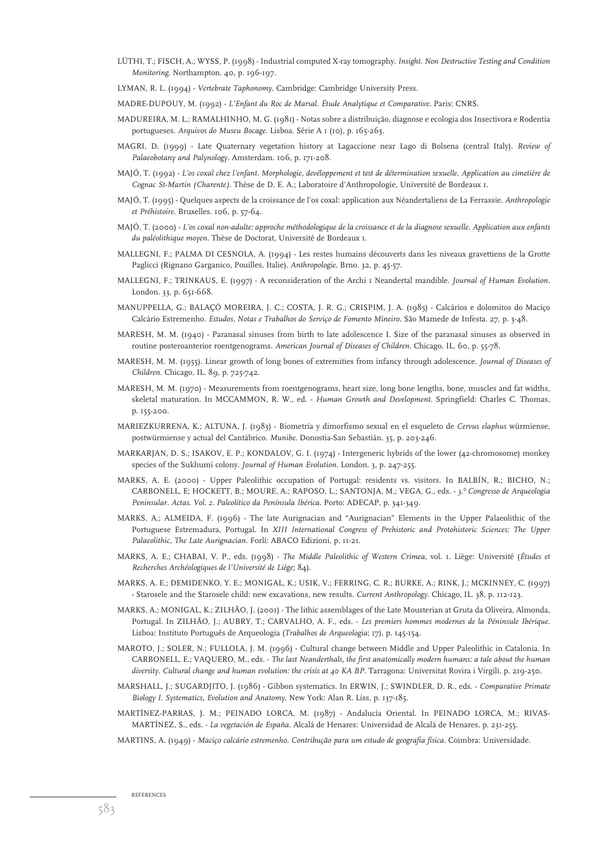- LÜTHI, T.; FISCH, A.; WYSS, P. (1998) Industrial computed X-ray tomography. *Insight*. *Non Destructive Testing and Condition Monitoring*. Northampton. 40, p. 196-197.
- LYMAN, R. L. (1994) *Vertebrate Taphonomy*. Cambridge: Cambridge University Press.
- MADRE-DUPOUY, M. (1992) *L'Enfant du Roc de Marsal. Étude Analytique et Comparative*. Paris: CNRS.
- MADUREIRA, M. L.; RAMALHINHO, M. G. (1981) Notas sobre a distribuição, diagnose e ecologia dos Insectivora e Rodentia portugueses. *Arquivos do Museu Bocage*. Lisboa. Série A 1 (10), p. 165-263.
- MAGRI, D. (1999) Late Quaternary vegetation history at Lagaccione near Lago di Bolsena (central Italy). *Review of Palaeobotany and Palynology*. Amsterdam. 106, p. 171-208.
- MAJÓ, T. (1992) *L'os coxal chez l'enfant. Morphologie, devéloppement et test de détermination sexuelle. Application au cimetière de Cognac St-Martin (Charente).* Thèse de D. E. A.; Laboratoire d'Anthropologie, Université de Bordeaux 1.
- MAJÓ, T. (1995) Quelques aspects de la croissance de l'os coxal: application aux Néandertaliens de La Ferrassie. *Anthropologie et Préhistoire*. Bruxelles. 106, p. 57-64.
- MAJÓ, T. (2000) *L'os coxal non-adulte: approche méthodologique de la croissance et de la diagnose sexuelle. Application aux enfants du paléolithique moyen*. Thèse de Doctorat, Université de Bordeaux 1.
- MALLEGNI, F.; PALMA DI CESNOLA, A. (1994) Les restes humains découverts dans les niveaux gravettiens de la Grotte Paglicci (Rignano Garganico, Pouilles, Italie). *Anthropologie*. Brno. 32, p. 45-57.
- MALLEGNI, F.; TRINKAUS, E. (1997) A reconsideration of the Archi 1 Neandertal mandible. *Journal of Human Evolution*. London. 33, p. 651-668.
- MANUPPELLA, G.; BALAÇÓ MOREIRA, J. C.; COSTA, J. R. G.; CRISPIM, J. A. (1985) Calcários e dolomitos do Maciço Calcário Estremenho. *Estudos, Notas e Trabalhos do Serviço de Fomento Mineiro*. São Mamede de Infesta. 27, p. 3-48.
- MARESH, M. M. (1940) Paranasal sinuses from birth to late adolescence I. Size of the paranasal sinuses as observed in routine posteroanterior roentgenograms. *American Journal of Diseases of Children*. Chicago, IL. 60, p. 55-78.
- MARESH, M. M. (1955). Linear growth of long bones of extremities from infancy through adolescence. *Journal of Diseases of Children*. Chicago, IL. 89, p. 725-742.
- MARESH, M. M. (1970) Measurements from roentgenograms, heart size, long bone lengths, bone, muscles and fat widths, skeletal maturation. In MCCAMMON, R. W., ed. - *Human Growth and Development*. Springfield: Charles C. Thomas, p. 155-200.
- MARIEZKURRENA, K.; ALTUNA, J. (1983) Biometría y dimorfismo sexual en el esqueleto de *Cervus elaphus* würmiense, postwürmiense y actual del Cantábrico. *Munibe*. Donostia-San Sebastián. 35, p. 203-246.
- MARKARJAN, D. S.; ISAKOV, E. P.; KONDALOV, G. I. (1974) Intergeneric hybrids of the lower (42-chromosome) monkey species of the Sukhumi colony. *Journal of Human Evolution*. London. 3, p. 247-255.
- MARKS, A. E. (2000) Upper Paleolithic occupation of Portugal: residents vs. visitors. In BALBÍN, R.; BICHO, N.; CARBONELL, E; HOCKETT, B.; MOURE, A.; RAPOSO, L.; SANTONJA, M.; VEGA, G., eds. - *3.0 Congresso de Arqueologia Peninsular. Actas. Vol. 2. Paleolítico da Península Ibérica*. Porto: ADECAP, p. 341-349.
- MARKS, A.; ALMEIDA, F. (1996) The late Aurignacian and "Aurignacian" Elements in the Upper Palaeolithic of the Portuguese Estremadura, Portugal. In *XIII International Congress of Prehistoric and Protohistoric Sciences: The Upper Palaeolithic, The Late Aurignacian.* Forlí: ABACO Edizioni, p. 11-21.
- MARKS, A. E.; CHABAI, V. P., eds. (1998) *The Middle Paleolithic of Western Crimea*, vol. 1. Liège: Université (*Études et Recherches Archéologiques de l'Université de Liège*; 84).
- MARKS, A. E.; DEMIDENKO, Y. E.; MONIGAL, K.; USIK, V.; FERRING, C. R.; BURKE, A.; RINK, J.; MCKINNEY, C. (1997) - Starosele and the Starosele child: new excavations, new results. *Current Anthropology*. Chicago, IL. 38, p. 112-123.
- MARKS, A.; MONIGAL, K.; ZILHÃO, J. (2001) The lithic assemblages of the Late Mousterian at Gruta da Oliveira, Almonda, Portugal. In ZILHÃO, J.; AUBRY, T.; CARVALHO, A. F., eds. - *Les premiers hommes modernes de la Péninsule Ibérique*. Lisboa: Instituto Português de Arqueologia (*Trabalhos de Arqueologia*; 17), p. 145-154.
- MAROTO, J.; SOLER, N.; FULLOLA, J. M. (1996) Cultural change between Middle and Upper Paleolithic in Catalonia. In CARBONELL, E.; VAQUERO, M., eds. - *The last Neanderthals, the first anatomically modern humans: a tale about the human* diversity. Cultural change and human evolution: the crisis at 40 KA BP. Tarragona: Universitat Rovira i Virgili, p. 219-250.
- MARSHALL, J.; SUGARDJITO, J. (1986) Gibbon systematics. In ERWIN, J.; SWINDLER, D. R., eds. *Comparative Primate Biology I. Systematics, Evolution and Anatomy*. New York: Alan R. Liss, p. 137-185.
- MARTÍNEZ-PARRAS, J. M.; PEINADO LORCA, M. (1987) Andalucía Oriental. In PEINADO LORCA, M.; RIVAS-MARTÍNEZ, S., eds. - *La vegetación de España*. Alcalá de Henares: Universidad de Alcalá de Henares, p. 231-255.
- MARTINS, A. (1949) *Maciço calcário estremenho. Contribução para um estudo de geografia física.* Coimbra: Universidade.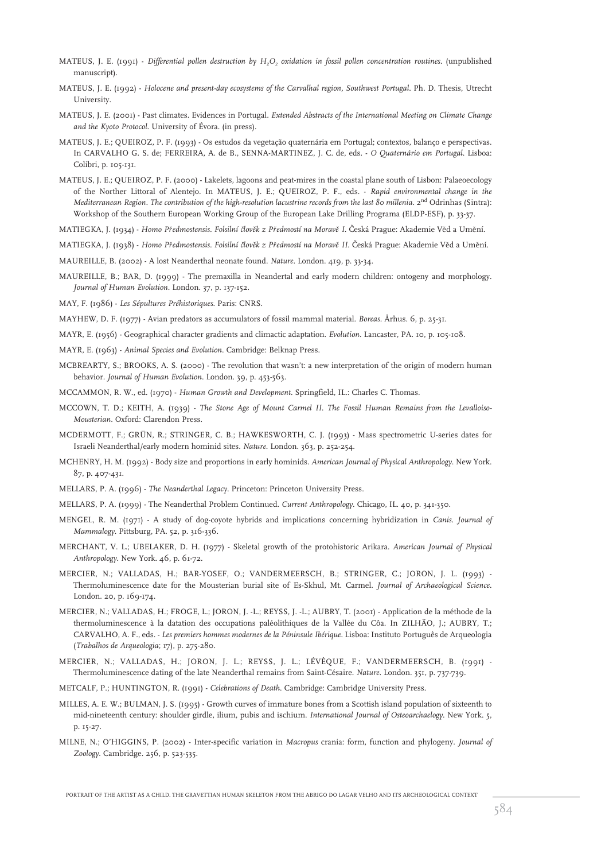- MATEUS, J. E. (1991) *Differential pollen destruction by H2O2 oxidation in fossil pollen concentration routines.* (unpublished manuscript).
- MATEUS, J. E. (1992) *Holocene and present-day ecosystems of the Carvalhal region, Southwest Portugal*. Ph. D. Thesis, Utrecht University.
- MATEUS, J. E. (2001) Past climates. Evidences in Portugal*. Extended Abstracts of the International Meeting on Climate Change and the Kyoto Protocol.* University of Évora. (in press).
- MATEUS, J. E.; QUEIROZ, P. F. (1993) Os estudos da vegetação quaternária em Portugal; contextos, balanço e perspectivas. In CARVALHO G. S. de; FERREIRA, A. de B., SENNA-MARTINEZ, J. C. de, eds. - *O Quaternário em Portugal*. Lisboa: Colibri, p. 105-131.
- MATEUS, J. E.; QUEIROZ, P. F. (2000) Lakelets, lagoons and peat-mires in the coastal plane south of Lisbon: Palaeoecology of the Norther Littoral of Alentejo. In MATEUS, J. E.; QUEIROZ, P. F., eds. - *Rapid environmental change in the Mediterranean Region. The contribution of the high-resolution lacustrine records from the last 80 millenia.* 2<sup>nd</sup> Odrinhas (Sintra): Workshop of the Southern European Working Group of the European Lake Drilling Programa (ELDP-ESF), p. 33-37.

MATIEGKA, J. (1934) - *Homo Předmostensis. Folsilní člověk z Předmostí na Moravě I. Česká Prague: Akademie Věd a Umění.* 

MATIEGKA, J. (1938) - *Homo Prˇedmostensis. Folsilní cˇloveˇk z Prˇedmostí na Morave II ˇ* . C*ˇ*eská Prague: Akademie Veˇd a Umeˇní.

MAUREILLE, B. (2002) - A lost Neanderthal neonate found. *Nature*. London. 419, p. 33-34.

- MAUREILLE, B.; BAR, D. (1999) The premaxilla in Neandertal and early modern children: ontogeny and morphology. *Journal of Human Evolution*. London. 37, p. 137-152.
- MAY, F. (1986) *Les Sépultures Préhistoriques*. Paris: CNRS.
- MAYHEW, D. F. (1977) Avian predators as accumulators of fossil mammal material. *Boreas*. Århus. 6, p. 25-31.
- MAYR, E. (1956) Geographical character gradients and climactic adaptation. *Evolution*. Lancaster, PA. 10, p. 105-108.
- MAYR, E. (1963) *Animal Species and Evolution*. Cambridge: Belknap Press.
- MCBREARTY, S.; BROOKS, A. S. (2000) The revolution that wasn't: a new interpretation of the origin of modern human behavior. *Journal of Human Evolution*. London. 39, p. 453-563.
- MCCAMMON, R. W., ed. (1970) *Human Growth and Development*. Springfield, IL.: Charles C. Thomas.
- MCCOWN, T. D.; KEITH, A. (1939) *The Stone Age of Mount Carmel II. The Fossil Human Remains from the Levalloiso-Mousterian*. Oxford: Clarendon Press.
- MCDERMOTT, F.; GRÜN, R.; STRINGER, C. B.; HAWKESWORTH, C. J. (1993) Mass spectrometric U-series dates for Israeli Neanderthal/early modern hominid sites. *Nature*. London. 363, p. 252-254.
- MCHENRY, H. M. (1992) Body size and proportions in early hominids. *American Journal of Physical Anthropology*. New York. 87, p. 407-431.
- MELLARS, P. A. (1996) *The Neanderthal Legacy*. Princeton: Princeton University Press.
- MELLARS, P. A. (1999) The Neanderthal Problem Continued. *Current Anthropology*. Chicago, IL. 40, p. 341-350.
- MENGEL, R. M. (1971) A study of dog-coyote hybrids and implications concerning hybridization in *Canis*. *Journal of Mammalogy*. Pittsburg, PA. 52, p. 316-336.
- MERCHANT, V. L.; UBELAKER, D. H. (1977) Skeletal growth of the protohistoric Arikara. *American Journal of Physical Anthropology*. New York. 46, p. 61-72.
- MERCIER, N.; VALLADAS, H.; BAR-YOSEF, O.; VANDERMEERSCH, B.; STRINGER, C.; JORON, J. L. (1993) Thermoluminescence date for the Mousterian burial site of Es-Skhul, Mt. Carmel. *Journal of Archaeological Science*. London. 20, p. 169-174.
- MERCIER, N.; VALLADAS, H.; FROGE, L.; JORON, J. -L.; REYSS, J. -L.; AUBRY, T. (2001) Application de la méthode de la thermoluminescence à la datation des occupations paléolithiques de la Vallée du Côa. In ZILHÃO, J.; AUBRY, T.; CARVALHO, A. F., eds. - *Les premiers hommes modernes de la Péninsule Ibérique*. Lisboa: Instituto Português de Arqueologia (*Trabalhos de Arqueologia*; 17), p. 275-280.
- MERCIER, N.; VALLADAS, H.; JORON, J. L.; REYSS, J. L.; LÉVÊQUE, F.; VANDERMEERSCH, B. (1991) Thermoluminescence dating of the late Neanderthal remains from Saint-Césaire. *Nature*. London. 351, p. 737-739.
- METCALF, P.; HUNTINGTON, R. (1991) *Celebrations of Death*. Cambridge: Cambridge University Press.
- MILLES, A. E. W.; BULMAN, J. S. (1995) Growth curves of immature bones from a Scottish island population of sixteenth to mid-nineteenth century: shoulder girdle, ilium, pubis and ischium. *International Journal of Osteoarchaelogy*. New York. 5, p. 15-27.
- MILNE, N.; O'HIGGINS, P. (2002) Inter-specific variation in *Macropus* crania: form, function and phylogeny. *Journal of Zoology*. Cambridge. 256, p. 523-535.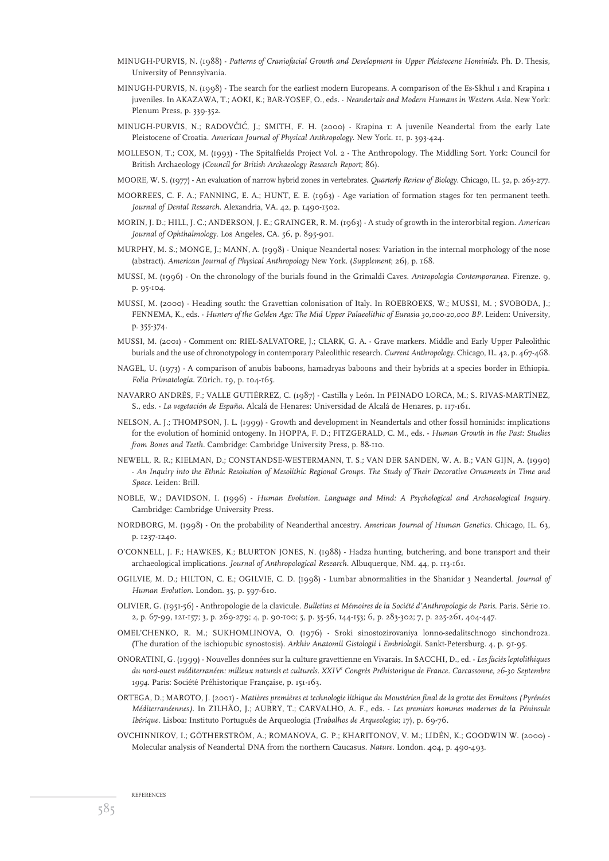- MINUGH-PURVIS, N. (1988) *Patterns of Craniofacial Growth and Development in Upper Pleistocene Hominids*. Ph. D. Thesis, University of Pennsylvania.
- MINUGH-PURVIS, N. (1998) The search for the earliest modern Europeans. A comparison of the Es-Skhul 1 and Krapina 1 juveniles. In AKAZAWA, T.; AOKI, K.; BAR-YOSEF, O., eds. - *Neandertals and Modern Humans in Western Asia*. New York: Plenum Press, p. 339-352.
- MINUGH-PURVIS, N.; RADOVČIĆ, J.; SMITH, F. H. (2000) Krapina 1: A juvenile Neandertal from the early Late Pleistocene of Croatia. *American Journal of Physical Anthropology*. New York. 11, p. 393-424.
- MOLLESON, T.; COX, M. (1993) The Spitalfields Project Vol. 2 The Anthropology. The Middling Sort. York: Council for British Archaeology (*Council for British Archaeology Research Report*; 86).
- MOORE, W. S. (1977) An evaluation of narrow hybrid zones in vertebrates. *Quarterly Review of Biology*. Chicago, IL. 52, p. 263-277.
- MOORREES, C. F. A.; FANNING, E. A.; HUNT, E. E. (1963) Age variation of formation stages for ten permanent teeth. *Journal of Dental Research*. Alexandria, VA. 42, p. 1490-1502.
- MORIN, J. D.; HILL, J. C.; ANDERSON, J. E.; GRAINGER, R. M. (1963) A study of growth in the interorbital region. *American Journal of Ophthalmology*. Los Angeles, CA. 56, p. 895-901.
- MURPHY, M. S.; MONGE, J.; MANN, A. (1998) Unique Neandertal noses: Variation in the internal morphology of the nose (abstract). *American Journal of Physical Anthropology* New York. (*Supplement*; 26), p. 168.
- MUSSI, M. (1996) On the chronology of the burials found in the Grimaldi Caves. *Antropologia Contemporanea*. Firenze. 9, p. 95-104.
- MUSSI, M. (2000) Heading south: the Gravettian colonisation of Italy. In ROEBROEKS, W.; MUSSI, M. ; SVOBODA, J.; FENNEMA, K., eds. - *Hunters of the Golden Age: The Mid Upper Palaeolithic of Eurasia 30,000-20,000 BP.* Leiden: University, p. 355-374.
- MUSSI, M. (2001) Comment on: RIEL-SALVATORE, J.; CLARK, G. A. Grave markers. Middle and Early Upper Paleolithic burials and the use of chronotypology in contemporary Paleolithic research. *Current Anthropology*. Chicago, IL. 42, p. 467-468.
- NAGEL, U. (1973) A comparison of anubis baboons, hamadryas baboons and their hybrids at a species border in Ethiopia. *Folia Primatologia*. Zürich. 19, p. 104-165.
- NAVARRO ANDRÉS, F.; VALLE GUTIÉRREZ, C. (1987) Castilla y León. In PEINADO LORCA, M.; S. RIVAS-MARTÍNEZ, S., eds. - *La vegetación de España*. Alcalá de Henares: Universidad de Alcalá de Henares, p. 117-161.
- NELSON, A. J.; THOMPSON, J. L. (1999) Growth and development in Neandertals and other fossil hominids: implications for the evolution of hominid ontogeny. In HOPPA, F. D.; FITZGERALD, C. M., eds. - *Human Growth in the Past: Studies from Bones and Teeth*. Cambridge: Cambridge University Press, p. 88-110.
- NEWELL, R. R.; KIELMAN, D.; CONSTANDSE-WESTERMANN, T. S.; VAN DER SANDEN, W. A. B.; VAN GIJN, A. (1990) - *An Inquiry into the Ethnic Resolution of Mesolithic Regional Groups. The Study of Their Decorative Ornaments in Time and Space*. Leiden: Brill.
- NOBLE, W.; DAVIDSON, I. (1996) *Human Evolution. Language and Mind: A Psychological and Archaeological Inquiry.* Cambridge: Cambridge University Press.
- NORDBORG, M. (1998) On the probability of Neanderthal ancestry. *American Journal of Human Genetics*. Chicago, IL. 63, p. 1237-1240.
- O'CONNELL, J. F.; HAWKES, K.; BLURTON JONES, N. (1988) Hadza hunting, butchering, and bone transport and their archaeological implications. *Journal of Anthropological Research*. Albuquerque, NM. 44, p. 113-161.
- OGILVIE, M. D.; HILTON, C. E.; OGILVIE, C. D. (1998) Lumbar abnormalities in the Shanidar 3 Neandertal. *Journal of Human Evolution*. London. 35, p. 597-610.
- OLIVIER, G. (1951-56) Anthropologie de la clavicule. *Bulletins et Mémoires de la Société d'Anthropologie de Paris*. Paris. Série 10. 2, p. 67-99, 121-157; 3, p. 269-279; 4, p. 90-100; 5, p. 35-56, 144-153; 6, p. 283-302; 7, p. 225-261, 404-447.
- OMEL'CHENKO, R. M.; SUKHOMLINOVA, O. (1976) Sroki sinostozirovaniya lonno-sedalitschnogo sinchondroza. (The duration of the ischiopubic synostosis). *Arkhiv Anatomii Gistologii i Embriologii*. Sankt-Petersburg. 4, p. 91-95.
- ONORATINI, G. (1999) Nouvelles données sur la culture gravettienne en Vivarais. In SACCHI, D., ed. *Les faciès leptolithiques du nord-ouest méditerranéen: milieux naturels et culturels. XXIV<sup>e</sup> Congrès Préhistorique de France. Carcassonne, 26-30 Septembre 1994*. Paris: Société Préhistorique Française, p. 151-163.
- ORTEGA, D.; MAROTO, J. (2001) *Matières premières et technologie lithique du Moustérien final de la grotte des Ermitons (Pyrénées Méditerranéennes)*. In ZILHÃO, J.; AUBRY, T.; CARVALHO, A. F., eds. - *Les premiers hommes modernes de la Péninsule Ibérique*. Lisboa: Instituto Português de Arqueologia (*Trabalhos de Arqueologia*; 17), p. 69-76.
- OVCHINNIKOV, I.; GÖTHERSTRÖM, A.; ROMANOVA, G. P.; KHARITONOV, V. M.; LIDÉN, K.; GOODWIN W. (2000) Molecular analysis of Neandertal DNA from the northern Caucasus. *Nature*. London. 404, p. 490-493.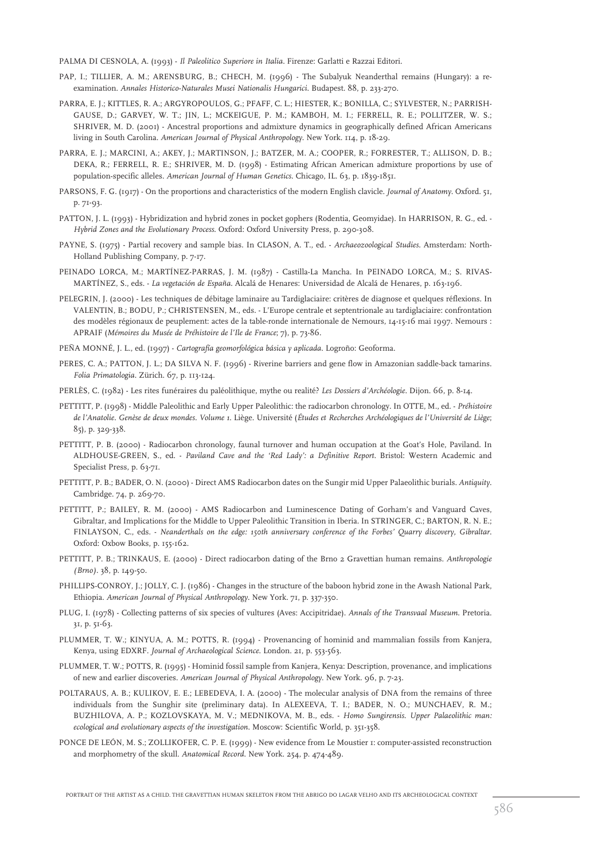PALMA DI CESNOLA, A. (1993) - *Il Paleolitico Superiore in Italia*. Firenze: Garlatti e Razzai Editori.

- PAP, I.; TILLIER, A. M.; ARENSBURG, B.; CHECH, M. (1996) The Subalyuk Neanderthal remains (Hungary): a reexamination. *Annales Historico-Naturales Musei Nationalis Hungarici*. Budapest. 88, p. 233-270.
- PARRA, E. J.; KITTLES, R. A.; ARGYROPOULOS, G.; PFAFF, C. L.; HIESTER, K.; BONILLA, C.; SYLVESTER, N.; PARRISH-GAUSE, D.; GARVEY, W. T.; JIN, L.; MCKEIGUE, P. M.; KAMBOH, M. I.; FERRELL, R. E.; POLLITZER, W. S.; SHRIVER, M. D. (2001) - Ancestral proportions and admixture dynamics in geographically defined African Americans living in South Carolina. *American Journal of Physical Anthropology*. New York. 114, p. 18-29.
- PARRA, E. J.; MARCINI, A.; AKEY, J.; MARTINSON, J.; BATZER, M. A.; COOPER, R.; FORRESTER, T.; ALLISON, D. B.; DEKA, R.; FERRELL, R. E.; SHRIVER, M. D. (1998) - Estimating African American admixture proportions by use of population-specific alleles. *American Journal of Human Genetics*. Chicago, IL. 63, p. 1839-1851.
- PARSONS, F. G. (1917) On the proportions and characteristics of the modern English clavicle. *Journal of Anatomy*. Oxford. 51, p. 71-93.
- PATTON, J. L. (1993) Hybridization and hybrid zones in pocket gophers (Rodentia, Geomyidae). In HARRISON, R. G., ed. *Hybrid Zones and the Evolutionary Process*. Oxford: Oxford University Press, p. 290-308.
- PAYNE, S. (1975) Partial recovery and sample bias. In CLASON, A. T., ed. *Archaeozoological Studies*. Amsterdam: North-Holland Publishing Company, p. 7-17.
- PEINADO LORCA, M.; MARTÍNEZ-PARRAS, J. M. (1987) Castilla-La Mancha*.* In PEINADO LORCA, M.; S. RIVAS-MARTÍNEZ, S., eds. - *La vegetación de España*. Alcalá de Henares: Universidad de Alcalá de Henares, p. 163-196.
- PELEGRIN, J. (2000) Les techniques de débitage laminaire au Tardiglaciaire: critères de diagnose et quelques réflexions. In VALENTIN, B.; BODU, P.; CHRISTENSEN, M., eds. - L'Europe centrale et septentrionale au tardiglaciaire: confrontation des modèles régionaux de peuplement: actes de la table-ronde internationale de Nemours, 14-15-16 mai 1997. Nemours : APRAIF (*Mémoires du Musée de Préhistoire de l'Ile de France*; 7), p. 73-86.
- PEÑA MONNÉ, J. L., ed. (1997) *Cartografía geomorfológica básica y aplicada*. Logroño: Geoforma.
- PERES, C. A.; PATTON, J. L.; DA SILVA N. F. (1996) Riverine barriers and gene flow in Amazonian saddle-back tamarins. *Folia Primatologia*. Zürich. 67, p. 113-124.
- PERLÈS, C. (1982) Les rites funéraires du paléolithique, mythe ou realité? *Les Dossiers d'Archéologie*. Dijon. 66, p. 8-14.
- PETTITT, P. (1998) Middle Paleolithic and Early Upper Paleolithic: the radiocarbon chronology. In OTTE, M., ed. *Préhistoire de l'Anatolie. Genèse de deux mondes. Volume 1*. Liège. Université (*Études et Recherches Archéologiques de l'Université de Liège*; 85), p. 329-338.
- PETTITT, P. B. (2000) Radiocarbon chronology, faunal turnover and human occupation at the Goat's Hole, Paviland. In ALDHOUSE-GREEN, S., ed. - *Paviland Cave and the 'Red Lady': a Definitive Report*. Bristol: Western Academic and Specialist Press, p. 63-71.
- PETTITT, P. B.; BADER, O. N. (2000) Direct AMS Radiocarbon dates on the Sungir mid Upper Palaeolithic burials. *Antiquity*. Cambridge. 74, p. 269-70.
- PETTITT, P.; BAILEY, R. M. (2000) AMS Radiocarbon and Luminescence Dating of Gorham's and Vanguard Caves, Gibraltar, and Implications for the Middle to Upper Paleolithic Transition in Iberia. In STRINGER, C.; BARTON, R. N. E.; FINLAYSON, C., eds. - *Neanderthals on the edge: 150th anniversary conference of the Forbes' Quarry discovery, Gibraltar*. Oxford: Oxbow Books, p. 155-162.
- PETTITT, P. B.; TRINKAUS, E. (2000) Direct radiocarbon dating of the Brno 2 Gravettian human remains. *Anthropologie (Brno)*. 38, p. 149-50.
- PHILLIPS-CONROY, J.; JOLLY, C. J. (1986) Changes in the structure of the baboon hybrid zone in the Awash National Park, Ethiopia. *American Journal of Physical Anthropology*. New York. 71, p. 337-350.
- PLUG, I. (1978) Collecting patterns of six species of vultures (Aves: Accipitridae). *Annals of the Transvaal Museum*. Pretoria. 31, p. 51-63.
- PLUMMER, T. W.; KINYUA, A. M.; POTTS, R. (1994) Provenancing of hominid and mammalian fossils from Kanjera, Kenya, using EDXRF. *Journal of Archaeological Science*. London. 21, p. 553-563.
- PLUMMER, T. W.; POTTS, R. (1995) Hominid fossil sample from Kanjera, Kenya: Description, provenance, and implications of new and earlier discoveries. *American Journal of Physical Anthropology*. New York. 96, p. 7-23.
- POLTARAUS, A. B.; KULIKOV, E. E.; LEBEDEVA, I. A. (2000) The molecular analysis of DNA from the remains of three individuals from the Sunghir site (preliminary data). In ALEXEEVA, T. I.; BADER, N. O.; MUNCHAEV, R. M.; BUZHILOVA, A. P.; KOZLOVSKAYA, M. V.; MEDNIKOVA, M. B., eds. - *Homo Sungirensis. Upper Palaeolithic man: ecological and evolutionary aspects of the investigation*. Moscow: Scientific World, p. 351-358.
- PONCE DE LEÓN, M. S.; ZOLLIKOFER, C. P. E. (1999) New evidence from Le Moustier 1: computer-assisted reconstruction and morphometry of the skull. *Anatomical Record*. New York. 254, p. 474-489.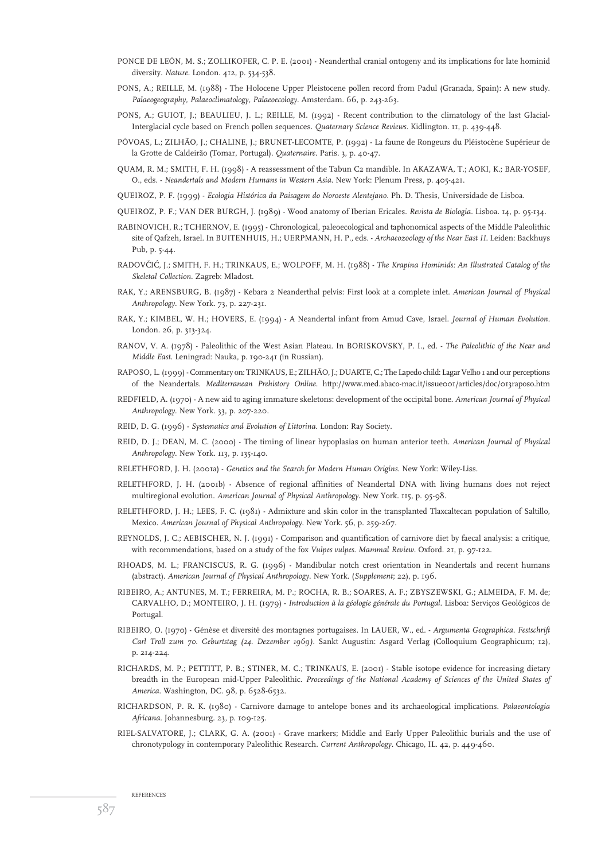- PONCE DE LEÓN, M. S.; ZOLLIKOFER, C. P. E. (2001) Neanderthal cranial ontogeny and its implications for late hominid diversity. *Nature*. London. 412, p. 534-538.
- PONS, A.; REILLE, M. (1988) The Holocene Upper Pleistocene pollen record from Padul (Granada, Spain): A new study. *Palaeogeography, Palaeoclimatology, Palaeoecology*. Amsterdam. 66, p. 243-263.
- PONS, A.; GUIOT, J.; BEAULIEU, J. L.; REILLE, M. (1992) Recent contribution to the climatology of the last Glacial-Interglacial cycle based on French pollen sequences*. Quaternary Science Reviews*. Kidlington. 11, p. 439-448.
- PÓVOAS, L.; ZILHÃO, J.; CHALINE, J.; BRUNET-LECOMTE, P. (1992) La faune de Rongeurs du Pléistocène Supérieur de la Grotte de Caldeirão (Tomar, Portugal). *Quaternaire*. Paris. 3, p. 40-47.
- QUAM, R. M.; SMITH, F. H. (1998) A reassessment of the Tabun C2 mandible. In AKAZAWA, T.; AOKI, K.; BAR-YOSEF, O., eds. - *Neandertals and Modern Humans in Western Asia*. New York: Plenum Press, p. 405-421.
- QUEIROZ, P. F. (1999) *Ecologia Histórica da Paisagem do Noroeste Alentejano.* Ph. D. Thesis, Universidade de Lisboa.
- QUEIROZ, P. F.; VAN DER BURGH, J. (1989) Wood anatomy of Iberian Ericales. *Revista de Biologia*. Lisboa. 14, p. 95-134.
- RABINOVICH, R.; TCHERNOV, E. (1995) Chronological, paleoecological and taphonomical aspects of the Middle Paleolithic site of Qafzeh, Israel. In BUITENHUIS, H.; UERPMANN, H. P., eds. - *Archaeozoology of the Near East II*. Leiden: Backhuys Pub, p. 5-44.
- RADOVCˇIC´, J.; SMITH, F. H.; TRINKAUS, E.; WOLPOFF, M. H. (1988) *The Krapina Hominids: An Illustrated Catalog of the Skeletal Collection*. Zagreb: Mladost.
- RAK, Y.; ARENSBURG, B. (1987) Kebara 2 Neanderthal pelvis: First look at a complete inlet. *American Journal of Physical Anthropology*. New York. 73, p. 227-231.
- RAK, Y.; KIMBEL, W. H.; HOVERS, E. (1994) A Neandertal infant from Amud Cave, Israel. *Journal of Human Evolution*. London. 26, p. 313-324.
- RANOV, V. A. (1978) Paleolithic of the West Asian Plateau. In BORISKOVSKY, P. I., ed. *The Paleolithic of the Near and Middle East*. Leningrad: Nauka, p. 190-241 (in Russian).
- RAPOSO, L. (1999) Commentary on: TRINKAUS, E.; ZILHÃO, J.; DUARTE, C.; The Lapedo child: Lagar Velho 1 and our perceptions of the Neandertals. *Mediterranean Prehistory Online*. http://www.med.abaco-mac.it/issue001/articles/doc/013raposo.htm
- REDFIELD, A. (1970) A new aid to aging immature skeletons: development of the occipital bone. *American Journal of Physical Anthropology*. New York. 33, p. 207-220.
- REID, D. G. (1996) *Systematics and Evolution of Littorina*. London: Ray Society.
- REID, D. J.; DEAN, M. C. (2000) The timing of linear hypoplasias on human anterior teeth. *American Journal of Physical Anthropology*. New York. 113, p. 135-140.
- RELETHFORD, J. H. (2001a) *Genetics and the Search for Modern Human Origins*. New York: Wiley-Liss.
- RELETHFORD, J. H. (2001b) Absence of regional affinities of Neandertal DNA with living humans does not reject multiregional evolution. *American Journal of Physical Anthropology*. New York. 115, p. 95-98.
- RELETHFORD, J. H.; LEES, F. C. (1981) Admixture and skin color in the transplanted Tlaxcaltecan population of Saltillo, Mexico. *American Journal of Physical Anthropology*. New York. 56, p. 259-267.
- REYNOLDS, J. C.; AEBISCHER, N. J. (1991) Comparison and quantification of carnivore diet by faecal analysis: a critique, with recommendations, based on a study of the fox *Vulpes vulpes*. *Mammal Review*. Oxford. 21, p. 97-122.
- RHOADS, M. L.; FRANCISCUS, R. G. (1996) Mandibular notch crest orientation in Neandertals and recent humans (abstract). *American Journal of Physical Anthropology*. New York. (*Supplement*; 22), p. 196.
- RIBEIRO, A.; ANTUNES, M. T.; FERREIRA, M. P.; ROCHA, R. B.; SOARES, A. F.; ZBYSZEWSKI, G.; ALMEIDA, F. M. de; CARVALHO, D.; MONTEIRO, J. H. (1979) - *Introduction à la géologie générale du Portugal.* Lisboa: Serviços Geológicos de Portugal.
- RIBEIRO, O. (1970) Génèse et diversité des montagnes portugaises. In LAUER, W., ed. *Argumenta Geographica. Festschrift Carl Troll zum 70. Geburtstag (24. Dezember 1969)*. Sankt Augustin: Asgard Verlag (Colloquium Geographicum; 12), p. 214-224.
- RICHARDS, M. P.; PETTITT, P. B.; STINER, M. C.; TRINKAUS, E. (2001) Stable isotope evidence for increasing dietary breadth in the European mid-Upper Paleolithic. *Proceedings of the National Academy of Sciences of the United States of America*. Washington, DC. 98, p. 6528-6532.
- RICHARDSON, P. R. K. (1980) Carnivore damage to antelope bones and its archaeological implications. *Palaeontologia Africana*. Johannesburg. 23, p. 109-125.
- RIEL-SALVATORE, J.; CLARK, G. A. (2001) Grave markers; Middle and Early Upper Paleolithic burials and the use of chronotypology in contemporary Paleolithic Research. *Current Anthropology*. Chicago, IL. 42, p. 449-460.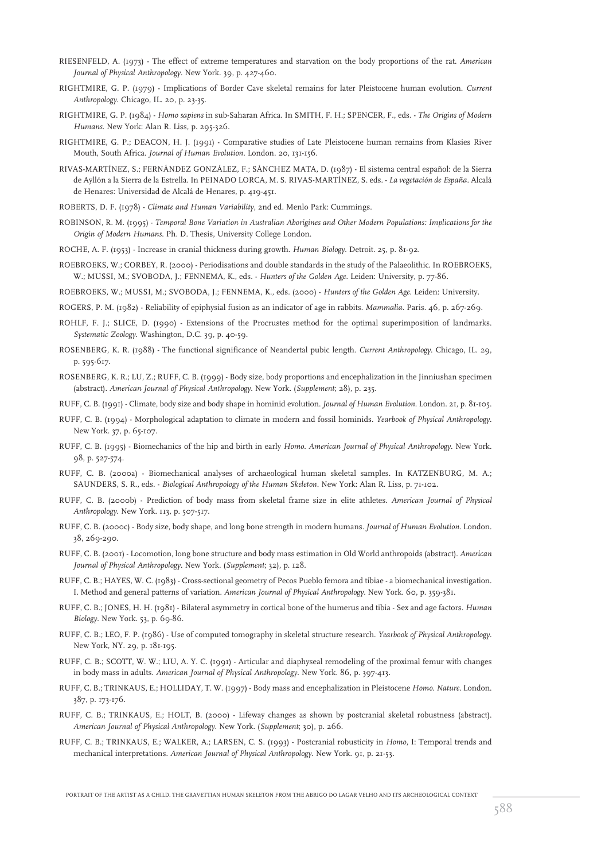- RIESENFELD, A. (1973) The effect of extreme temperatures and starvation on the body proportions of the rat. *American Journal of Physical Anthropology*. New York. 39, p. 427-460.
- RIGHTMIRE, G. P. (1979) Implications of Border Cave skeletal remains for later Pleistocene human evolution. *Current Anthropology*. Chicago, IL. 20, p. 23-35.
- RIGHTMIRE, G. P. (1984) *Homo sapiens* in sub-Saharan Africa. In SMITH, F. H.; SPENCER, F., eds. *The Origins of Modern Humans*. New York: Alan R. Liss, p. 295-326.
- RIGHTMIRE, G. P.; DEACON, H. J. (1991) Comparative studies of Late Pleistocene human remains from Klasies River Mouth, South Africa. *Journal of Human Evolution*. London. 20, 131-156.
- RIVAS-MARTÍNEZ, S.; FERNÁNDEZ GONZÁLEZ, F.; SÁNCHEZ MATA, D. (1987) El sistema central español: de la Sierra de Ayllón a la Sierra de la Estrella. In PEINADO LORCA, M. S. RIVAS-MARTÍNEZ, S. eds. - *La vegetación de España*. Alcalá de Henares: Universidad de Alcalá de Henares, p. 419-451.
- ROBERTS, D. F. (1978) *Climate and Human Variability*, 2nd ed. Menlo Park: Cummings.
- ROBINSON, R. M. (1995) *Temporal Bone Variation in Australian Aborigines and Other Modern Populations: Implications for the Origin of Modern Humans*. Ph. D. Thesis, University College London.
- ROCHE, A. F. (1953) Increase in cranial thickness during growth. *Human Biology*. Detroit. 25, p. 81-92.
- ROEBROEKS, W.; CORBEY, R. (2000) Periodisations and double standards in the study of the Palaeolithic. In ROEBROEKS, W.; MUSSI, M.; SVOBODA, J.; FENNEMA, K., eds. - *Hunters of the Golden Age*. Leiden: University, p. 77-86.
- ROEBROEKS, W.; MUSSI, M.; SVOBODA, J.; FENNEMA, K., eds. (2000) *Hunters of the Golden Age*. Leiden: University.
- ROGERS, P. M. (1982) Reliability of epiphysial fusion as an indicator of age in rabbits. *Mammalia*. Paris. 46, p. 267-269.
- ROHLF, F. J.; SLICE, D. (1990) Extensions of the Procrustes method for the optimal superimposition of landmarks. *Systematic Zoology*. Washington, D.C. 39, p. 40-59.
- ROSENBERG, K. R. (1988) The functional significance of Neandertal pubic length. *Current Anthropology*. Chicago, IL. 29, p. 595-617.
- ROSENBERG, K. R.; LU, Z.; RUFF, C. B. (1999) Body size, body proportions and encephalization in the Jinniushan specimen (abstract). *American Journal of Physical Anthropology*. New York. (*Supplement*; 28), p. 235.

RUFF, C. B. (1991) - Climate, body size and body shape in hominid evolution. *Journal of Human Evolution*. London. 21, p. 81-105.

- RUFF, C. B. (1994) Morphological adaptation to climate in modern and fossil hominids. *Yearbook of Physical Anthropology*. New York. 37, p. 65-107.
- RUFF, C. B. (1995) Biomechanics of the hip and birth in early *Homo*. *American Journal of Physical Anthropology*. New York. 98, p. 527-574.
- RUFF, C. B. (2000a) Biomechanical analyses of archaeological human skeletal samples. In KATZENBURG, M. A.; SAUNDERS, S. R., eds. - *Biological Anthropology of the Human Skeleton*. New York: Alan R. Liss, p. 71-102.
- RUFF, C. B. (2000b) Prediction of body mass from skeletal frame size in elite athletes. *American Journal of Physical Anthropology*. New York. 113, p. 507-517.
- RUFF, C. B. (2000c) Body size, body shape, and long bone strength in modern humans. *Journal of Human Evolution*. London. 38, 269-290.
- RUFF, C. B. (2001) Locomotion, long bone structure and body mass estimation in Old World anthropoids (abstract). *American Journal of Physical Anthropology*. New York. (*Supplement*; 32), p. 128.
- RUFF, C. B.; HAYES, W. C. (1983) Cross-sectional geometry of Pecos Pueblo femora and tibiae a biomechanical investigation. I. Method and general patterns of variation. *American Journal of Physical Anthropology*. New York. 60, p. 359-381.
- RUFF, C. B.; JONES, H. H. (1981) Bilateral asymmetry in cortical bone of the humerus and tibia Sex and age factors. *Human Biology*. New York. 53, p. 69-86.
- RUFF, C. B.; LEO, F. P. (1986) Use of computed tomography in skeletal structure research. *Yearbook of Physical Anthropology*. New York, NY. 29, p. 181-195.
- RUFF, C. B.; SCOTT, W. W.; LIU, A. Y. C. (1991) Articular and diaphyseal remodeling of the proximal femur with changes in body mass in adults. *American Journal of Physical Anthropology*. New York. 86, p. 397-413.
- RUFF, C. B.; TRINKAUS, E.; HOLLIDAY, T. W. (1997) Body mass and encephalization in Pleistocene *Homo*. *Nature*. London. 387, p. 173-176.
- RUFF, C. B.; TRINKAUS, E.; HOLT, B. (2000) Lifeway changes as shown by postcranial skeletal robustness (abstract). *American Journal of Physical Anthropology*. New York. (*Supplement*; 30), p. 266.
- RUFF, C. B.; TRINKAUS, E.; WALKER, A.; LARSEN, C. S. (1993) Postcranial robusticity in *Homo*, I: Temporal trends and mechanical interpretations. *American Journal of Physical Anthropology*. New York. 91, p. 21-53.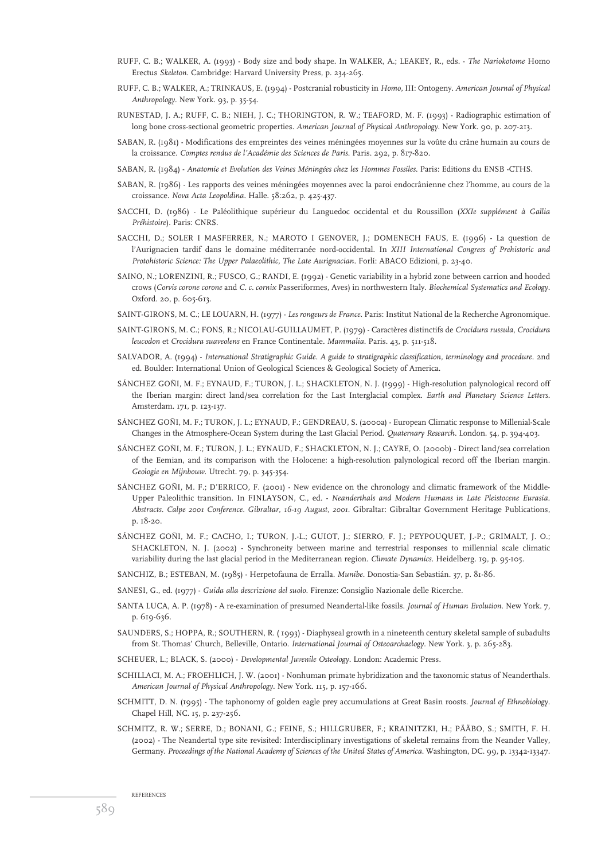- RUFF, C. B.; WALKER, A. (1993) Body size and body shape. In WALKER, A.; LEAKEY, R., eds. *The Nariokotome* Homo Erectus *Skeleton*. Cambridge: Harvard University Press, p. 234-265.
- RUFF, C. B.; WALKER, A.; TRINKAUS, E. (1994) Postcranial robusticity in *Homo*, III: Ontogeny. *American Journal of Physical Anthropology*. New York. 93, p. 35-54.
- RUNESTAD, J. A.; RUFF, C. B.; NIEH, J. C.; THORINGTON, R. W.; TEAFORD, M. F. (1993) Radiographic estimation of long bone cross-sectional geometric properties. *American Journal of Physical Anthropology*. New York. 90, p. 207-213.
- SABAN, R. (1981) Modifications des empreintes des veines méningées moyennes sur la voûte du crâne humain au cours de la croissance. *Comptes rendus de l'Académie des Sciences de Paris*. Paris. 292, p. 817-820.
- SABAN, R. (1984) *Anatomie et Evolution des Veines Méningées chez les Hommes Fossiles*. Paris: Editions du ENSB -CTHS.
- SABAN, R. (1986) Les rapports des veines méningées moyennes avec la paroi endocrânienne chez l'homme, au cours de la croissance. *Nova Acta Leopoldina*. Halle. 58:262, p. 425-437.
- SACCHI, D. (1986) Le Paléolithique supérieur du Languedoc occidental et du Roussillon (*XXIe supplément à Gallia Préhistoire*). Paris: CNRS.
- SACCHI, D.; SOLER I MASFERRER, N.; MAROTO I GENOVER, J.; DOMENECH FAUS, E. (1996) La question de l'Aurignacien tardif dans le domaine méditerranée nord-occidental. In *XIII International Congress of Prehistoric and Protohistoric Science: The Upper Palaeolithic, The Late Aurignacian.* Forlí: ABACO Edizioni, p. 23-40.
- SAINO, N.; LORENZINI, R.; FUSCO, G.; RANDI, E. (1992) Genetic variability in a hybrid zone between carrion and hooded crows (*Corvis corone corone* and *C. c. cornix* Passeriformes, Aves) in northwestern Italy. *Biochemical Systematics and Ecology*. Oxford. 20, p. 605-613.
- SAINT-GIRONS, M. C.; LE LOUARN, H. (1977) *Les rongeurs de France*. Paris: Institut National de la Recherche Agronomique.
- SAINT-GIRONS, M. C.; FONS, R.; NICOLAU-GUILLAUMET, P. (1979) Caractères distinctifs de *Crocidura russula*, *Crocidura leucodon* et *Crocidura suaveolens* en France Continentale. *Mammalia*. Paris. 43, p. 511-518.
- SALVADOR, A. (1994) *International Stratigraphic Guide. A guide to stratigraphic classification, terminology and procedure*. 2nd ed. Boulder: International Union of Geological Sciences & Geological Society of America.
- SÁNCHEZ GOÑI, M. F.; EYNAUD, F.; TURON, J. L.; SHACKLETON, N. J. (1999) High-resolution palynological record off the Iberian margin: direct land/sea correlation for the Last Interglacial complex. *Earth and Planetary Science Letters*. Amsterdam. 171, p. 123-137.
- SÁNCHEZ GOÑI, M. F.; TURON, J. L.; EYNAUD, F.; GENDREAU, S. (2000a) European Climatic response to Millenial-Scale Changes in the Atmosphere-Ocean System during the Last Glacial Period. *Quaternary Research*. London. 54, p. 394-403.
- SÁNCHEZ GOÑI, M. F.; TURON, J. L.; EYNAUD, F.; SHACKLETON, N. J.; CAYRE, O. (2000b) Direct land/sea correlation of the Eemian, and its comparison with the Holocene: a high-resolution palynological record off the Iberian margin. *Geologie en Mijnbouw*. Utrecht. 79, p. 345-354.
- SÁNCHEZ GOÑI, M. F.; D'ERRICO, F. (2001) New evidence on the chronology and climatic framework of the Middle-Upper Paleolithic transition. In FINLAYSON, C., ed. - *Neanderthals and Modern Humans in Late Pleistocene Eurasia. Abstracts. Calpe 2001 Conference. Gibraltar, 16-19 August, 2001*. Gibraltar: Gibraltar Government Heritage Publications, p. 18-20.
- SÁNCHEZ GOÑI, M. F.; CACHO, I.; TURON, J.-L.; GUIOT, J.; SIERRO, F. J.; PEYPOUQUET, J.-P.; GRIMALT, J. O.; SHACKLETON, N. J. (2002) - Synchroneity between marine and terrestrial responses to millennial scale climatic variability during the last glacial period in the Mediterranean region. *Climate Dynamics*. Heidelberg. 19, p. 95-105.
- SANCHIZ, B.; ESTEBAN, M. (1985) Herpetofauna de Erralla. *Munibe*. Donostia-San Sebastián. 37, p. 81-86.
- SANESI, G., ed. (1977) *Guida alla descrizione del suolo.* Firenze: Consiglio Nazionale delle Ricerche.
- SANTA LUCA, A. P. (1978) A re-examination of presumed Neandertal-like fossils. *Journal of Human Evolution*. New York. 7, p. 619-636.
- SAUNDERS, S.; HOPPA, R.; SOUTHERN, R. ( 1993) Diaphyseal growth in a nineteenth century skeletal sample of subadults from St. Thomas' Church, Belleville, Ontario. *International Journal of Osteoarchaelogy*. New York. 3, p. 265-283.
- SCHEUER, L.; BLACK, S. (2000) *Developmental Juvenile Osteology*. London: Academic Press.
- SCHILLACI, M. A.; FROEHLICH, J. W. (2001) Nonhuman primate hybridization and the taxonomic status of Neanderthals. *American Journal of Physical Anthropology*. New York. 115, p. 157-166.
- SCHMITT, D. N. (1995) The taphonomy of golden eagle prey accumulations at Great Basin roosts. *Journal of Ethnobiology*. Chapel Hill, NC. 15, p. 237-256.
- SCHMITZ, R. W.; SERRE, D.; BONANI, G.; FEINE, S.; HILLGRUBER, F.; KRAINITZKI, H.; PÄÄBO, S.; SMITH, F. H. (2002) - The Neandertal type site revisited: Interdisciplinary investigations of skeletal remains from the Neander Valley, Germany. *Proceedings of the National Academy of Sciences of the United States of America*. Washington, DC. 99, p. 13342-13347.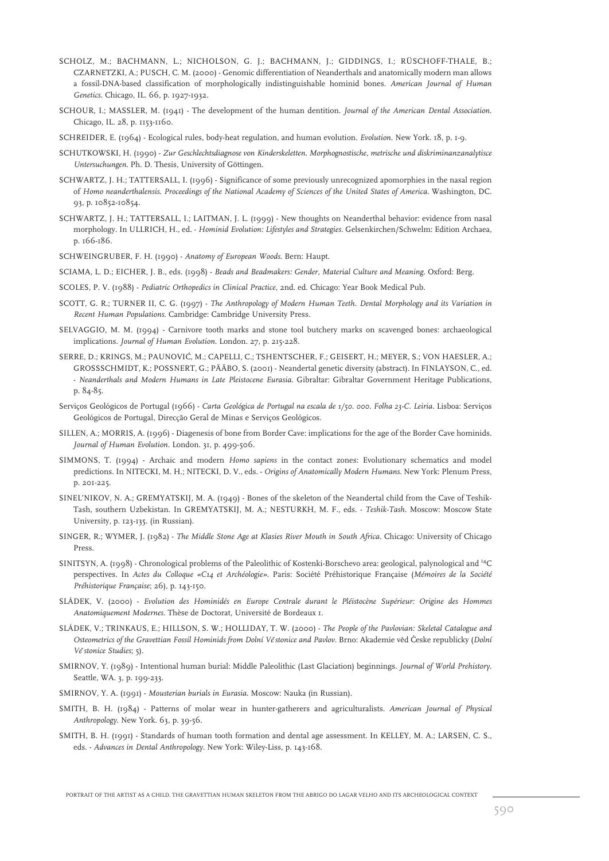- SCHOLZ, M.; BACHMANN, L.; NICHOLSON, G. J.; BACHMANN, J.; GIDDINGS, I.; RÜSCHOFF-THALE, B.; CZARNETZKI, A.; PUSCH, C. M. (2000) - Genomic differentiation of Neanderthals and anatomically modern man allows a fossil-DNA-based classification of morphologically indistinguishable hominid bones. *American Journal of Human Genetics*. Chicago, IL. 66, p. 1927-1932.
- SCHOUR, I.; MASSLER, M. (1941) The development of the human dentition. *Journal of the American Dental Association*. Chicago, IL. 28, p. 1153-1160.
- SCHREIDER, E. (1964) Ecological rules, body-heat regulation, and human evolution. *Evolution*. New York. 18, p. 1-9.
- SCHUTKOWSKI, H. (1990) *Zur Geschlechtsdiagnose von Kinderskeletten. Morphognostische, metrische und diskriminanzanalytisce Untersuchungen*. Ph. D. Thesis, University of Göttingen.
- SCHWARTZ, J. H.; TATTERSALL, I. (1996) Significance of some previously unrecognized apomorphies in the nasal region of *Homo neanderthalensis*. *Proceedings of the National Academy of Sciences of the United States of America*. Washington, DC. 93, p. 10852-10854.
- SCHWARTZ, J. H.; TATTERSALL, I.; LAITMAN, J. L. (1999) New thoughts on Neanderthal behavior: evidence from nasal morphology. In ULLRICH, H., ed. - *Hominid Evolution: Lifestyles and Strategies.* Gelsenkirchen/Schwelm: Edition Archaea, p. 166-186.
- SCHWEINGRUBER, F. H. (1990) *Anatomy of European Woods*. Bern: Haupt.
- SCIAMA, L. D.; EICHER, J. B., eds. (1998) *Beads and Beadmakers: Gender, Material Culture and Meaning*. Oxford: Berg.
- SCOLES, P. V. (1988) *Pediatric Orthopedics in Clinical Practice*, 2nd. ed. Chicago: Year Book Medical Pub.
- SCOTT, G. R.; TURNER II, C. G. (1997) *The Anthropology of Modern Human Teeth. Dental Morphology and its Variation in Recent Human Populations*. Cambridge: Cambridge University Press.
- SELVAGGIO, M. M. (1994) Carnivore tooth marks and stone tool butchery marks on scavenged bones: archaeological implications. *Journal of Human Evolution*. London. 27, p. 215-228.
- SERRE, D.; KRINGS, M.; PAUNOVIC´, M.; CAPELLI, C.; TSHENTSCHER, F.; GEISERT, H.; MEYER, S.; VON HAESLER, A.; GROSSSCHMIDT, K.; POSSNERT, G.; PÄÄBO, S. (2001) - Neandertal genetic diversity (abstract). In FINLAYSON, C., ed. - *Neanderthals and Modern Humans in Late Pleistocene Eurasia*. Gibraltar: Gibraltar Government Heritage Publications, p. 84-85.
- Serviços Geológicos de Portugal (1966) Carta Geológica de Portugal na escala de 1/50. 000. Folha 23-C. Leiria. Lisboa: Serviços Geológicos de Portugal, Direcção Geral de Minas e Serviços Geológicos.
- SILLEN, A.; MORRIS, A. (1996) Diagenesis of bone from Border Cave: implications for the age of the Border Cave hominids. *Journal of Human Evolution*. London. 31, p. 499-506.
- SIMMONS, T. (1994) Archaic and modern *Homo sapiens* in the contact zones: Evolutionary schematics and model predictions. In NITECKI, M. H.; NITECKI, D. V., eds. - *Origins of Anatomically Modern Humans*. New York: Plenum Press, p. 201-225.
- SINEL'NIKOV, N. A.; GREMYATSKIJ, M. A. (1949) Bones of the skeleton of the Neandertal child from the Cave of Teshik-Tash, southern Uzbekistan. In GREMYATSKIJ, M. A.; NESTURKH, M. F., eds. - *Teshik-Tash*. Moscow: Moscow State University, p. 123-135. (in Russian).
- SINGER, R.; WYMER, J. (1982) *The Middle Stone Age at Klasies River Mouth in South Africa*. Chicago: University of Chicago Press.
- SINITSYN, A. (1998) Chronological problems of the Paleolithic of Kostenki-Borschevo area: geological, palynological and 14C perspectives. In *Actes du Colloque «C14 et Archéologie»*. Paris: Société Préhistorique Française (*Mémoires de la Société Préhistorique Française*; 26), p. 143-150.
- SLÁDEK, V. (2000) *Evolution des Hominidés en Europe Centrale durant le Pléistocène Supérieur: Origine des Hommes Anatomiquement Modernes*. Thèse de Doctorat, Université de Bordeaux 1.
- SLÁDEK, V.; TRINKAUS, E.; HILLSON, S. W.; HOLLIDAY, T. W. (2000) *The People of the Pavlovian: Skeletal Catalogue and Osteometrics of the Gravettian Fossil Hominids from Dolní Veˇ stonice and Pavlov*. Brno: Akademie veˇd Cˇeske republicky (*Dolní Veˇ stonice Studies*; 5).
- SMIRNOV, Y. (1989) Intentional human burial: Middle Paleolithic (Last Glaciation) beginnings. *Journal of World Prehistory*. Seattle, WA. 3, p. 199-233.
- SMIRNOV, Y. A. (1991) *Mousterian burials in Eurasia*. Moscow: Nauka (in Russian).
- SMITH, B. H. (1984) Patterns of molar wear in hunter-gatherers and agriculturalists. *American Journal of Physical Anthropology*. New York. 63, p. 39-56.
- SMITH, B. H. (1991) Standards of human tooth formation and dental age assessment. In KELLEY, M. A.; LARSEN, C. S., eds. - *Advances in Dental Anthropology.* New York: Wiley-Liss, p. 143-168.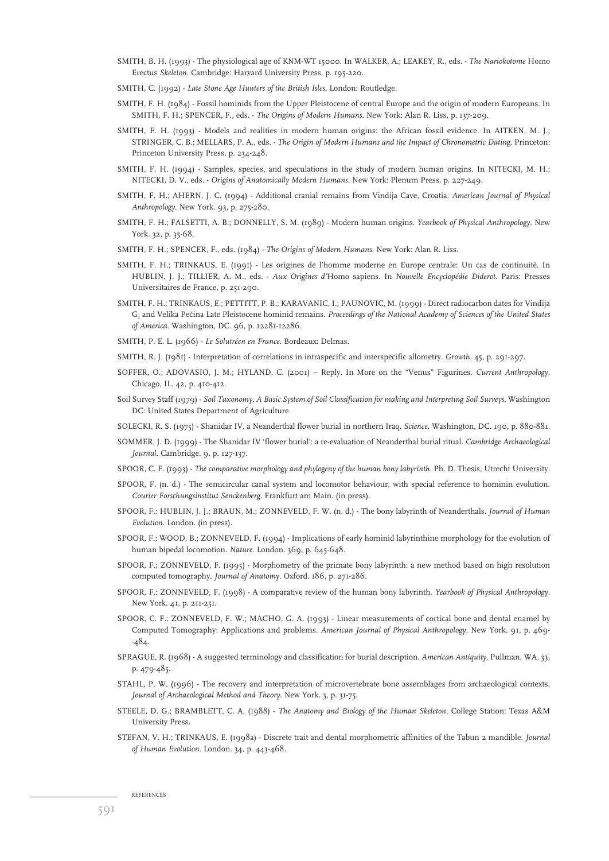- SMITH, B. H. (1993) The physiological age of KNM-WT 15000. In WALKER, A.; LEAKEY, R., eds. *The Nariokotome* Homo Erectus *Skeleton*. Cambridge: Harvard University Press, p. 195-220.
- SMITH, C. (1992) *Late Stone Age Hunters of the British Isles*. London: Routledge.
- SMITH, F. H. (1984) Fossil hominids from the Upper Pleistocene of central Europe and the origin of modern Europeans. In SMITH, F. H.; SPENCER, F., eds. - *The Origins of Modern Humans*. New York: Alan R. Liss, p. 137-209.
- SMITH, F. H. (1993) Models and realities in modern human origins: the African fossil evidence. In AITKEN, M. J.; STRINGER, C. B.; MELLARS, P. A., eds. - *The Origin of Modern Humans and the Impact of Chronometric Dating*. Princeton: Princeton University Press, p. 234-248.
- SMITH, F. H. (1994) Samples, species, and speculations in the study of modern human origins. In NITECKI, M. H.; NITECKI, D. V., eds. - *Origins of Anatomically Modern Humans*. New York: Plenum Press, p. 227-249.
- SMITH, F. H.; AHERN, J. C. (1994) Additional cranial remains from Vindija Cave, Croatia. *American Journal of Physical Anthropology*. New York. 93, p. 275-280.
- SMITH, F. H.; FALSETTI, A. B.; DONNELLY, S. M. (1989) Modern human origins. *Yearbook of Physical Anthropology*. New York. 32, p. 35-68.
- SMITH, F. H.; SPENCER, F., eds. (1984) *The Origins of Modern Humans*. New York: Alan R. Liss.
- SMITH, F. H.; TRINKAUS, E. (1991) Les origines de l'homme moderne en Europe centrale: Un cas de continuité. In HUBLIN, J. J.; TILLIER, A. M., eds. - *Aux Origines d'*Homo sapiens. In *Nouvelle Encyclopédie Diderot*. Paris: Presses Universitaires de France, p. 251-290.
- SMITH, F. H.; TRINKAUS, E.; PETTITT, P. B.; KARAVANIC, I.; PAUNOVIC, M. (1999) Direct radiocarbon dates for Vindija G<sub>1</sub> and Velika Pečina Late Pleistocene hominid remains. *Proceedings of the National Academy of Sciences of the United States of America*. Washington, DC. 96, p. 12281-12286.
- SMITH, P. E. L. (1966) *Le Solutréen en France*. Bordeaux: Delmas.
- SMITH, R. J. (1981) Interpretation of correlations in intraspecific and interspecific allometry. *Growth*. 45, p. 291-297.
- SOFFER, O.; ADOVASIO, J. M.; HYLAND, C. (2001) Reply. In More on the "Venus" Figurines. *Current Anthropology*. Chicago, IL. 42, p. 410-412.
- Soil Survey Staff (1979) *Soil Taxonomy. A Basic System of Soil Classification for making and Interpreting Soil Surveys*. Washington DC: United States Department of Agriculture.
- SOLECKI, R. S. (1975) Shanidar IV, a Neanderthal flower burial in northern Iraq. *Science*. Washington, DC. 190, p. 880-881.
- SOMMER, J. D. (1999) The Shanidar IV 'flower burial': a re-evaluation of Neanderthal burial ritual. *Cambridge Archaeological Journal*. Cambridge. 9, p. 127-137.
- SPOOR, C. F. (1993) *The comparative morphology and phylogeny of the human bony labyrinth*. Ph. D. Thesis, Utrecht University.
- SPOOR, F. (n. d.) The semicircular canal system and locomotor behaviour, with special reference to hominin evolution. *Courier Forschungsinstitut Senckenberg*. Frankfurt am Main. (in press).
- SPOOR, F.; HUBLIN, J. J.; BRAUN, M.; ZONNEVELD, F. W. (n. d.) The bony labyrinth of Neanderthals. *Journal of Human Evolution*. London. (in press).
- SPOOR, F.; WOOD, B.; ZONNEVELD, F. (1994) Implications of early hominid labyrinthine morphology for the evolution of human bipedal locomotion. *Nature*. London. 369, p. 645-648.
- SPOOR, F.; ZONNEVELD, F. (1995) Morphometry of the primate bony labyrinth: a new method based on high resolution computed tomography. *Journal of Anatomy*. Oxford. 186, p. 271-286.
- SPOOR, F.; ZONNEVELD, F. (1998) A comparative review of the human bony labyrinth. *Yearbook of Physical Anthropology*. New York. 41, p. 211-251.
- SPOOR, C. F.; ZONNEVELD, F. W.; MACHO, G. A. (1993) Linear measurements of cortical bone and dental enamel by Computed Tomography: Applications and problems. *American Journal of Physical Anthropology*. New York. 91, p. 469- -484.
- SPRAGUE, R. (1968) A suggested terminology and classification for burial description. *American Antiquity*. Pullman, WA. 33, p. 479-485.
- STAHL, P. W. (1996) The recovery and interpretation of microvertebrate bone assemblages from archaeological contexts. *Journal of Archaeological Method and Theory*. New York. 3, p. 31-75.
- STEELE, D. G.; BRAMBLETT, C. A. (1988) *The Anatomy and Biology of the Human Skeleton*. College Station: Texas A&M University Press.
- STEFAN, V. H.; TRINKAUS, E. (1998a) Discrete trait and dental morphometric affinities of the Tabun 2 mandible. *Journal of Human Evolution*. London. 34, p. 443-468.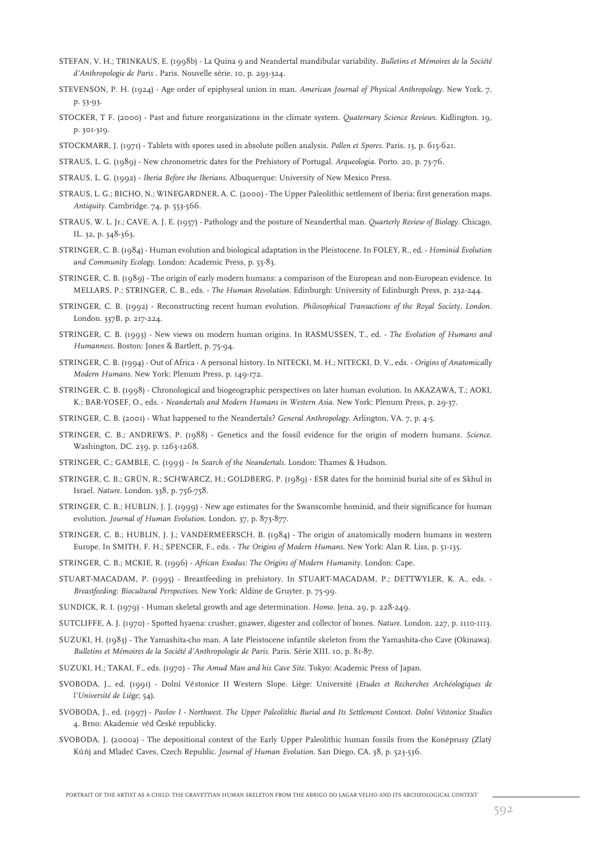- STEFAN, V. H.; TRINKAUS, E. (1998b) La Quina 9 and Neandertal mandibular variability. *Bulletins et Mémoires de la Société d'Anthropologie de Paris* . Paris. Nouvelle série. 10, p. 293-324.
- STEVENSON, P. H. (1924) Age order of epiphyseal union in man. *American Journal of Physical Anthropology*. New York. 7, p. 53-93.
- STOCKER, T F. (2000) Past and future reorganizations in the climate system. *Quaternary Science Reviews*. Kidlington. 19, p. 301-319.
- STOCKMARR, J. (1971) Tablets with spores used in absolute pollen analysis. *Pollen et Spores*. Paris. 13, p. 615-621.
- STRAUS, L. G. (1989) New chronometric dates for the Prehistory of Portugal. *Arqueologia*. Porto. 20, p. 73-76.
- STRAUS, L. G. (1992) *Iberia Before the Iberians*. Albuquerque: University of New Mexico Press.
- STRAUS, L. G.; BICHO, N.; WINEGARDNER, A. C. (2000) The Upper Paleolithic settlement of Iberia: first generation maps. *Antiquity*. Cambridge. 74, p. 553-566.
- STRAUS, W. L. Jr.; CAVE, A. J. E. (1957) Pathology and the posture of Neanderthal man. *Quarterly Review of Biology*. Chicago, IL. 32, p. 348-363.
- STRINGER, C. B. (1984) Human evolution and biological adaptation in the Pleistocene. In FOLEY, R., ed. *Hominid Evolution and Community Ecology*. London: Academic Press, p. 55-83.
- STRINGER, C. B. (1989) The origin of early modern humans: a comparison of the European and non-European evidence. In MELLARS, P.; STRINGER, C. B., eds. - *The Human Revolution*. Edinburgh: University of Edinburgh Press, p. 232-244.
- STRINGER, C. B. (1992) Reconstructing recent human evolution. *Philosophical Transactions of the Royal Society, London*. London. 337B, p. 217-224.
- STRINGER, C. B. (1993) New views on modern human origins. In RASMUSSEN, T., ed. *The Evolution of Humans and Humanness*. Boston: Jones & Bartlett, p. 75-94.
- STRINGER, C. B. (1994) Out of Africa A personal history. In NITECKI, M. H.; NITECKI, D. V., eds. *Origins of Anatomically Modern Humans*. New York: Plenum Press, p. 149-172.
- STRINGER, C. B. (1998) Chronological and biogeographic perspectives on later human evolution. In AKAZAWA, T.; AOKI, K.; BAR-YOSEF, O., eds. - *Neandertals and Modern Humans in Western Asia*. New York: Plenum Press, p. 29-37.
- STRINGER, C. B. (2001) What happened to the Neandertals? *General Anthropology*. Arlington, VA. 7, p. 4-5.
- STRINGER, C. B.; ANDREWS, P. (1988) Genetics and the fossil evidence for the origin of modern humans. *Science*. Washington, DC. 239, p. 1263-1268.
- STRINGER, C.; GAMBLE, C. (1993) *In Search of the Neandertals*. London: Thames & Hudson.
- STRINGER, C. B.; GRÜN, R.; SCHWARCZ, H.; GOLDBERG, P. (1989) ESR dates for the hominid burial site of es Skhul in Israel. *Nature*. London. 338, p. 756-758.
- STRINGER, C. B.; HUBLIN, J. J. (1999) New age estimates for the Swanscombe hominid, and their significance for human evolution. *Journal of Human Evolution*. London. 37, p. 873-877.
- STRINGER, C. B.; HUBLIN, J. J.; VANDERMEERSCH, B. (1984) The origin of anatomically modern humans in western Europe. In SMITH, F. H.; SPENCER, F., eds. - *The Origins of Modern Humans*. New York: Alan R. Liss, p. 51-135.
- STRINGER, C. B.; MCKIE, R. (1996) *African Exodus: The Origins of Modern Humanity*. London: Cape.
- STUART-MACADAM, P. (1995) Breastfeeding in prehistory. In STUART-MACADAM, P.; DETTWYLER, K. A., eds. *Breastfeeding: Biocultural Perspectives*. New York: Aldine de Gruyter, p. 75-99.
- SUNDICK, R. I. (1979) Human skeletal growth and age determination. *Homo*. Jena. 29, p. 228-249.
- SUTCLIFFE, A. J. (1970) Spotted hyaena: crusher, gnawer, digester and collector of bones. *Nature*. London. 227, p. 1110-1113.
- SUZUKI, H. (1983) The Yamashita-cho man. A late Pleistocene infantile skeleton from the Yamashita-cho Cave (Okinawa). *Bulletins et Mémoires de la Société d'Anthropologie de Paris*. Paris. Série XIII. 10, p. 81-87.
- SUZUKI, H.; TAKAI, F., eds. (1970) *The Amud Man and his Cave Site*. Tokyo: Academic Press of Japan.
- SVOBODA, J., ed. (1991) Dolní Věstonice II Western Slope. Liège: Université (*Etudes et Recherches Archéologiques de l'Université de Liège*; 54).
- SVOBODA, J., ed. (1997) *Pavlov I Northwest. The Upper Paleolithic Burial and Its Settlement Context*. *Dolní Vestonice Studies ˇ* 4. Brno: Akademie věd České republicky.
- SVOBODA, J. (2000a) The depositional context of the Early Upper Paleolithic human fossils from the Koněprusy (Zlatý Kůň) and Mladeč Caves, Czech Republic. Journal of Human Evolution. San Diego, CA. 38, p. 523-536.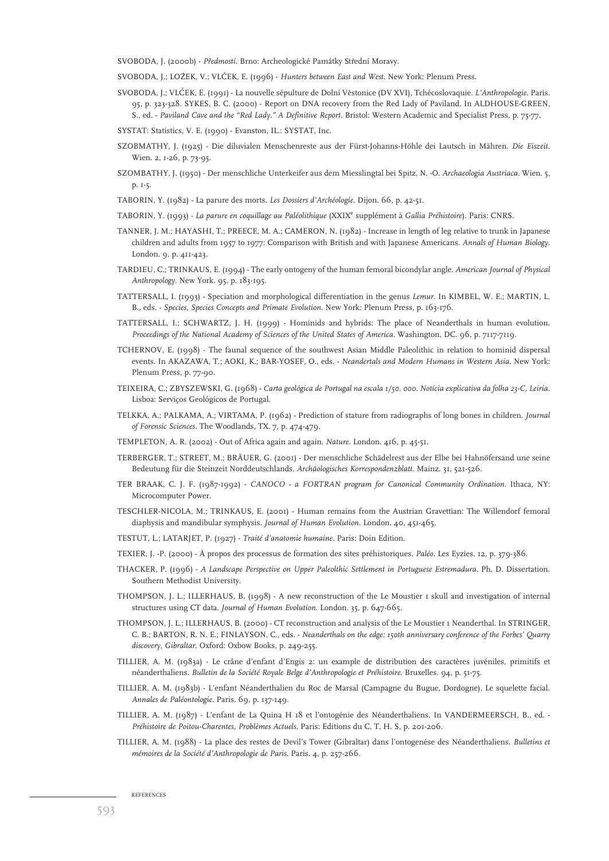SVOBODA, J. (2000b) - Předmostí. Brno: Archeologické Památky Střední Moravy.

SVOBODA, J.; LOŽEK, V.; VLČEK, E. (1996) - *Hunters between East and West*. New York: Plenum Press.

- SVOBODA, J.; VLČEK, E. (1991) La nouvelle sépulture de Dolní Věstonice (DV XVI), Tchécoslovaquie. *L'Anthropologie*. Paris. 95, p. 323-328. SYKES, B. C. (2000) - Report on DNA recovery from the Red Lady of Paviland. In ALDHOUSE-GREEN, S., ed. - *Paviland Cave and the "Red Lady." A Definitive Report*. Bristol: Western Academic and Specialist Press, p. 75-77.
- SYSTAT: Statistics, V. E. (1990) Evanston, IL.: SYSTAT, Inc.
- SZOBMATHY, J. (1925) Die diluvialen Menschenreste aus der Fürst-Johanns-Höhle dei Lautsch in Mähren. *Die Eiszeit*. Wien. 2, 1-26, p. 73-95.
- SZOMBATHY, J. (1950) Der menschliche Unterkeifer aus dem Miesslingtal bei Spitz, N. -O. *Archaeologia Austriaca*. Wien. 5, p. 1-5.
- TABORIN, Y. (1982) La parure des morts. *Les Dossiers d'Archéologie*. Dijon. 66, p. 42-51.
- TABORIN, Y. (1993) *La parure en coquillage au Paléolithique* (XXIX<sup>e</sup> supplément à *Gallia Préhistoire*). Paris: CNRS.
- TANNER, J. M.; HAYASHI, T.; PREECE, M. A.; CAMERON, N. (1982) Increase in length of leg relative to trunk in Japanese children and adults from 1957 to 1977: Comparison with British and with Japanese Americans. *Annals of Human Biology*. London. 9, p. 411-423.
- TARDIEU, C.; TRINKAUS, E. (1994) The early ontogeny of the human femoral bicondylar angle. *American Journal of Physical Anthropology*. New York. 95, p. 183-195.
- TATTERSALL, I. (1993) Speciation and morphological differentiation in the genus *Lemur*. In KIMBEL, W. E.; MARTIN, L. B., eds. - *Species, Species Concepts and Primate Evolution*. New York: Plenum Press, p. 163-176.
- TATTERSALL, I.; SCHWARTZ, J. H. (1999) Hominids and hybrids: The place of Neanderthals in human evolution. *Proceedings of the National Academy of Sciences of the United States of America*. Washington, DC. 96, p. 7117-7119.
- TCHERNOV, E. (1998) The faunal sequence of the southwest Asian Middle Paleolithic in relation to hominid dispersal events. In AKAZAWA, T.; AOKI, K.; BAR-YOSEF, O., eds. - *Neandertals and Modern Humans in Western Asia*. New York: Plenum Press, p. 77-90.
- TEIXEIRA, C.; ZBYSZEWSKI, G. (1968) *Carta geológica de Portugal na escala 1/50. 000. Notícia explicativa da folha 23-C, Leiria.* Lisboa: Serviços Geológicos de Portugal.
- TELKKA, A.; PALKAMA, A.; VIRTAMA, P. (1962) Prediction of stature from radiographs of long bones in children. *Journal of Forensic Sciences*. The Woodlands, TX. 7, p. 474-479.
- TEMPLETON, A. R. (2002) Out of Africa again and again. *Nature*. London. 416, p. 45-51.
- TERBERGER, T.; STREET, M.; BRÄUER, G. (2001) Der menschliche Schädelrest aus der Elbe bei Hahnöfersand une seine Bedeutung für die Steinzeit Norddeutschlands. *Archäologisches Korrespondenzblatt*. Mainz. 31, 521-526.
- TER BRAAK, C. J. F. (1987-1992) *CANOCO a FORTRAN program for Canonical Community Ordination*. Ithaca, NY: Microcomputer Power.
- TESCHLER-NICOLA, M.; TRINKAUS, E. (2001) Human remains from the Austrian Gravettian: The Willendorf femoral diaphysis and mandibular symphysis. *Journal of Human Evolution*. London. 40, 451-465.
- TESTUT, L.; LATARJET, P. (1927) *Traité d'anatomie humaine*. Paris: Doin Edition.
- TEXIER, J. -P. (2000) À propos des processus de formation des sites préhistoriques. *Paléo*. Les Eyzies. 12, p. 379-386.
- THACKER, P. (1996) *A Landscape Perspective on Upper Paleolthic Settlement in Portuguese Estremadura.* Ph. D. Dissertation. Southern Methodist University.
- THOMPSON, J. L.; ILLERHAUS, B. (1998) A new reconstruction of the Le Moustier 1 skull and investigation of internal structures using CT data. *Journal of Human Evolution*. London. 35, p. 647-665.
- THOMPSON, J. L.; ILLERHAUS, B. (2000) CT reconstruction and analysis of the Le Moustier 1 Neanderthal. In STRINGER, C. B.; BARTON, R. N. E.; FINLAYSON, C., eds. - *Neanderthals on the edge: 150th anniversary conference of the Forbes' Quarry discovery, Gibraltar*. Oxford: Oxbow Books, p. 249-255.
- TILLIER, A. M. (1983a) Le crâne d'enfant d'Engis 2: un example de distribution des caractères juvéniles, primitifs et néanderthaliens. *Bulletin de la Société Royale Belge d'Anthropologie et Préhistoire*. Bruxelles. 94, p. 51-75.
- TILLIER, A. M. (1983b) L'enfant Néanderthalien du Roc de Marsal (Campagne du Bugue, Dordogne), Le squelette facial. *Annales de Paléontologie*. Paris. 69, p. 137-149.
- TILLIER, A. M. (1987) L'enfant de La Quina H 18 et l'ontogénie des Néanderthaliens. In VANDERMEERSCH, B., ed. *Préhistoire de Poitou-Charentes, Problèmes Actuels*. Paris: Editions du C. T. H. S, p. 201-206.
- TILLIER, A. M. (1988) La place des restes de Devil's Tower (Gibraltar) dans l'ontogenése des Néanderthaliens. *Bulletins et mémoires de la Société d'Anthropologie de Paris*. Paris. 4, p. 257-266.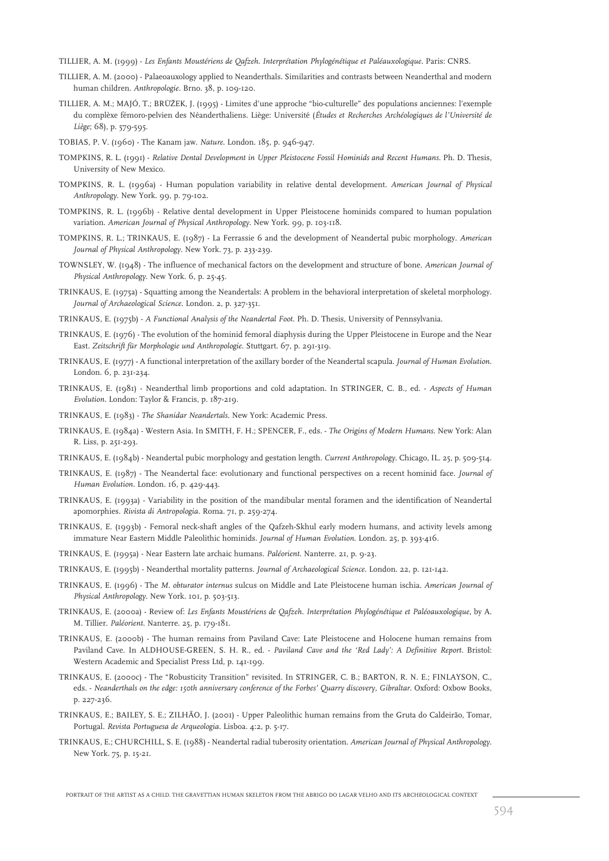TILLIER, A. M. (1999) - *Les Enfants Moustériens de Qafzeh. Interprétation Phylogénétique et Paléauxologique*. Paris: CNRS.

- TILLIER, A. M. (2000) Palaeoauxology applied to Neanderthals. Similarities and contrasts between Neanderthal and modern human children. *Anthropologie.* Brno. 38, p. 109-120.
- TILLIER, A. M.; MAJÓ, T.; BRŮŽEK, J. (1995) Limites d'une approche "bio-culturelle" des populations anciennes: l'exemple du complèxe fémoro-pelvien des Néanderthaliens. Liège: Université (*Études et Recherches Archéologiques de l'Université de Liège*; 68), p. 579-595.

TOBIAS, P. V. (1960) - The Kanam jaw. *Nature*. London. 185, p. 946-947.

- TOMPKINS, R. L. (1991) *Relative Dental Development in Upper Pleistocene Fossil Hominids and Recent Humans*. Ph. D. Thesis, University of New Mexico.
- TOMPKINS, R. L. (1996a) Human population variability in relative dental development. *American Journal of Physical Anthropology*. New York. 99, p. 79-102.
- TOMPKINS, R. L. (1996b) Relative dental development in Upper Pleistocene hominids compared to human population variation. *American Journal of Physical Anthropology*. New York. 99, p. 103-118.
- TOMPKINS, R. L.; TRINKAUS, E. (1987) La Ferrassie 6 and the development of Neandertal pubic morphology. *American Journal of Physical Anthropology*. New York. 73, p. 233-239.
- TOWNSLEY, W. (1948) The influence of mechanical factors on the development and structure of bone. *American Journal of Physical Anthropology*. New York. 6, p. 25-45.
- TRINKAUS, E. (1975a) Squatting among the Neandertals: A problem in the behavioral interpretation of skeletal morphology. *Journal of Archaeological Science*. London. 2, p. 327-351.
- TRINKAUS, E. (1975b) *A Functional Analysis of the Neandertal Foot*. Ph. D. Thesis, University of Pennsylvania.
- TRINKAUS, E. (1976) The evolution of the hominid femoral diaphysis during the Upper Pleistocene in Europe and the Near East. *Zeitschrift für Morphologie und Anthropologie*. Stuttgart. 67, p. 291-319.
- TRINKAUS, E. (1977) A functional interpretation of the axillary border of the Neandertal scapula. *Journal of Human Evolution*. London. 6, p. 231-234.
- TRINKAUS, E. (1981) Neanderthal limb proportions and cold adaptation. In STRINGER, C. B., ed. *Aspects of Human Evolution*. London: Taylor & Francis, p. 187-219.
- TRINKAUS, E. (1983) *The Shanidar Neandertals*. New York: Academic Press.
- TRINKAUS, E. (1984a) Western Asia. In SMITH, F. H.; SPENCER, F., eds. *The Origins of Modern Humans*. New York: Alan R. Liss, p. 251-293.
- TRINKAUS, E. (1984b) Neandertal pubic morphology and gestation length. *Current Anthropology*. Chicago, IL. 25, p. 509-514.
- TRINKAUS, E. (1987) The Neandertal face: evolutionary and functional perspectives on a recent hominid face. *Journal of Human Evolution*. London. 16, p. 429-443.
- TRINKAUS, E. (1993a) Variability in the position of the mandibular mental foramen and the identification of Neandertal apomorphies. *Rivista di Antropologia*. Roma. 71, p. 259-274.
- TRINKAUS, E. (1993b) Femoral neck-shaft angles of the Qafzeh-Skhul early modern humans, and activity levels among immature Near Eastern Middle Paleolithic hominids. *Journal of Human Evolution*. London. 25, p. 393-416.
- TRINKAUS, E. (1995a) Near Eastern late archaic humans. *Paléorient*. Nanterre. 21, p. 9-23.
- TRINKAUS, E. (1995b) Neanderthal mortality patterns. *Journal of Archaeological Science*. London. 22, p. 121-142.
- TRINKAUS, E. (1996) The *M. obturator internus* sulcus on Middle and Late Pleistocene human ischia. *American Journal of Physical Anthropology*. New York. 101, p. 503-513.
- TRINKAUS, E. (2000a) Review of: *Les Enfants Moustériens de Qafzeh. Interprétation Phylogénétique et Paléoauxologique*, by A. M. Tillier. *Paléorient*. Nanterre. 25, p. 179-181.
- TRINKAUS, E. (2000b) The human remains from Paviland Cave: Late Pleistocene and Holocene human remains from Paviland Cave. In ALDHOUSE-GREEN, S. H. R., ed. - *Paviland Cave and the 'Red Lady': A Definitive Report. Bristol:* Western Academic and Specialist Press Ltd, p. 141-199.
- TRINKAUS, E. (2000c) The "Robusticity Transition" revisited. In STRINGER, C. B.; BARTON, R. N. E.; FINLAYSON, C., eds. - *Neanderthals on the edge: 150th anniversary conference of the Forbes' Quarry discovery, Gibraltar*. Oxford: Oxbow Books, p. 227-236.
- TRINKAUS, E.; BAILEY, S. E.; ZILHÃO, J. (2001) Upper Paleolithic human remains from the Gruta do Caldeirão, Tomar, Portugal. *Revista Portuguesa de Arqueologia*. Lisboa. 4:2, p. 5-17.
- TRINKAUS, E.; CHURCHILL, S. E. (1988) Neandertal radial tuberosity orientation. *American Journal of Physical Anthropology*. New York. 75, p. 15-21.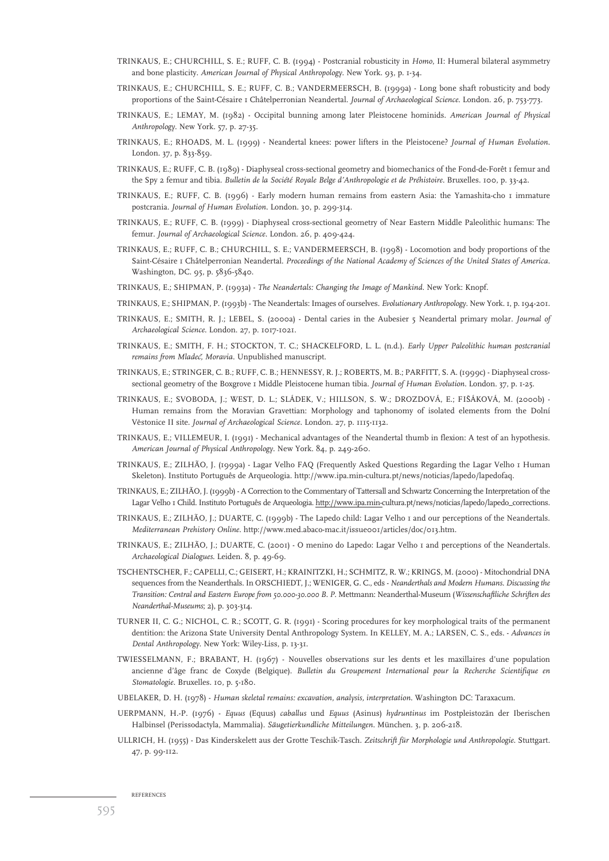- TRINKAUS, E.; CHURCHILL, S. E.; RUFF, C. B. (1994) Postcranial robusticity in *Homo*, II: Humeral bilateral asymmetry and bone plasticity. *American Journal of Physical Anthropology*. New York. 93, p. 1-34.
- TRINKAUS, E.; CHURCHILL, S. E.; RUFF, C. B.; VANDERMEERSCH, B. (1999a) Long bone shaft robusticity and body proportions of the Saint-Césaire 1 Châtelperronian Neandertal. *Journal of Archaeological Science*. London. 26, p. 753-773.
- TRINKAUS, E.; LEMAY, M. (1982) Occipital bunning among later Pleistocene hominids. *American Journal of Physical Anthropology*. New York. 57, p. 27-35.
- TRINKAUS, E.; RHOADS, M. L. (1999) Neandertal knees: power lifters in the Pleistocene? *Journal of Human Evolution*. London. 37, p. 833-859.
- TRINKAUS, E.; RUFF, C. B. (1989) Diaphyseal cross-sectional geometry and biomechanics of the Fond-de-Forêt 1 femur and the Spy 2 femur and tibia. *Bulletin de la Société Royale Belge d'Anthropologie et de Préhistoire*. Bruxelles. 100, p. 33-42.
- TRINKAUS, E.; RUFF, C. B. (1996) Early modern human remains from eastern Asia: the Yamashita-cho 1 immature postcrania. *Journal of Human Evolution*. London. 30, p. 299-314.
- TRINKAUS, E.; RUFF, C. B. (1999) Diaphyseal cross-sectional geometry of Near Eastern Middle Paleolithic humans: The femur. *Journal of Archaeological Science*. London. 26, p. 409-424.
- TRINKAUS, E.; RUFF, C. B.; CHURCHILL, S. E.; VANDERMEERSCH, B. (1998) Locomotion and body proportions of the Saint-Césaire 1 Châtelperronian Neandertal. *Proceedings of the National Academy of Sciences of the United States of America*. Washington, DC. 95, p. 5836-5840.
- TRINKAUS, E.; SHIPMAN, P. (1993a) *The Neandertals: Changing the Image of Mankind*. New York: Knopf.
- TRINKAUS, E.; SHIPMAN, P. (1993b) The Neandertals: Images of ourselves. *Evolutionary Anthropology*. New York. 1, p. 194-201.
- TRINKAUS, E.; SMITH, R. J.; LEBEL, S. (2000a) Dental caries in the Aubesier 5 Neandertal primary molar. *Journal of Archaeological Science*. London. 27, p. 1017-1021.
- TRINKAUS, E.; SMITH, F. H.; STOCKTON, T. C.; SHACKELFORD, L. L. (n.d.). *Early Upper Paleolithic human postcranial remains from Mladecˇ, Moravia*. Unpublished manuscript.
- TRINKAUS, E.; STRINGER, C. B.; RUFF, C. B.; HENNESSY, R. J.; ROBERTS, M. B.; PARFITT, S. A. (1999c) Diaphyseal crosssectional geometry of the Boxgrove 1 Middle Pleistocene human tibia. *Journal of Human Evolution*. London. 37, p. 1-25.
- TRINKAUS, E.; SVOBODA, J.; WEST, D. L.; SLÁDEK, V.; HILLSON, S. W.; DROZDOVÁ, E.; FIŠÁKOVÁ, M. (2000b) -Human remains from the Moravian Gravettian: Morphology and taphonomy of isolated elements from the Dolní Věstonice II site. *Journal of Archaeological Science*. London. 27, p. 1115-1132.
- TRINKAUS, E.; VILLEMEUR, I. (1991) Mechanical advantages of the Neandertal thumb in flexion: A test of an hypothesis. *American Journal of Physical Anthropology*. New York. 84, p. 249-260.
- TRINKAUS, E.; ZILHÃO, J. (1999a) Lagar Velho FAQ (Frequently Asked Questions Regarding the Lagar Velho 1 Human Skeleton). Instituto Português de Arqueologia. http://www.ipa.min-cultura.pt/news/noticias/lapedo/lapedofaq.
- TRINKAUS, E.; ZILHÃO, J. (1999b) A Correction to the Commentary of Tattersall and Schwartz Concerning the Interpretation of the Lagar Velho 1 Child. Instituto Português de Arqueologia. http://www.ipa.min-cultura.pt/news/noticias/lapedo/lapedo\_corrections.
- TRINKAUS, E.; ZILHÃO, J.; DUARTE, C. (1999b) The Lapedo child: Lagar Velho 1 and our perceptions of the Neandertals. *Mediterranean Prehistory Online*. http://www.med.abaco-mac.it/issue001/articles/doc/013.htm.
- TRINKAUS, E.; ZILHÃO, J.; DUARTE, C. (2001) O menino do Lapedo: Lagar Velho 1 and perceptions of the Neandertals. *Archaeological Dialogues*. Leiden. 8, p. 49-69.
- TSCHENTSCHER, F.; CAPELLI, C.; GEISERT, H.; KRAINITZKI, H.; SCHMITZ, R. W.; KRINGS, M. (2000) Mitochondrial DNA sequences from the Neanderthals. In ORSCHIEDT, J.; WENIGER, G. C., eds - *Neanderthals and Modern Humans. Discussing the Transition: Central and Eastern Europe from 50.000-30.000 B. P.* Mettmann: Neanderthal-Museum (*Wissenschaftliche Schriften des Neanderthal-Museums*; 2), p. 303-314.
- TURNER II, C. G.; NICHOL, C. R.; SCOTT, G. R. (1991) Scoring procedures for key morphological traits of the permanent dentition: the Arizona State University Dental Anthropology System. In KELLEY, M. A.; LARSEN, C. S., eds. - *Advances in Dental Anthropology.* New York: Wiley-Liss, p. 13-31.
- TWIESSELMANN, F.; BRABANT, H. (1967) Nouvelles observations sur les dents et les maxillaires d'une population ancienne d'âge franc de Coxyde (Belgique). *Bulletin du Groupement International pour la Recherche Scientifique en Stomatologie*. Bruxelles. 10, p. 5-180.
- UBELAKER, D. H. (1978) *Human skeletal remains: excavation, analysis, interpretation.* Washington DC: Taraxacum.
- UERPMANN, H.-P. (1976) *Equus* (Equus) *caballus* und *Equus* (Asinus) *hydruntinus* im Postpleistozän der Iberischen Halbinsel (Perissodactyla, Mammalia). *Säugetierkundliche Mitteilungen*. München. 3, p. 206-218.
- ULLRICH, H. (1955) Das Kinderskelett aus der Grotte Teschik-Tasch. *Zeitschrift für Morphologie und Anthropologie*. Stuttgart. 47, p. 99-112.

REFERENCES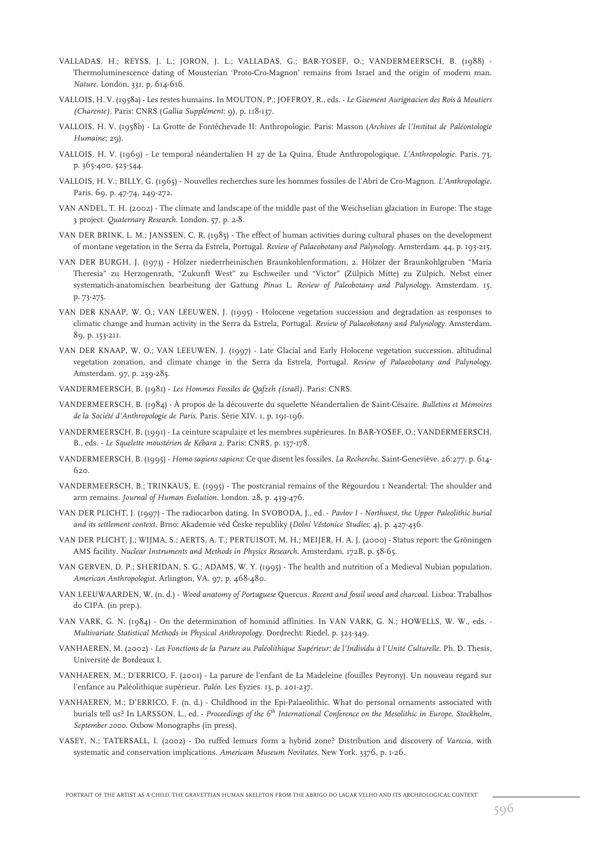- VALLADAS, H.; REYSS, J. L.; JORON, J. L.; VALLADAS, G.; BAR-YOSEF, O.; VANDERMEERSCH, B. (1988) Thermoluminescence dating of Mousterian 'Proto-Cro-Magnon' remains from Israel and the origin of modern man. *Nature*. London. 331, p. 614-616.
- VALLOIS, H. V. (1958a) Les restes humains. In MOUTON, P.; JOFFROY, R., eds. *Le Gisement Aurignacien des Rois à Moutiers (Charente)*. Paris: CNRS (*Gallia Supplément*; 9), p. 118-137.
- VALLOIS, H. V. (1958b) La Grotte de Fontéchevade II: Anthropologie. Paris: Masson (*Archives de l'Institut de Paléontologie Humaine*; 29).
- VALLOIS, H. V. (1969) Le temporal néandertalien H 27 de La Quina, Étude Anthropologique. *L'Anthropologie*. Paris. 73, p. 365-400, 525-544.
- VALLOIS, H. V.; BILLY, G. (1965) Nouvelles recherches sure les hommes fossiles de l'Abri de Cro-Magnon. *L'Anthropologie*. Paris. 69, p. 47-74, 249-272.
- VAN ANDEL, T. H. (2002) The climate and landscape of the middle past of the Weichselian glaciation in Europe: The stage 3 project. *Quaternary Research*. London. 57, p. 2-8.
- VAN DER BRINK, L. M.; JANSSEN, C. R. (1985) The effect of human activities during cultural phases on the development of montane vegetation in the Serra da Estrela, Portugal*. Review of Palaeobotany and Palynology*. Amsterdam. 44, p. 193-215.
- VAN DER BURGH, J. (1973) Hölzer niederrheinischen Braunkohlenformation, 2. Hölzer der Braunkohlgruben "Maria Theresia" zu Herzogenrath, "Zukunft West" zu Eschweiler und "Victor" (Zülpich Mitte) zu Zülpich. Nebst einer systematich-anatomischen bearbeitung der Gattung *Pinus* L. *Review of Paleobotany and Palynology*. Amsterdam. 15, p. 73-275.
- VAN DER KNAAP, W. O.; VAN LEEUWEN, J. (1995) Holocene vegetation succession and degradation as responses to climatic change and human activity in the Serra da Estrela, Portugal. *Review of Palaeobotany and Palynology*. Amsterdam. 89, p. 153-211.
- VAN DER KNAAP, W. O.; VAN LEEUWEN, J. (1997) Late Glacial and Early Holocene vegetation succession, altitudinal vegetation zonation, and climate change in the Serra da Estrela, Portugal. *Review of Palaeobotany and Palynology*. Amsterdam. 97, p. 239-285.
- VANDERMEERSCH, B. (1981) *Les Hommes Fossiles de Qafzeh (Israël)*. Paris: CNRS.
- VANDERMEERSCH, B. (1984) À propos de la découverte du squelette Néandertalien de Saint-Césaire. *Bulletins et Mémoires de la Société d'Anthropologie de Paris*. Paris. Série XIV. 1, p. 191-196.
- VANDERMEERSCH, B. (1991) La ceinture scapulaire et les membres supérieures. In BAR-YOSEF, O.; VANDERMEERSCH, B., eds. - *Le Squelette moustérien de Kébara 2*. Paris: CNRS, p. 157-178.
- VANDERMEERSCH, B. (1995) *Homo sapiens sapiens*: Ce que disent les fossiles. *La Recherche*. Saint-Geneviève. 26:277, p. 614- 620.
- VANDERMEERSCH, B.; TRINKAUS, E. (1995) The postcranial remains of the Régourdou 1 Neandertal: The shoulder and arm remains. *Journal of Human Evolution*. London. 28, p. 439-476.
- VAN DER PLICHT, J. (1997) The radiocarbon dating. In SVOBODA, J., ed. *Pavlov I Northwest, the Upper Paleolithic burial and its settlement context.* Brno: Akademie veˇd Cˇeske republiky (*Dolní Veˇstonice Studies*; 4), p. 427-436.
- VAN DER PLICHT, J.; WIJMA, S.; AERTS, A. T.; PERTUISOT, M. H.; MEIJER, H. A. J. (2000) Status report: the Gröningen AMS facility*. Nuclear Instruments and Methods in Physics Research*. Amsterdam. 172B, p. 58-65.
- VAN GERVEN, D. P.; SHERIDAN, S. G.; ADAMS, W. Y. (1995) The health and nutrition of a Medieval Nubian population. *American Anthropologist*. Arlington, VA. 97, p. 468-480.
- VAN LEEUWAARDEN, W. (n. d.) *Wood anatomy of Portuguese* Quercus*. Recent and fossil wood and charcoal*. Lisboa: Trabalhos do CIPA. (in prep.).
- VAN VARK, G. N. (1984) On the determination of hominid affinities. In VAN VARK, G. N.; HOWELLS, W. W., eds. *Multivariate Statistical Methods in Physical Anthropology.* Dordrecht: Riedel, p. 323-349.
- VANHAEREN, M. (2002) *Les Fonctions de la Parure au Paléolithique Supérieur: de l'Individu à l'Unité Culturelle*. Ph. D. Thesis, Université de Bordeaux I.
- VANHAEREN, M.; D'ERRICO, F. (2001) La parure de l'enfant de La Madeleine (fouilles Peyrony). Un nouveau regard sur l'enfance au Paléolithique supérieur. *Paléo*. Les Eyzies. 13, p. 201-237.
- VANHAEREN, M.; D'ERRICO, F. (n. d.) Childhood in the Epi-Palaeolithic. What do personal ornaments associated with burials tell us? In LARSSON, L., ed. - *Proceedings of the 6th International Conference on the Mesolithic in Europe. Stockholm, September 2000*. Oxbow Monographs (in press).
- VASEY, N.; TATERSALL, I. (2002) Do ruffed lemurs form a hybrid zone? Distribution and discovery of *Varecia*, with systematic and conservation implications. *Americam Museum Novitates*. New York. 3376, p. 1-26.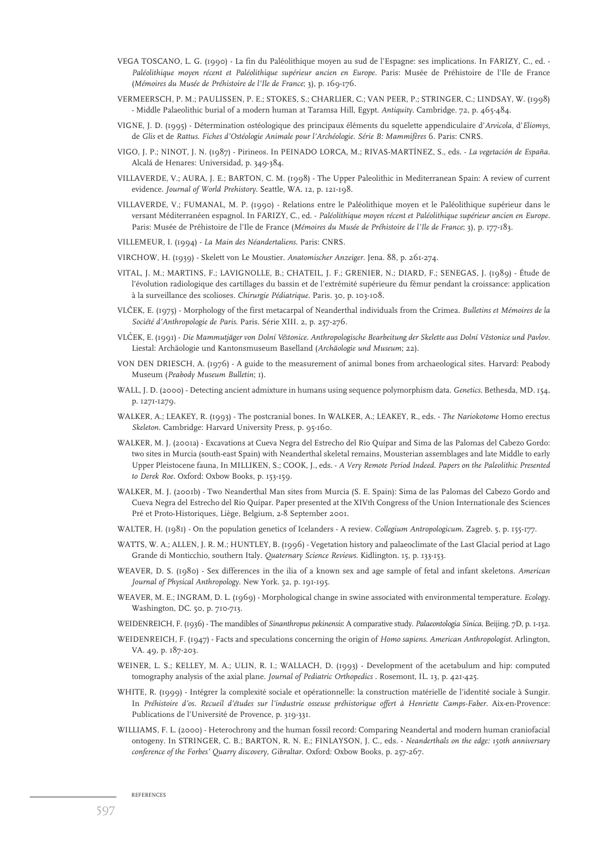- VEGA TOSCANO, L. G. (1990) La fin du Paléolithique moyen au sud de l'Espagne: ses implications. In FARIZY, C., ed. *Paléolithique moyen récent et Paléolithique supérieur ancien en Europe.* Paris: Musée de Préhistoire de l'Ile de France (*Mémoires du Musée de Préhistoire de l'Ile de France*; 3), p. 169-176.
- VERMEERSCH, P. M.; PAULISSEN, P. E.; STOKES, S.; CHARLIER, C.; VAN PEER, P.; STRINGER, C.; LINDSAY, W. (1998) - Middle Palaeolithic burial of a modern human at Taramsa Hill, Egypt. *Antiquity*. Cambridge. 72, p. 465-484.
- VIGNE, J. D. (1995) Détermination ostéologique des principaux éléments du squelette appendiculaire d'*Arvicola*, d'*Eliomys*, de *Glis* et de *Rattus*. *Fiches d'Ostéologie Animale pour l'Archéologie. Série B: Mammifères* 6. Paris: CNRS.
- VIGO, J. P.; NINOT, J. N. (1987) Pirineos*.* In PEINADO LORCA, M.; RIVAS-MARTÍNEZ, S., eds. *La vegetación de España.* Alcalá de Henares: Universidad, p. 349-384.
- VILLAVERDE, V.; AURA, J. E.; BARTON, C. M. (1998) The Upper Paleolithic in Mediterranean Spain: A review of current evidence. *Journal of World Prehistory*. Seattle, WA. 12, p. 121-198.
- VILLAVERDE, V.; FUMANAL, M. P. (1990) Relations entre le Paléolithique moyen et le Paléolithique supérieur dans le versant Méditerranéen espagnol. In FARIZY, C., ed. - *Paléolithique moyen récent et Paléolithique supérieur ancien en Europe.* Paris: Musée de Préhistoire de l'Ile de France (*Mémoires du Musée de Préhistoire de l'Ile de France*; 3), p. 177-183.
- VILLEMEUR, I. (1994) *La Main des Néandertaliens*. Paris: CNRS.
- VIRCHOW, H. (1939) Skelett von Le Moustier. *Anatomischer Anzeiger*. Jena. 88, p. 261-274.
- VITAL, J. M.; MARTINS, F.; LAVIGNOLLE, B.; CHATEIL, J. F.; GRENIER, N.; DIARD, F.; SENEGAS, J. (1989) Étude de l'évolution radiologique des cartillages du bassin et de l'extrémité supérieure du fémur pendant la croissance: application à la surveillance des scolioses. *Chirurgie Pédiatrique*. Paris. 30, p. 103-108.
- VLCˇEK, E. (1975) Morphology of the first metacarpal of Neanderthal individuals from the Crimea. *Bulletins et Mémoires de la Société d'Anthropologie de Paris*. Paris. Série XIII. 2, p. 257-276.
- VLCˇEK, E. (1991) *Die Mammutjäger von Dolní V estonice. Anthropologische Bearbeitung der Skelette aus Dolní V ˇ estonice und Pavlov ˇ* . Liestal: Archäologie und Kantonsmuseum Baselland (*Archäologie und Museum*; 22).
- VON DEN DRIESCH, A. (1976) A guide to the measurement of animal bones from archaeological sites. Harvard: Peabody Museum (*Peabody Museum Bulletin*; 1).
- WALL, J. D. (2000) Detecting ancient admixture in humans using sequence polymorphism data. *Genetics*. Bethesda, MD. 154, p. 1271-1279.
- WALKER, A.; LEAKEY, R. (1993) The postcranial bones. In WALKER, A.; LEAKEY, R., eds. *The Nariokotome* Homo erectus *Skeleton*. Cambridge: Harvard University Press, p. 95-160.
- WALKER, M. J. (2001a) Excavations at Cueva Negra del Estrecho del Rio Quípar and Sima de las Palomas del Cabezo Gordo: two sites in Murcia (south-east Spain) with Neanderthal skeletal remains, Mousterian assemblages and late Middle to early Upper Pleistocene fauna, In MILLIKEN, S.; COOK, J., eds. - *A Very Remote Period Indeed. Papers on the Paleolithic Presented to Derek Roe*. Oxford: Oxbow Books, p. 153-159.
- WALKER, M. J. (2001b) Two Neanderthal Man sites from Murcia (S. E. Spain): Sima de las Palomas del Cabezo Gordo and Cueva Negra del Estrecho del Rio Quípar. Paper presented at the XIVth Congress of the Union Internationale des Sciences Pré et Proto-Historiques, Liège, Belgium, 2-8 September 2001.
- WALTER, H. (1981) On the population genetics of Icelanders A review. *Collegium Antropologicum*. Zagreb. 5, p. 155-177.
- WATTS, W. A.; ALLEN, J. R. M.; HUNTLEY, B. (1996) Vegetation history and palaeoclimate of the Last Glacial period at Lago Grande di Monticchio, southern Italy. *Quaternary Science Reviews*. Kidlington. 15, p. 133-153.
- WEAVER, D. S. (1980) Sex differences in the ilia of a known sex and age sample of fetal and infant skeletons. *American Journal of Physical Anthropology*. New York. 52, p. 191-195.
- WEAVER, M. E.; INGRAM, D. L. (1969) Morphological change in swine associated with environmental temperature. *Ecology*. Washington, DC. 50, p. 710-713.
- WEIDENREICH, F. (1936) The mandibles of *Sinanthropus pekinensis*: A comparative study. *Palaeontologia Sinica*. Beijing. 7D, p. 1-132.
- WEIDENREICH, F. (1947) Facts and speculations concerning the origin of *Homo sapiens*. *American Anthropologist*. Arlington, VA. 49, p. 187-203.
- WEINER, L. S.; KELLEY, M. A.; ULIN, R. I.; WALLACH, D. (1993) Development of the acetabulum and hip: computed tomography analysis of the axial plane. *Journal of Pediatric Orthopedics* . Rosemont, IL. 13, p. 421-425.
- WHITE, R. (1999) Intégrer la complexité sociale et opérationnelle: la construction matérielle de l'identité sociale à Sungir. In *Préhistoire d'os. Recueil d'études sur l'industrie osseuse préhistorique offert à Henriette Camps-Faber.* Aix-en-Provence: Publications de l'Université de Provence, p. 319-331.
- WILLIAMS, F. L. (2000) Heterochrony and the human fossil record: Comparing Neandertal and modern human craniofacial ontogeny. In STRINGER, C. B.; BARTON, R. N. E.; FINLAYSON, J. C., eds. - *Neanderthals on the edge: 150th anniversary conference of the Forbes' Quarry discovery, Gibraltar*. Oxford: Oxbow Books, p. 257-267.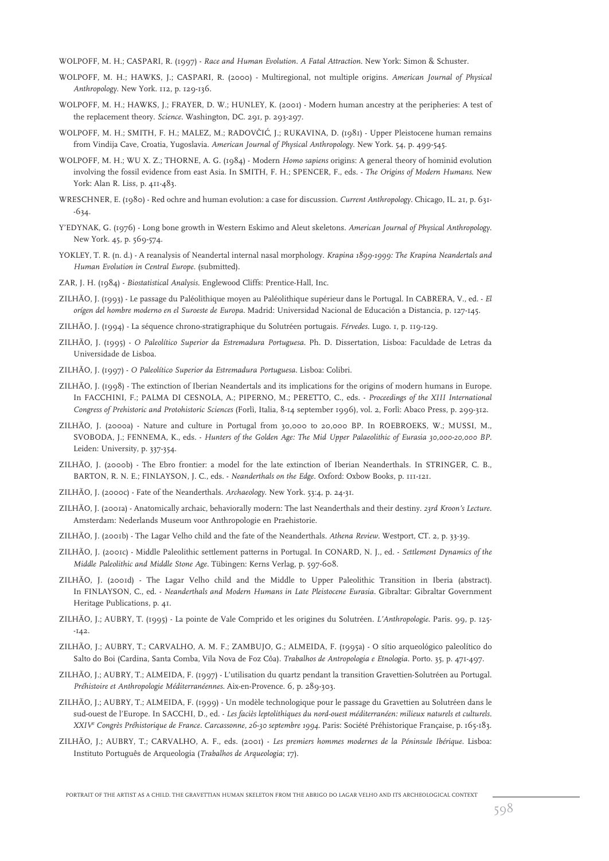WOLPOFF, M. H.; CASPARI, R. (1997) - *Race and Human Evolution. A Fatal Attraction*. New York: Simon & Schuster.

- WOLPOFF, M. H.; HAWKS, J.; CASPARI, R. (2000) Multiregional, not multiple origins. *American Journal of Physical Anthropology*. New York. 112, p. 129-136.
- WOLPOFF, M. H.; HAWKS, J.; FRAYER, D. W.; HUNLEY, K. (2001) Modern human ancestry at the peripheries: A test of the replacement theory. *Science*. Washington, DC. 291, p. 293-297.
- WOLPOFF, M. H.; SMITH, F. H.; MALEZ, M.; RADOVČIĆ, J.; RUKAVINA, D. (1981) Upper Pleistocene human remains from Vindija Cave, Croatia, Yugoslavia. *American Journal of Physical Anthropology*. New York. 54, p. 499-545.
- WOLPOFF, M. H.; WU X. Z.; THORNE, A. G. (1984) Modern *Homo sapiens* origins: A general theory of hominid evolution involving the fossil evidence from east Asia. In SMITH, F. H.; SPENCER, F., eds. - *The Origins of Modern Humans*. New York: Alan R. Liss, p. 411-483.
- WRESCHNER, E. (1980) Red ochre and human evolution: a case for discussion. *Current Anthropology*. Chicago, IL. 21, p. 631- -634.
- Y'EDYNAK, G. (1976) Long bone growth in Western Eskimo and Aleut skeletons. *American Journal of Physical Anthropology*. New York. 45, p. 569-574.
- YOKLEY, T. R. (n. d.) A reanalysis of Neandertal internal nasal morphology. *Krapina 1899-1999: The Krapina Neandertals and Human Evolution in Central Europe*. (submitted).
- ZAR, J. H. (1984) *Biostatistical Analysis*. Englewood Cliffs: Prentice-Hall, Inc.
- ZILHÃO, J. (1993) Le passage du Paléolithique moyen au Paléolithique supérieur dans le Portugal. In CABRERA, V., ed. *El orígen del hombre moderno en el Suroeste de Europa*. Madrid: Universidad Nacional de Educación a Distancia, p. 127-145.
- ZILHÃO, J. (1994) La séquence chrono-stratigraphique du Solutréen portugais. *Férvedes*. Lugo. 1, p. 119-129.
- ZILHÃO, J. (1995) *O Paleolítico Superior da Estremadura Portuguesa*. Ph. D. Dissertation, Lisboa: Faculdade de Letras da Universidade de Lisboa.
- ZILHÃO, J. (1997) *O Paleolítico Superior da Estremadura Portuguesa.* Lisboa: Colibri.
- ZILHÃO, J. (1998) The extinction of Iberian Neandertals and its implications for the origins of modern humans in Europe. In FACCHINI, F.; PALMA DI CESNOLA, A.; PIPERNO, M.; PERETTO, C., eds. - *Proceedings of the XIII International Congress of Prehistoric and Protohistoric Sciences* (Forlì, Italia, 8-14 september 1996), vol. 2, Forlì: Abaco Press, p. 299-312.
- ZILHÃO, J. (2000a) Nature and culture in Portugal from 30,000 to 20,000 BP. In ROEBROEKS, W.; MUSSI, M., SVOBODA, J.; FENNEMA, K., eds. - *Hunters of the Golden Age: The Mid Upper Palaeolithic of Eurasia 30,000-20,000 BP.* Leiden: University, p. 337-354.
- ZILHÃO, J. (2000b) The Ebro frontier: a model for the late extinction of Iberian Neanderthals. In STRINGER, C. B., BARTON, R. N. E.; FINLAYSON, J. C., eds. - *Neanderthals on the Edge*. Oxford: Oxbow Books, p. 111-121.
- ZILHÃO, J. (2000c) Fate of the Neanderthals. *Archaeology*. New York. 53:4, p. 24-31.
- ZILHÃO, J. (2001a) Anatomically archaic, behaviorally modern: The last Neanderthals and their destiny. *23rd Kroon's Lecture*. Amsterdam: Nederlands Museum voor Anthropologie en Praehistorie.
- ZILHÃO, J. (2001b) The Lagar Velho child and the fate of the Neanderthals. *Athena Review*. Westport, CT. 2, p. 33-39.
- ZILHÃO, J. (2001c) Middle Paleolithic settlement patterns in Portugal. In CONARD, N. J., ed. *Settlement Dynamics of the Middle Paleolithic and Middle Stone Age*. Tübingen: Kerns Verlag, p. 597-608.
- ZILHÃO, J. (2001d) The Lagar Velho child and the Middle to Upper Paleolithic Transition in Iberia (abstract). In FINLAYSON, C., ed. - *Neanderthals and Modern Humans in Late Pleistocene Eurasia*. Gibraltar: Gibraltar Government Heritage Publications, p. 41.
- ZILHÃO, J.; AUBRY, T. (1995) La pointe de Vale Comprido et les origines du Solutréen. *L'Anthropologie*. Paris. 99, p. 125-  $-142.$
- ZILHÃO, J.; AUBRY, T.; CARVALHO, A. M. F.; ZAMBUJO, G.; ALMEIDA, F. (1995a) O sítio arqueológico paleolítico do Salto do Boi (Cardina, Santa Comba, Vila Nova de Foz Côa). *Trabalhos de Antropologia e Etnologia*. Porto. 35, p. 471-497.
- ZILHÃO, J.; AUBRY, T.; ALMEIDA, F. (1997) L'utilisation du quartz pendant la transition Gravettien-Solutréen au Portugal. *Préhistoire et Anthropologie Méditerranéennes*. Aix-en-Provence. 6, p. 289-303.
- ZILHÃO, J.; AUBRY, T.; ALMEIDA, F. (1999) Un modèle technologique pour le passage du Gravettien au Solutréen dans le sud-ouest de l'Europe. In SACCHI, D., ed. - *Les faciès leptolithiques du nord-ouest méditerranéen: milieux naturels et culturels. XXIV<sup>e</sup> Congrès Préhistorique de France. Carcassonne, 26-30 septembre 1994*. Paris: Société Préhistorique Française, p. 165-183.
- ZILHÃO, J.; AUBRY, T.; CARVALHO, A. F., eds. (2001) *Les premiers hommes modernes de la Péninsule Ibérique*. Lisboa: Instituto Português de Arqueologia (*Trabalhos de Arqueologia*; 17).